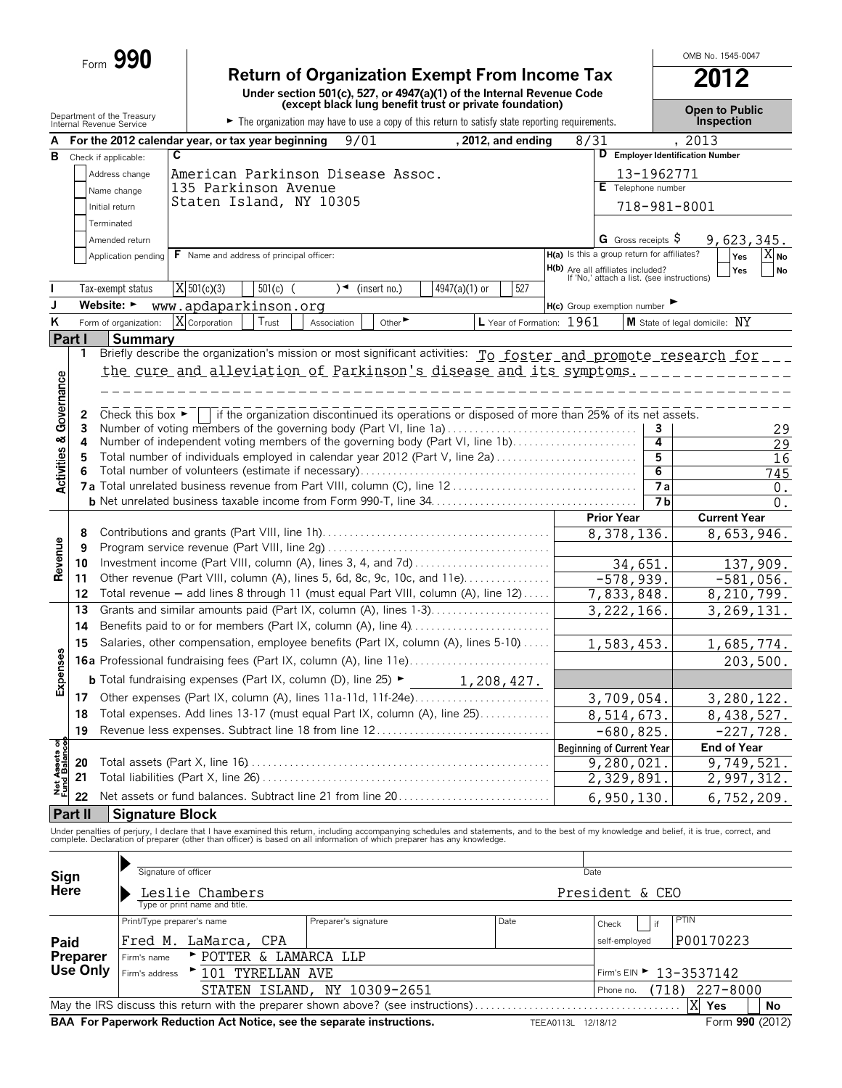|                                    | Form 990                                               |                                                                                                                                                                                         |                                                                                 | OMB No. 1545-0047                   |
|------------------------------------|--------------------------------------------------------|-----------------------------------------------------------------------------------------------------------------------------------------------------------------------------------------|---------------------------------------------------------------------------------|-------------------------------------|
|                                    |                                                        | <b>Return of Organization Exempt From Income Tax</b><br>Under section 501(c), 527, or 4947(a)(1) of the Internal Revenue Code                                                           |                                                                                 |                                     |
|                                    | Department of the Treasury<br>Internal Revenue Service | (except black lung benefit trust or private foundation)<br>The organization may have to use a copy of this return to satisfy state reporting requirements.                              |                                                                                 | <b>Open to Public</b><br>Inspection |
| А                                  |                                                        | 9/01<br>For the 2012 calendar year, or tax year beginning                                                                                                                               | , 2012, and ending<br>8/31                                                      | , 2013                              |
| B                                  | C<br>Check if applicable:                              |                                                                                                                                                                                         |                                                                                 | D Employer Identification Number    |
|                                    | Address change                                         | American Parkinson Disease Assoc.                                                                                                                                                       | 13-1962771                                                                      |                                     |
|                                    | Name change                                            | 135 Parkinson Avenue                                                                                                                                                                    | E Telephone number                                                              |                                     |
|                                    | Initial return                                         | Staten Island, NY 10305                                                                                                                                                                 | 718-981-8001                                                                    |                                     |
|                                    | Terminated                                             |                                                                                                                                                                                         |                                                                                 |                                     |
|                                    | Amended return                                         |                                                                                                                                                                                         | G Gross receipts $\varsigma$                                                    | 9,623,345.                          |
|                                    | Application pending                                    | F Name and address of principal officer:                                                                                                                                                | H(a) Is this a group return for affiliates?                                     | $\overline{X}_{\mathsf{No}}$<br>Yes |
|                                    |                                                        |                                                                                                                                                                                         | H(b) Are all affiliates included?<br>If 'No,' attach a list. (see instructions) | No<br>Yes                           |
|                                    | Tax-exempt status                                      | $\overline{X}$ 501(c)(3)<br>$\frac{1}{501(c)}$ (<br>4947(a)(1) or<br>$\rightarrow$<br>(insert no.)                                                                                      | 527                                                                             |                                     |
| J                                  | Website: $\blacktriangleright$                         | www.apdaparkinson.org                                                                                                                                                                   | H(c) Group exemption number                                                     |                                     |
| $\overline{\mathsf{K}}$            | Form of organization:                                  | X Corporation<br>Trust<br>Other $\blacktriangleright$<br>Association                                                                                                                    | L Year of Formation: 1961                                                       | M State of legal domicile: NY       |
|                                    | Part I<br><b>Summary</b>                               |                                                                                                                                                                                         |                                                                                 |                                     |
| <b>Activities &amp; Governance</b> | 1                                                      | Briefly describe the organization's mission or most significant activities: To foster and promote research for ___<br>the cure and alleviation of Parkinson's disease and its symptoms. |                                                                                 |                                     |
|                                    | Check this box $\blacktriangleright$<br>2<br>3         | if the organization discontinued its operations or disposed of more than 25% of its net assets.<br>Number of voting members of the governing body (Part VI, line 1a)                    | 3                                                                               | 29                                  |
|                                    | 4                                                      | Number of independent voting members of the governing body (Part VI, line 1b)                                                                                                           | 4                                                                               | 29                                  |
|                                    | 5                                                      | Total number of individuals employed in calendar year 2012 (Part V, line 2a)                                                                                                            | 5                                                                               | 16                                  |
|                                    |                                                        |                                                                                                                                                                                         | 6                                                                               | 745                                 |
|                                    |                                                        |                                                                                                                                                                                         | $\overline{7a}$<br>7 <b>b</b>                                                   | $0$ .                               |
|                                    |                                                        |                                                                                                                                                                                         | <b>Prior Year</b>                                                               | 0.<br><b>Current Year</b>           |
|                                    | 8                                                      |                                                                                                                                                                                         | 8,378,136.                                                                      | 8,653,946.                          |
|                                    | 9                                                      |                                                                                                                                                                                         |                                                                                 |                                     |
| Revenue                            | 10                                                     | Investment income (Part VIII, column (A), lines 3, 4, and 7d)                                                                                                                           | 34,651.                                                                         | 137,909.                            |
|                                    | 11                                                     | Other revenue (Part VIII, column (A), lines 5, 6d, 8c, 9c, 10c, and 11e)                                                                                                                | $-578,939.$                                                                     | $-581,056.$                         |
|                                    | 12                                                     | Total revenue - add lines 8 through 11 (must equal Part VIII, column (A), line 12)                                                                                                      | 7,833,848.                                                                      | 8,210,799.                          |
|                                    | 13                                                     |                                                                                                                                                                                         | 3, 222, 166.                                                                    | 3, 269, 131.                        |
|                                    | 14                                                     | Benefits paid to or for members (Part IX, column (A), line 4)                                                                                                                           |                                                                                 |                                     |
|                                    | 15                                                     | Salaries, other compensation, employee benefits (Part IX, column (A), lines 5-10)                                                                                                       | 1,583,453.                                                                      | 1,685,774.                          |
|                                    |                                                        |                                                                                                                                                                                         |                                                                                 | 203,500.                            |
| Expenses                           |                                                        | <b>b</b> Total fundraising expenses (Part IX, column (D), line 25) $\blacktriangleright$                                                                                                | 1,208,427.                                                                      |                                     |
|                                    | 17                                                     | Other expenses (Part IX, column (A), lines 11a-11d, 11f-24e)                                                                                                                            | 3,709,054.                                                                      | 3,280,122.                          |

**Net Assets of<br>Fund Balances** 22 Net assets or fund balances. Subtract line 21 from line 20. . . . . . . . . . . . 6,950,130. 6,752,209. **Part II Signature Block** Under penalties of perjury, I declare that I have examined this return, including accompanying schedules and statements, and to the best of my knowledge and belief, it is true, correct, and<br>complete. Declaration of prepare **A** Signature of officer Date **Signature of officer** 

**Beginning of Current Year End of Year**

8,438,527.  $-680,825.$   $-227,728.$ 

9,280,021. 9,749,521. 2,329,891. 2,997,312.

**18** Total expenses. Add lines 13-17 (must equal Part IX, column (A), line 25). . . . . . . . . . . . 19 Revenue less expenses. Subtract line 18 from line 12................................

**20** Total assets (Part X, line 16). . . . . . . . . . . . . . . . . . . . . . . . . . . . . . . . . . . . . . . . . . . . . . . . . . . . . . . . **21** Total liabilities (Part X, line 26) . . . . . . . . . . . . . . . . . . . . . . . . . . . . . . . . . . . . . . . . . . . . . . . . . . . . .

| ייפי<br><b>Here</b>                                                                                             |                            | Leslie Chambers               |                               | President & CEO |                         |           |  |  |  |  |
|-----------------------------------------------------------------------------------------------------------------|----------------------------|-------------------------------|-------------------------------|-----------------|-------------------------|-----------|--|--|--|--|
|                                                                                                                 |                            | Type or print name and title. |                               |                 |                         |           |  |  |  |  |
|                                                                                                                 | Print/Type preparer's name |                               | Preparer's signature          | Date            | $\overline{a}$<br>Check | PTIN      |  |  |  |  |
| Paid                                                                                                            |                            | Fred M. LaMarca, CPA          |                               |                 | self-employed           | P00170223 |  |  |  |  |
| <b>Preparer</b>                                                                                                 | Firm's name                | POTTER & LAMARCA LLP          |                               |                 |                         |           |  |  |  |  |
| Use Only                                                                                                        | Firm's address             | ▶ 101 TYRELLAN AVE            | Firm's EIN > 13-3537142       |                 |                         |           |  |  |  |  |
|                                                                                                                 |                            | STATEN ISLAND, NY 10309-2651  | $(718)$ 227-8000<br>Phone no. |                 |                         |           |  |  |  |  |
| X Yes<br>No                                                                                                     |                            |                               |                               |                 |                         |           |  |  |  |  |
| BAA For Paperwork Reduction Act Notice, see the separate instructions.<br>Form 990 (2012)<br>TEEA0113L 12/18/12 |                            |                               |                               |                 |                         |           |  |  |  |  |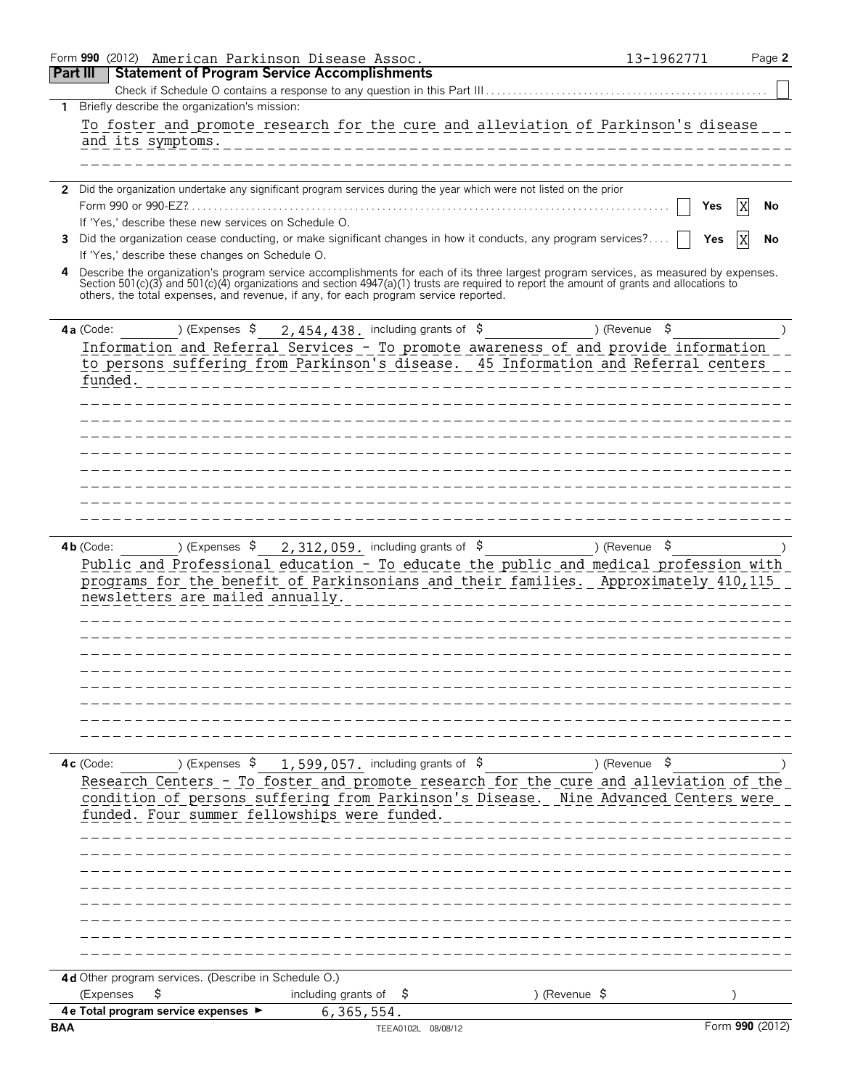|                 | Form 990 (2012) American Parkinson Disease Assoc.                                   |                                                                                                                                                                                                                                                                                    | 13-1962771               | Page 2 |
|-----------------|-------------------------------------------------------------------------------------|------------------------------------------------------------------------------------------------------------------------------------------------------------------------------------------------------------------------------------------------------------------------------------|--------------------------|--------|
| <b>Part III</b> | <b>Statement of Program Service Accomplishments</b>                                 |                                                                                                                                                                                                                                                                                    |                          |        |
|                 |                                                                                     |                                                                                                                                                                                                                                                                                    |                          |        |
| 1               | Briefly describe the organization's mission:                                        |                                                                                                                                                                                                                                                                                    |                          |        |
|                 |                                                                                     | To foster and promote research for the cure and alleviation of Parkinson's disease                                                                                                                                                                                                 |                          |        |
|                 | and its symptoms.                                                                   |                                                                                                                                                                                                                                                                                    |                          |        |
|                 |                                                                                     |                                                                                                                                                                                                                                                                                    |                          |        |
|                 |                                                                                     |                                                                                                                                                                                                                                                                                    |                          |        |
|                 |                                                                                     | 2 Did the organization undertake any significant program services during the year which were not listed on the prior                                                                                                                                                               |                          |        |
|                 |                                                                                     |                                                                                                                                                                                                                                                                                    | Yes                      | No     |
|                 | If 'Yes,' describe these new services on Schedule O.                                |                                                                                                                                                                                                                                                                                    |                          |        |
| 3               |                                                                                     | Did the organization cease conducting, or make significant changes in how it conducts, any program services?                                                                                                                                                                       | Yes                      | No     |
|                 | If 'Yes,' describe these changes on Schedule O.                                     |                                                                                                                                                                                                                                                                                    |                          |        |
| 4               |                                                                                     | Describe the organization's program service accomplishments for each of its three largest program services, as measured by expenses.<br>Section 501(c)(3) and 501(c)(4) organizations and section 4947(a)(1) trusts are required to report the amount of grants and allocations to |                          |        |
|                 | others, the total expenses, and revenue, if any, for each program service reported. |                                                                                                                                                                                                                                                                                    |                          |        |
|                 |                                                                                     |                                                                                                                                                                                                                                                                                    |                          |        |
|                 | ) (Expenses $\frac{1}{2}$<br>4a (Code:                                              | 2,454,438. including grants of \$                                                                                                                                                                                                                                                  | ) (Revenue $\frac{1}{2}$ |        |
|                 |                                                                                     | Information and Referral Services - To promote awareness of and provide information                                                                                                                                                                                                |                          |        |
|                 |                                                                                     | to persons suffering from Parkinson's disease. 45 Information and Referral centers                                                                                                                                                                                                 |                          |        |
|                 | funded.                                                                             |                                                                                                                                                                                                                                                                                    |                          |        |
|                 |                                                                                     |                                                                                                                                                                                                                                                                                    |                          |        |
|                 |                                                                                     |                                                                                                                                                                                                                                                                                    |                          |        |
|                 |                                                                                     |                                                                                                                                                                                                                                                                                    |                          |        |
|                 |                                                                                     |                                                                                                                                                                                                                                                                                    |                          |        |
|                 |                                                                                     |                                                                                                                                                                                                                                                                                    |                          |        |
|                 |                                                                                     |                                                                                                                                                                                                                                                                                    |                          |        |
|                 |                                                                                     |                                                                                                                                                                                                                                                                                    |                          |        |
|                 |                                                                                     |                                                                                                                                                                                                                                                                                    |                          |        |
|                 | $4b$ (Code:<br>) (Expenses \$<br>newsletters are mailed annually.                   | $2,312,059$ . including grants of \$<br>Public and Professional education - To educate the public and medical profession with<br>programs for the benefit of Parkinsonians and their families. Approximately 410,115                                                               | ) (Revenue \$            |        |
|                 |                                                                                     |                                                                                                                                                                                                                                                                                    |                          |        |
|                 | ) (Expenses $$$<br>4c (Code:                                                        | 1,599,057. including grants of \$                                                                                                                                                                                                                                                  | ) (Revenue $\frac{1}{2}$ |        |
|                 | funded. Four summer fellowships were funded.                                        | Research Centers - To foster and promote research for the cure and alleviation of the<br>condition of persons suffering from Parkinson's Disease. Nine Advanced Centers were                                                                                                       |                          |        |
|                 |                                                                                     |                                                                                                                                                                                                                                                                                    |                          |        |
|                 |                                                                                     |                                                                                                                                                                                                                                                                                    |                          |        |
|                 | 4d Other program services. (Describe in Schedule O.)<br>\$<br>(Expenses             | including grants of<br>-Ş                                                                                                                                                                                                                                                          | ) (Revenue $\sqrt{5}$    |        |
|                 | 4 e Total program service expenses >                                                | 6,365,554.                                                                                                                                                                                                                                                                         |                          |        |
| <b>BAA</b>      |                                                                                     | TEEA0102L 08/08/12                                                                                                                                                                                                                                                                 | Form 990 (2012)          |        |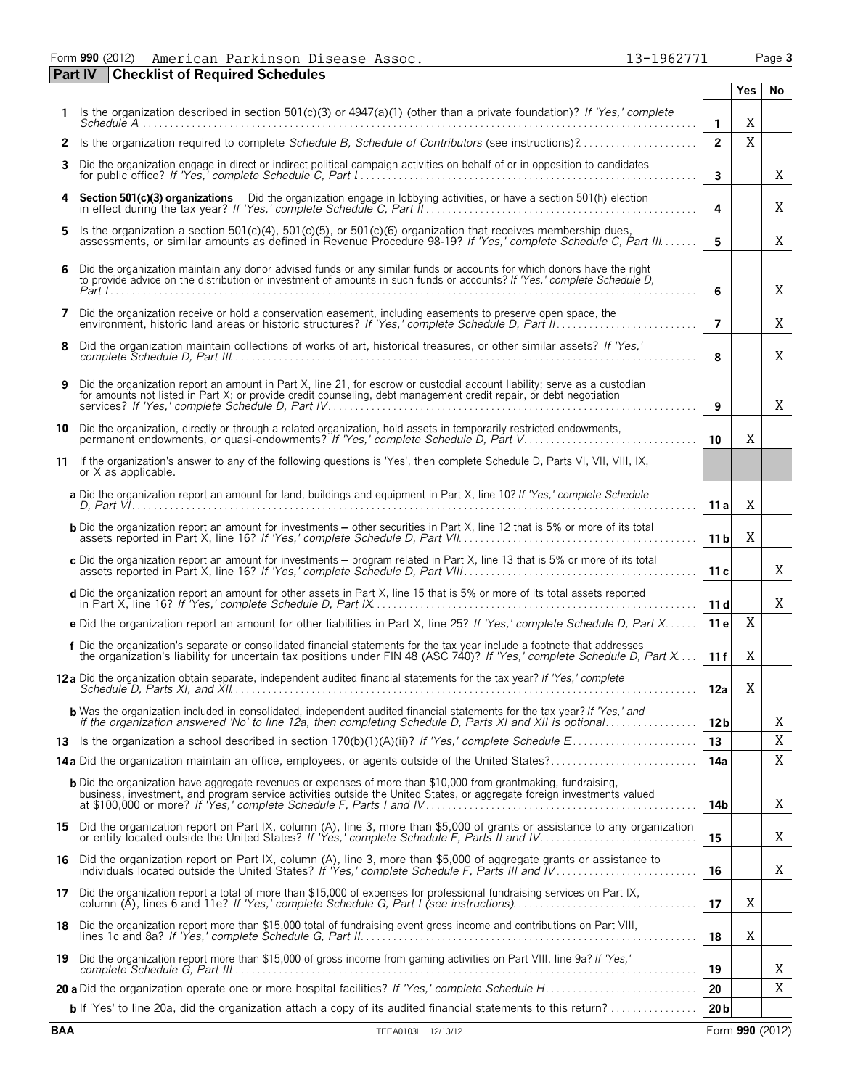Form **990** (2012) Page **3** American Parkinson Disease Assoc. 13-1962771

**Part IV Checklist of Required Schedules**

|     |                                                                                                                                                                                                                                                     |                 | <b>Yes</b> | No.         |
|-----|-----------------------------------------------------------------------------------------------------------------------------------------------------------------------------------------------------------------------------------------------------|-----------------|------------|-------------|
|     | Is the organization described in section 501(c)(3) or 4947(a)(1) (other than a private foundation)? If 'Yes,' complete                                                                                                                              | $\mathbf{1}$    | X          |             |
|     | 2 Is the organization required to complete Schedule B, Schedule of Contributors (see instructions)?                                                                                                                                                 | $\overline{2}$  | $\rm X$    |             |
| 3.  | Did the organization engage in direct or indirect political campaign activities on behalf of or in opposition to candidates                                                                                                                         | $\mathbf{3}$    |            | Χ           |
| 4   | Section 501(c)(3) organizations Did the organization engage in lobbying activities, or have a section 501(h) election                                                                                                                               | 4               |            | X           |
| 5.  | Is the organization a section 501(c)(4), 501(c)(5), or 501(c)(6) organization that receives membership dues,<br>assessments, or similar amounts as defined in Revenue Procedure 98-19? If 'Yes,' complete Schedule C, Part III                      | 5               |            | X           |
| 6   | Did the organization maintain any donor advised funds or any similar funds or accounts for which donors have the right<br>to provide advice on the distribution or investment of amounts in such funds or accounts? If 'Yes,' complete Schedule D,  | 6               |            | X           |
| 7   | Did the organization receive or hold a conservation easement, including easements to preserve open space, the                                                                                                                                       | $\overline{7}$  |            | X           |
| 8   | Did the organization maintain collections of works of art, historical treasures, or other similar assets? If 'Yes,'                                                                                                                                 | 8               |            | X           |
| 9   | Did the organization report an amount in Part X, line 21, for escrow or custodial account liability; serve as a custodian<br>for amounts not listed in Part X; or provide credit counseling, debt management credit repair, or debt negotiation     | 9               |            | Χ           |
| 10  | Did the organization, directly or through a related organization, hold assets in temporarily restricted endowments,<br>permanent endowments, or quasi-endowments? If 'Yes,' complete Schedule D, Part V                                             | 10              | X          |             |
| 11  | If the organization's answer to any of the following questions is 'Yes', then complete Schedule D, Parts VI, VII, VIII, IX,<br>or X as applicable.                                                                                                  |                 |            |             |
|     | a Did the organization report an amount for land, buildings and equipment in Part X, line 10? If 'Yes,' complete Schedule                                                                                                                           | 11 a            | X          |             |
|     | <b>b</b> Did the organization report an amount for investments - other securities in Part X, line 12 that is 5% or more of its total                                                                                                                | 11 <sub>b</sub> | X          |             |
|     | c Did the organization report an amount for investments - program related in Part X, line 13 that is 5% or more of its total                                                                                                                        | 11c             |            | Χ           |
|     | d Did the organization report an amount for other assets in Part X, line 15 that is 5% or more of its total assets reported                                                                                                                         | 11d             |            | X           |
|     | e Did the organization report an amount for other liabilities in Part X, line 25? If 'Yes,' complete Schedule D, Part X                                                                                                                             | 11 e            | X          |             |
|     | f Did the organization's separate or consolidated financial statements for the tax year include a footnote that addresses<br>the organization's liability for uncertain tax positions under FIN 48 (ASC 740)? If 'Yes,' complete Schedule D, Part X | 11f             | X          |             |
|     | 12a Did the organization obtain separate, independent audited financial statements for the tax year? If 'Yes,' complete                                                                                                                             | 12a             | X          |             |
|     | <b>b</b> Was the organization included in consolidated, independent audited financial statements for the tax year? If 'Yes,' and                                                                                                                    | 12 <sub>b</sub> |            | Χ           |
|     |                                                                                                                                                                                                                                                     | 13              |            | X           |
|     | 14a Did the organization maintain an office, employees, or agents outside of the United States?                                                                                                                                                     | 14a             |            | Χ           |
|     | <b>b</b> Did the organization have aggregate revenues or expenses of more than \$10,000 from grantmaking, fundraising,<br>business, investment, and program service activities outside the United States, or aggregate foreign investments valued   | 14b             |            | Χ           |
|     | 15 Did the organization report on Part IX, column (A), line 3, more than \$5,000 of grants or assistance to any organization                                                                                                                        | 15              |            | Χ           |
|     | 16 Did the organization report on Part IX, column (A), line 3, more than \$5,000 of aggregate grants or assistance to individuals located outside the United States? If 'Yes,' complete Schedule F, Parts III and IV                                | 16              |            | Χ           |
|     | 17 Did the organization report a total of more than \$15,000 of expenses for professional fundraising services on Part IX,                                                                                                                          | 17              | X          |             |
|     | 18 Did the organization report more than \$15,000 total of fundraising event gross income and contributions on Part VIII,                                                                                                                           | 18              | X          |             |
| 19. | Did the organization report more than \$15,000 of gross income from gaming activities on Part VIII, line 9a? If 'Yes,'                                                                                                                              | 19              |            | Χ           |
|     |                                                                                                                                                                                                                                                     | 20              |            | $\mathbf X$ |
|     | <b>b</b> If 'Yes' to line 20a, did the organization attach a copy of its audited financial statements to this return?                                                                                                                               | 20 <sub>b</sub> |            |             |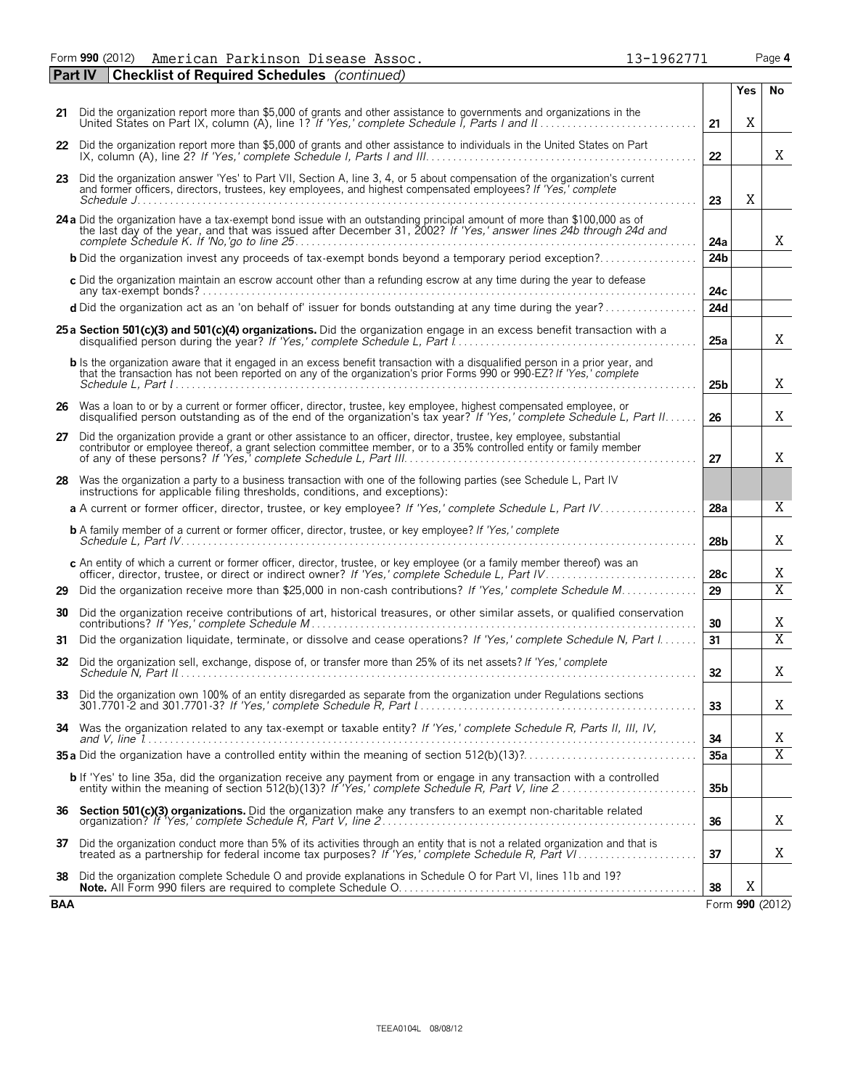Form **990** (2012) American Parkinson Disease Assoc. 13-1962771 Page **4** American Parkinson Disease Assoc. 13-1962771

|            | <b>Checklist of Required Schedules</b> (continued)<br><b>Part IV</b>                                                                                                                                                                                  |                 |     |                         |  |  |
|------------|-------------------------------------------------------------------------------------------------------------------------------------------------------------------------------------------------------------------------------------------------------|-----------------|-----|-------------------------|--|--|
|            |                                                                                                                                                                                                                                                       |                 | Yes | No                      |  |  |
|            | 21 Did the organization report more than \$5,000 of grants and other assistance to governments and organizations in the                                                                                                                               | 21              | X   |                         |  |  |
| 22         | Did the organization report more than \$5,000 of grants and other assistance to individuals in the United States on Part                                                                                                                              | 22              |     | X                       |  |  |
|            | 23 Did the organization answer 'Yes' to Part VII, Section A, line 3, 4, or 5 about compensation of the organization's current<br>and former officers, directors, trustees, key employees, and highest compensated employees? If 'Yes,' complete       | 23              | Χ   |                         |  |  |
|            |                                                                                                                                                                                                                                                       |                 |     |                         |  |  |
|            | 24 a Did the organization have a tax-exempt bond issue with an outstanding principal amount of more than \$100,000 as of<br>the last day of the year, and that was issued after December 31, 2002? If 'Yes,' answer lines 24b through 24d and         | 24a             |     | X                       |  |  |
|            | <b>b</b> Did the organization invest any proceeds of tax-exempt bonds beyond a temporary period exception?                                                                                                                                            | 24 <sub>b</sub> |     |                         |  |  |
|            | c Did the organization maintain an escrow account other than a refunding escrow at any time during the year to defease                                                                                                                                | 24c             |     |                         |  |  |
|            | d Did the organization act as an 'on behalf of' issuer for bonds outstanding at any time during the year?                                                                                                                                             | 24d             |     |                         |  |  |
|            | 25 a Section 501(c)(3) and 501(c)(4) organizations. Did the organization engage in an excess benefit transaction with a                                                                                                                               | 25a             |     | X                       |  |  |
|            | b Is the organization aware that it engaged in an excess benefit transaction with a disqualified person in a prior year, and<br>that the transaction has not been reported on any of the organization's prior Forms 990 or 990-EZ? If 'Yes,' complete | 25 <sub>b</sub> |     | X                       |  |  |
|            | 26 Was a loan to or by a current or former officer, director, trustee, key employee, highest compensated employee, or disqualified person outstanding as of the end of the organization's tax year? If 'Yes,' complete Schedul                        |                 |     |                         |  |  |
| 27         | Did the organization provide a grant or other assistance to an officer, director, trustee, key employee, substantial<br>contributor or employee thereof, a grant selection committee member, or to a 35% controlled entity or family member           | 27              |     | X                       |  |  |
|            | 28 Was the organization a party to a business transaction with one of the following parties (see Schedule L, Part IV<br>instructions for applicable filing thresholds, conditions, and exceptions):                                                   |                 |     |                         |  |  |
|            |                                                                                                                                                                                                                                                       | 28a             |     | Χ                       |  |  |
|            | <b>b</b> A family member of a current or former officer, director, trustee, or key employee? If 'Yes,' complete                                                                                                                                       | 28 <sub>b</sub> |     | X                       |  |  |
|            | c An entity of which a current or former officer, director, trustee, or key employee (or a family member thereof) was an                                                                                                                              | 28c             |     | X                       |  |  |
| 29         | Did the organization receive more than \$25,000 in non-cash contributions? If 'Yes,' complete Schedule M                                                                                                                                              | 29              |     | $\overline{X}$          |  |  |
| 30         | Did the organization receive contributions of art, historical treasures, or other similar assets, or qualified conservation                                                                                                                           | 30              |     | Χ                       |  |  |
| 31         | Did the organization liquidate, terminate, or dissolve and cease operations? If 'Yes,' complete Schedule N, Part I                                                                                                                                    | 31              |     | $\overline{\mathrm{X}}$ |  |  |
| 32         | Did the organization sell, exchange, dispose of, or transfer more than 25% of its net assets? If 'Yes,' complete                                                                                                                                      | 32              |     | X                       |  |  |
|            |                                                                                                                                                                                                                                                       | 33              |     | X                       |  |  |
|            | 34 Was the organization related to any tax-exempt or taxable entity? If 'Yes,' complete Schedule R, Parts II, III, IV,                                                                                                                                | 34              |     | Χ                       |  |  |
|            |                                                                                                                                                                                                                                                       | 35a             |     | $\overline{X}$          |  |  |
|            | <b>b</b> If 'Yes' to line 35a, did the organization receive any payment from or engage in any transaction with a controlled entity within the meaning of section 512(b)(13)? If 'Yes,' complete Schedule R, Part V, line 2                            | 35 <sub>b</sub> |     |                         |  |  |
|            |                                                                                                                                                                                                                                                       | 36              |     | X                       |  |  |
| 37         | Did the organization conduct more than 5% of its activities through an entity that is not a related organization and that is treated as a partnership for federal income tax purposes? If 'Yes,' complete Schedule R, Part VI.                        | 37              |     | X                       |  |  |
| 38         | Did the organization complete Schedule O and provide explanations in Schedule O for Part VI, lines 11b and 19?                                                                                                                                        | 38              | Χ   |                         |  |  |
| <b>BAA</b> |                                                                                                                                                                                                                                                       |                 |     | Form 990 (2012)         |  |  |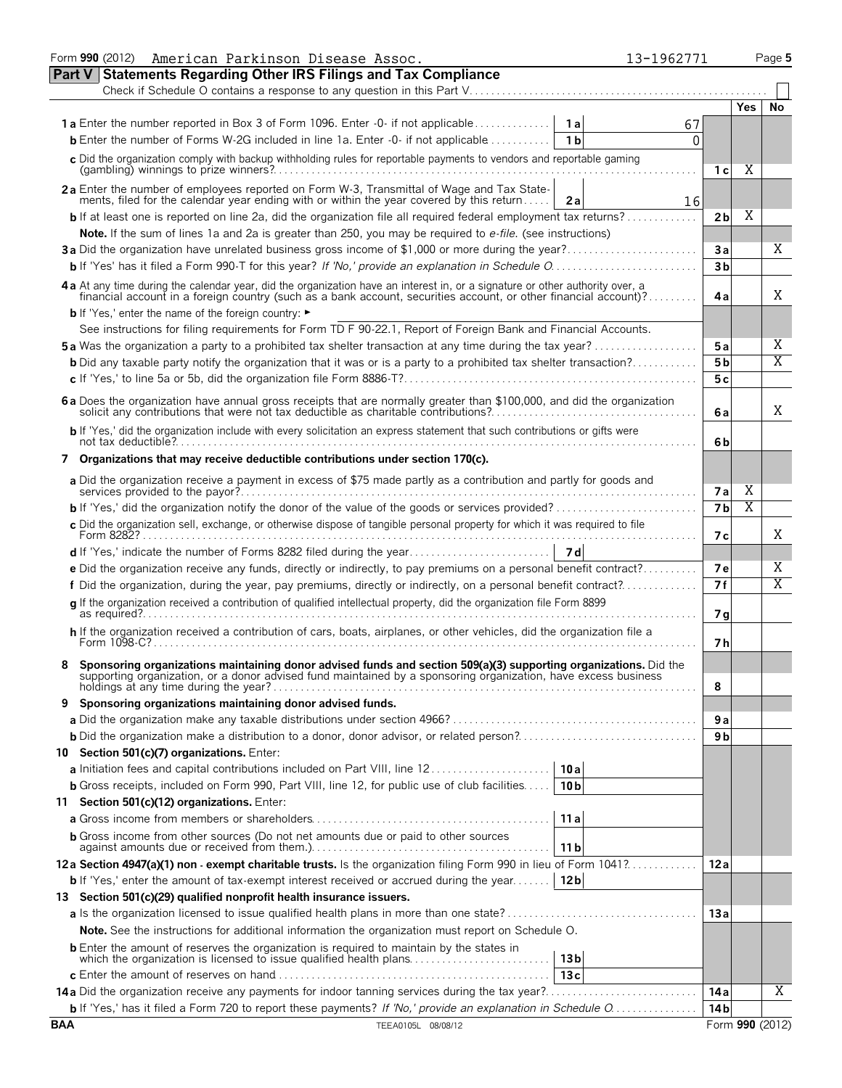|            | Form 990 (2012) American Parkinson Disease Assoc.<br>13-1962771                                                                                                                                                                |                |     | Page 5          |
|------------|--------------------------------------------------------------------------------------------------------------------------------------------------------------------------------------------------------------------------------|----------------|-----|-----------------|
|            | <b>Part V Statements Regarding Other IRS Filings and Tax Compliance</b>                                                                                                                                                        |                |     |                 |
|            |                                                                                                                                                                                                                                |                |     |                 |
|            |                                                                                                                                                                                                                                |                | Yes | No              |
|            | 67                                                                                                                                                                                                                             |                |     |                 |
|            | <b>b</b> Enter the number of Forms W-2G included in line 1a. Enter -0- if not applicable<br>1 <sub>b</sub><br>0                                                                                                                |                |     |                 |
|            | c Did the organization comply with backup withholding rules for reportable payments to vendors and reportable gaming                                                                                                           | 1 с            | Χ   |                 |
|            | 2a Enter the number of employees reported on Form W-3, Transmittal of Wage and Tax Statements, filed for the calendar year ending with or within the year covered by this return<br>16<br>2a                                   |                |     |                 |
|            | <b>b</b> If at least one is reported on line 2a, did the organization file all required federal employment tax returns?                                                                                                        | 2 <sub>b</sub> | Χ   |                 |
|            | Note. If the sum of lines 1a and 2a is greater than 250, you may be required to e-file. (see instructions)                                                                                                                     |                |     |                 |
|            | 3a Did the organization have unrelated business gross income of \$1,000 or more during the year?                                                                                                                               | Зa             |     | X               |
|            |                                                                                                                                                                                                                                | 3 <sub>b</sub> |     |                 |
|            |                                                                                                                                                                                                                                |                |     |                 |
|            | 4 a At any time during the calendar year, did the organization have an interest in, or a signature or other authority over, a financial account in a foreign country (such as a bank account, securities account, or other fin | 4a             |     | X               |
|            | <b>b</b> If 'Yes,' enter the name of the foreign country: ►                                                                                                                                                                    |                |     |                 |
|            | See instructions for filing requirements for Form TD F 90-22.1, Report of Foreign Bank and Financial Accounts.                                                                                                                 |                |     |                 |
|            | <b>5a</b> Was the organization a party to a prohibited tax shelter transaction at any time during the tax year?                                                                                                                | 5 a            |     | Χ               |
|            | <b>b</b> Did any taxable party notify the organization that it was or is a party to a prohibited tax shelter transaction?                                                                                                      | 5 <sub>b</sub> |     | $\overline{X}$  |
|            |                                                                                                                                                                                                                                | 5c             |     |                 |
|            | 6 a Does the organization have annual gross receipts that are normally greater than \$100,000, and did the organization solicit any contributions that were not tax deductible as charitable contributions?                    | 6 a            |     | X               |
|            | b If 'Yes,' did the organization include with every solicitation an express statement that such contributions or gifts were                                                                                                    | 6b             |     |                 |
|            | 7 Organizations that may receive deductible contributions under section 170(c).                                                                                                                                                |                |     |                 |
|            | a Did the organization receive a payment in excess of \$75 made partly as a contribution and partly for goods and                                                                                                              | <b>7a</b>      | Χ   |                 |
|            |                                                                                                                                                                                                                                | 7 <sub>b</sub> | Χ   |                 |
|            | c Did the organization sell, exchange, or otherwise dispose of tangible personal property for which it was required to file<br>Form 8282?                                                                                      | 7 с            |     | X               |
|            |                                                                                                                                                                                                                                |                |     |                 |
|            | e Did the organization receive any funds, directly or indirectly, to pay premiums on a personal benefit contract?                                                                                                              | 7е             |     | Χ               |
|            | f Did the organization, during the year, pay premiums, directly or indirectly, on a personal benefit contract?                                                                                                                 | 7f             |     | $\overline{X}$  |
|            | q If the organization received a contribution of qualified intellectual property, did the organization file Form 8899                                                                                                          | 7 g            |     |                 |
|            | h If the organization received a contribution of cars, boats, airplanes, or other vehicles, did the organization file a<br>Form 1098-C?                                                                                        | 7 h            |     |                 |
|            | Sponsoring organizations maintaining donor advised funds and section 509(a)(3) supporting organizations. Did the supporting organization, or a donor advised fund maintained by a sponsoring organization, have excess busines | 8              |     |                 |
|            | 9 Sponsoring organizations maintaining donor advised funds.                                                                                                                                                                    |                |     |                 |
|            |                                                                                                                                                                                                                                | 9а             |     |                 |
|            |                                                                                                                                                                                                                                | 9 b            |     |                 |
|            | 10 Section 501(c)(7) organizations. Enter:                                                                                                                                                                                     |                |     |                 |
|            | a Initiation fees and capital contributions included on Part VIII, line 12<br>10a                                                                                                                                              |                |     |                 |
|            | <b>b</b> Gross receipts, included on Form 990, Part VIII, line 12, for public use of club facilities<br>10 <sub>b</sub>                                                                                                        |                |     |                 |
|            | 11 Section 501(c)(12) organizations. Enter:                                                                                                                                                                                    |                |     |                 |
|            | 11a                                                                                                                                                                                                                            |                |     |                 |
|            | <b>b</b> Gross income from other sources (Do not net amounts due or paid to other sources<br>11 b                                                                                                                              |                |     |                 |
|            | 12a Section 4947(a)(1) non - exempt charitable trusts. Is the organization filing Form 990 in lieu of Form 1041?                                                                                                               | 12 a           |     |                 |
|            | 12 <sub>b</sub><br><b>b</b> If 'Yes,' enter the amount of tax-exempt interest received or accrued during the year                                                                                                              |                |     |                 |
|            | 13 Section 501(c)(29) qualified nonprofit health insurance issuers.                                                                                                                                                            |                |     |                 |
|            | <b>a</b> Is the organization licensed to issue qualified health plans in more than one state?                                                                                                                                  | 13a            |     |                 |
|            | Note. See the instructions for additional information the organization must report on Schedule O.                                                                                                                              |                |     |                 |
|            | <b>b</b> Enter the amount of reserves the organization is required to maintain by the states in<br>which the organization is licensed to issue qualified health plans<br>13 <sub>b</sub>                                       |                |     |                 |
|            | 13c                                                                                                                                                                                                                            |                |     |                 |
|            | 14a Did the organization receive any payments for indoor tanning services during the tax year?                                                                                                                                 | 14 a           |     | Χ               |
|            | <b>b</b> If 'Yes,' has it filed a Form 720 to report these payments? If 'No,' provide an explanation in Schedule O                                                                                                             | 14 b           |     |                 |
| <b>BAA</b> | TEEA0105L 08/08/12                                                                                                                                                                                                             |                |     | Form 990 (2012) |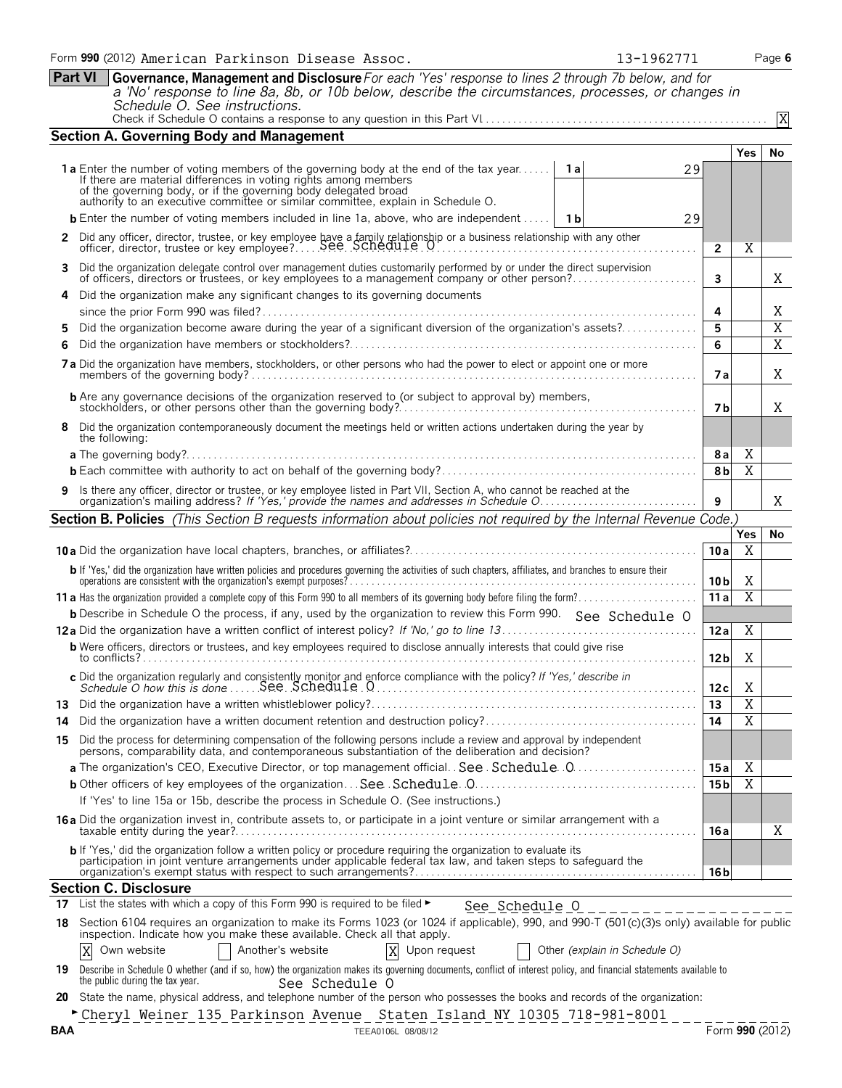**Part VI Governance, Management and Disclosure***For each 'Yes' response to lines 2 through 7b below, and for a 'No' response to line 8a, 8b, or 10b below, describe the circumstances, processes, or changes in Schedule O. See instructions.* Check if Schedule O contains a response to any question in this Part VI. . . . . . . . . . . . . . . . . . . . . . . . . . . . . . . . . . . . . . . . . . . . . . . . . . . . .

|                                                                                                                               | <b>Section A. Governing Body and Management</b>                                                                                                                                                                                           |                 |                         |                |  |  |  |  |  |
|-------------------------------------------------------------------------------------------------------------------------------|-------------------------------------------------------------------------------------------------------------------------------------------------------------------------------------------------------------------------------------------|-----------------|-------------------------|----------------|--|--|--|--|--|
|                                                                                                                               |                                                                                                                                                                                                                                           |                 | <b>Yes</b>              | No             |  |  |  |  |  |
|                                                                                                                               | <b>1a</b> Enter the number of voting members of the governing body at the end of the tax year<br>- 1 a<br>29                                                                                                                              |                 |                         |                |  |  |  |  |  |
|                                                                                                                               | If there are material differences in voting rights among members<br>of the governing body, or if the governing body delegated broad                                                                                                       |                 |                         |                |  |  |  |  |  |
|                                                                                                                               | authority to an executive committee or similar committee, explain in Schedule O.                                                                                                                                                          |                 |                         |                |  |  |  |  |  |
|                                                                                                                               | <b>b</b> Enter the number of voting members included in line 1a, above, who are independent<br>29<br>- 1 b                                                                                                                                |                 |                         |                |  |  |  |  |  |
|                                                                                                                               |                                                                                                                                                                                                                                           | $\overline{2}$  | X                       |                |  |  |  |  |  |
|                                                                                                                               | 3 Did the organization delegate control over management duties customarily performed by or under the direct supervision<br>of officers, directors or trustees, or key employees to a management company or other person?                  | 3               |                         | X.             |  |  |  |  |  |
|                                                                                                                               | 4 Did the organization make any significant changes to its governing documents                                                                                                                                                            |                 |                         |                |  |  |  |  |  |
|                                                                                                                               |                                                                                                                                                                                                                                           | 4               |                         | X              |  |  |  |  |  |
|                                                                                                                               | Did the organization become aware during the year of a significant diversion of the organization's assets?                                                                                                                                | 5               |                         | X              |  |  |  |  |  |
| 6                                                                                                                             |                                                                                                                                                                                                                                           | 6               |                         | $\overline{X}$ |  |  |  |  |  |
|                                                                                                                               |                                                                                                                                                                                                                                           |                 |                         |                |  |  |  |  |  |
|                                                                                                                               |                                                                                                                                                                                                                                           |                 |                         |                |  |  |  |  |  |
|                                                                                                                               |                                                                                                                                                                                                                                           | 7 b             |                         | Χ              |  |  |  |  |  |
|                                                                                                                               | 8 Did the organization contemporaneously document the meetings held or written actions undertaken during the year by<br>the following:                                                                                                    |                 |                         |                |  |  |  |  |  |
|                                                                                                                               |                                                                                                                                                                                                                                           | 8 a             | Χ                       |                |  |  |  |  |  |
|                                                                                                                               |                                                                                                                                                                                                                                           | 8b              | $\overline{X}$          |                |  |  |  |  |  |
| 9 Is there any officer, director or trustee, or key employee listed in Part VII, Section A, who cannot be reached at the<br>9 |                                                                                                                                                                                                                                           |                 |                         |                |  |  |  |  |  |
|                                                                                                                               | Section B. Policies (This Section B requests information about policies not required by the Internal Revenue Code.)                                                                                                                       |                 |                         | X.             |  |  |  |  |  |
|                                                                                                                               |                                                                                                                                                                                                                                           |                 | Yes                     | No.            |  |  |  |  |  |
|                                                                                                                               |                                                                                                                                                                                                                                           | 10a             | Χ                       |                |  |  |  |  |  |
|                                                                                                                               | <b>b</b> If 'Yes,' did the organization have written policies and procedures governing the activities of such chapters, affiliates, and branches to ensure their operations are consistent with the organization's exempt purposes?       | 10 <sub>b</sub> | Χ                       |                |  |  |  |  |  |
|                                                                                                                               |                                                                                                                                                                                                                                           | 11a             | $\overline{X}$          |                |  |  |  |  |  |
|                                                                                                                               | <b>b</b> Describe in Schedule O the process, if any, used by the organization to review this Form 990. See Schedule O                                                                                                                     |                 |                         |                |  |  |  |  |  |
|                                                                                                                               |                                                                                                                                                                                                                                           | 12a             | $\overline{\mathbf{X}}$ |                |  |  |  |  |  |
|                                                                                                                               | <b>b</b> Were officers, directors or trustees, and key employees required to disclose annually interests that could give rise                                                                                                             | 12 <sub>b</sub> | Χ                       |                |  |  |  |  |  |
|                                                                                                                               |                                                                                                                                                                                                                                           | 12c             | Χ                       |                |  |  |  |  |  |
|                                                                                                                               |                                                                                                                                                                                                                                           | 13              | $\overline{\text{X}}$   |                |  |  |  |  |  |
|                                                                                                                               |                                                                                                                                                                                                                                           | 14              | $\overline{X}$          |                |  |  |  |  |  |
|                                                                                                                               | 15 Did the process for determining compensation of the following persons include a review and approval by independent<br>persons, comparability data, and contemporaneous substantiation of the deliberation and decision?                |                 |                         |                |  |  |  |  |  |
|                                                                                                                               |                                                                                                                                                                                                                                           | 15 a            | X                       |                |  |  |  |  |  |
|                                                                                                                               |                                                                                                                                                                                                                                           | 15 <sub>b</sub> | $\overline{\mathbf{X}}$ |                |  |  |  |  |  |
|                                                                                                                               | If 'Yes' to line 15a or 15b, describe the process in Schedule O. (See instructions.)                                                                                                                                                      |                 |                         |                |  |  |  |  |  |
|                                                                                                                               | 16 a Did the organization invest in, contribute assets to, or participate in a joint venture or similar arrangement with a                                                                                                                |                 |                         |                |  |  |  |  |  |
|                                                                                                                               |                                                                                                                                                                                                                                           | 16 a            |                         | X              |  |  |  |  |  |
|                                                                                                                               | <b>b</b> If 'Yes,' did the organization follow a written policy or procedure requiring the organization to evaluate its<br>participation in joint venture arrangements under applicable federal tax law, and taken steps to safeguard the |                 |                         |                |  |  |  |  |  |
|                                                                                                                               |                                                                                                                                                                                                                                           | 16 b            |                         |                |  |  |  |  |  |
|                                                                                                                               | <b>Section C. Disclosure</b>                                                                                                                                                                                                              |                 |                         |                |  |  |  |  |  |
|                                                                                                                               | 17 List the states with which a copy of this Form 990 is required to be filed $\blacktriangleright$<br>$See$ Schedule $0$ __________________                                                                                              |                 |                         |                |  |  |  |  |  |
| 18                                                                                                                            | Section 6104 requires an organization to make its Forms 1023 (or 1024 if applicable), 990, and 990-T (501(c)(3)s only) available for public<br>inspection. Indicate how you make these available. Check all that apply.                   |                 |                         |                |  |  |  |  |  |
|                                                                                                                               | Own website<br>Another's website<br>X Upon request<br>Other (explain in Schedule O)<br>Χ                                                                                                                                                  |                 |                         |                |  |  |  |  |  |

|                                 | 19 Describe in Schedule O whether (and if so, how) the organization makes its governing documents, conflict of interest policy, and financial statements available to |  |  |
|---------------------------------|-----------------------------------------------------------------------------------------------------------------------------------------------------------------------|--|--|
| the public during the tax year. | - See Schedule (J                                                                                                                                                     |  |  |

**20** State the name, physical address, and telephone number of the person who possesses the books and records of the organization:

G **BAA** TEEA0106L 08/08/12 Form **990** (2012) Cheryl Weiner 135 Parkinson Avenue Staten Island NY 10305 718-981-8001

X

|  | 196277 |  |  |
|--|--------|--|--|
|  |        |  |  |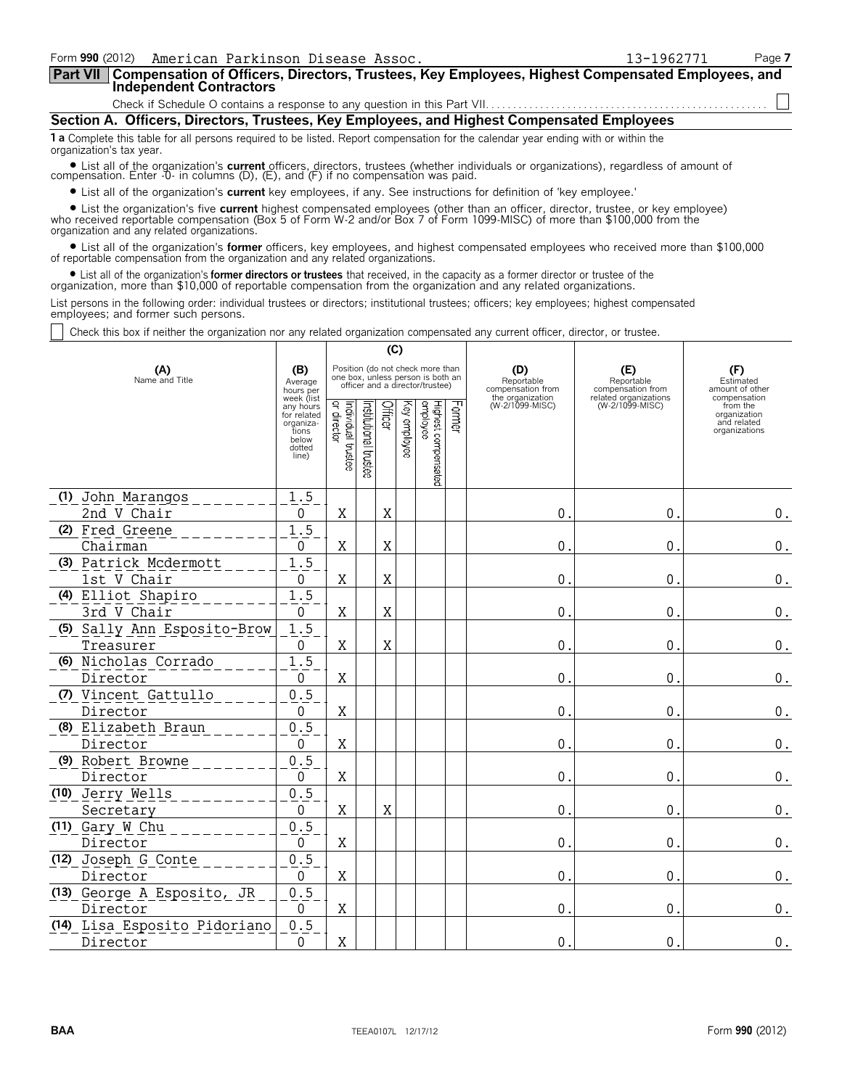| Form 990 (2012) American Parkinson Disease Assoc.                                                                                                                                                                                                              |                                                                                                                                                                                                                                |                                                |                                                                                                                                                    |         |                     |                                 |               |                                     | 13-1962771                               |                                                                          | Page 7 |
|----------------------------------------------------------------------------------------------------------------------------------------------------------------------------------------------------------------------------------------------------------------|--------------------------------------------------------------------------------------------------------------------------------------------------------------------------------------------------------------------------------|------------------------------------------------|----------------------------------------------------------------------------------------------------------------------------------------------------|---------|---------------------|---------------------------------|---------------|-------------------------------------|------------------------------------------|--------------------------------------------------------------------------|--------|
| Compensation of Officers, Directors, Trustees, Key Employees, Highest Compensated Employees, and<br><b>Part VII</b><br><b>Independent Contractors</b>                                                                                                          |                                                                                                                                                                                                                                |                                                |                                                                                                                                                    |         |                     |                                 |               |                                     |                                          |                                                                          |        |
|                                                                                                                                                                                                                                                                |                                                                                                                                                                                                                                |                                                |                                                                                                                                                    |         |                     |                                 |               |                                     |                                          |                                                                          |        |
| Section A. Officers, Directors, Trustees, Key Employees, and Highest Compensated Employees                                                                                                                                                                     |                                                                                                                                                                                                                                |                                                |                                                                                                                                                    |         |                     |                                 |               |                                     |                                          |                                                                          |        |
| 1 a Complete this table for all persons required to be listed. Report compensation for the calendar year ending with or within the<br>organization's tax year.                                                                                                 |                                                                                                                                                                                                                                |                                                |                                                                                                                                                    |         |                     |                                 |               |                                     |                                          |                                                                          |        |
| • List all of the organization's current officers, directors, trustees (whether individuals or organizations), regardless of amount of compensation. Enter -0- in columns (D), (E), and (F) if no compensation was paid.                                       |                                                                                                                                                                                                                                |                                                |                                                                                                                                                    |         |                     |                                 |               |                                     |                                          |                                                                          |        |
| • List all of the organization's current key employees, if any. See instructions for definition of 'key employee.'                                                                                                                                             |                                                                                                                                                                                                                                |                                                |                                                                                                                                                    |         |                     |                                 |               |                                     |                                          |                                                                          |        |
| organization and any related organizations.                                                                                                                                                                                                                    | • List the organization's five current highest compensated employees (other than an officer, director, trustee, or key employee) who received reportable compensation (Box 5 of Form W-2 and/or Box 7 of Form 1099-MISC) of mo |                                                |                                                                                                                                                    |         |                     |                                 |               |                                     |                                          |                                                                          |        |
| • List all of the organization's former officers, key employees, and highest compensated employees who received more than \$100,000<br>of reportable compensation from the organization and any related organizations.                                         |                                                                                                                                                                                                                                |                                                |                                                                                                                                                    |         |                     |                                 |               |                                     |                                          |                                                                          |        |
| • List all of the organization's <b>former directors or trustees</b> that received, in the capacity as a former director or trustee of the<br>organization, more than \$10,000 of reportable compensation from the organization and any related organizations. |                                                                                                                                                                                                                                |                                                |                                                                                                                                                    |         |                     |                                 |               |                                     |                                          |                                                                          |        |
| List persons in the following order: individual trustees or directors; institutional trustees; officers; key employees; highest compensated<br>employees; and former such persons.                                                                             |                                                                                                                                                                                                                                |                                                |                                                                                                                                                    |         |                     |                                 |               |                                     |                                          |                                                                          |        |
| Check this box if neither the organization nor any related organization compensated any current officer, director, or trustee.                                                                                                                                 |                                                                                                                                                                                                                                |                                                |                                                                                                                                                    |         |                     |                                 |               |                                     |                                          |                                                                          |        |
|                                                                                                                                                                                                                                                                |                                                                                                                                                                                                                                |                                                |                                                                                                                                                    | (C)     |                     |                                 |               |                                     |                                          |                                                                          |        |
| (A)<br>(B)<br>Name and Title<br>Average<br>hours per                                                                                                                                                                                                           |                                                                                                                                                                                                                                |                                                | Position (do not check more than<br>(D)<br>one box, unless person is both an<br>officer and a director/trustee)<br>Reportable<br>compensation from |         |                     |                                 |               |                                     | (E)<br>Reportable<br>compensation from   | (F)<br>Estimated<br>amount of other                                      |        |
|                                                                                                                                                                                                                                                                | week (list<br>any hours<br>for related<br>organiza-<br>tions<br>below<br>dotted<br>line)                                                                                                                                       | Individual trustee<br> or director<br>director | Institutional trustee                                                                                                                              | Officer | े<br>शि<br>employee | employee<br>Highest compensated | <b>Former</b> | the organization<br>(W-2/1099-MISC) | related organizations<br>(W-2/1099-MISC) | compensation<br>from the<br>organization<br>and related<br>organizations |        |
| (1) John Marangos                                                                                                                                                                                                                                              | 1.5                                                                                                                                                                                                                            |                                                |                                                                                                                                                    |         |                     |                                 |               |                                     |                                          |                                                                          |        |

2nd V Chair 0 X X 0. 0. 0.

Chairman 0 X X 0. 0. 0.

1st V Chair 0 X X 0. 0. 0.

3rd V Chair 0 X X 0. 0. 0.  $\begin{array}{|c|c|c|c|c|c|}\hline \texttt{Theasure} & & & 0 & \texttt{X} & \texttt{X} & \texttt{X} & \texttt{I} & \texttt{I} & \texttt{I} & \texttt{I} & \texttt{I} & \texttt{I} & \texttt{I} & \texttt{I} & \texttt{I} & \texttt{I} & \texttt{I} & \texttt{I} & \texttt{I} & \texttt{I} & \texttt{I} & \texttt{I} & \texttt{I} & \texttt{I} & \texttt{I} & \texttt{I} & \texttt{I} & \texttt{I} & \texttt{I} & \texttt{$ 

Director 1 0 | X | | | | | | | 0. | 0.| 0.| 0.| 0.

Director 1 0 | X | | | | | | | 0. | 0.| 0.| 0.| 0.

Director 1 0 | X | | | | | | | 0. | 0.| 0.| 0.| 0.

Director 1 0 | X | | | | | | | 0. | 0.| 0.| 0.| 0.

Secretary 0 X X 0. 0. 0.

Director 1 0 | X | | | | | | | 0. | 0.| 0.| 0.| 0.

Director 1 0 | X | | | | | | | 0. | 0.| 0.| 0.| 0.

Director 1 0 | X | | | | | | | 0. | 0.| 0.| 0.| 0.

Director 1 0 | X | | | | | | | 0. | 0.| 0.| 0.| 0.

**(2)** Fred Greene 1.5

<u>(3) Patrick Mcdermott \_\_ \_ \_ \_ 1.5</u>

**(4)** Elliot Shapiro 1.5

<u>(5) Sally Ann Esposito-Brow 1.5</u>

**(6)** Nicholas Corrado 1.5

**(7)** Vincent Gattullo 0.5

<u>(8)Elizabeth Braun \_\_\_\_\_\_\_\_0.5</u>

**(9)** Robert Browne 0.5

**(10)** Jerry Wells 0.5

**(11)** Gary W Chu 0.5

**(12)** Joseph G Conte 0.5

<u>(13) George A Esposito, JR 10.5</u>

<u>(14) Lisa Esposito Pidoriano | 0.5</u>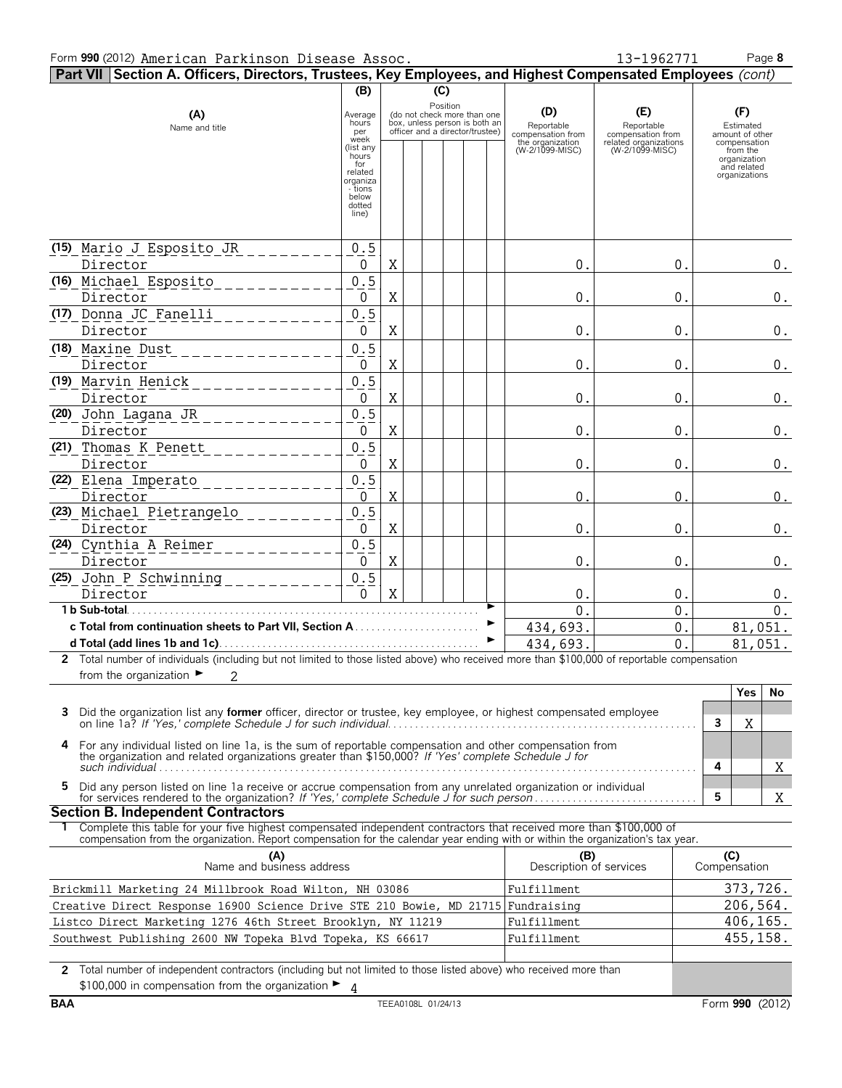| Part VII Section A. Officers, Directors, Trustees, Key Employees, and Highest Compensated Employees (cont)                                                                                                          |                                                                                                                            |   |                                                                                                 |          |  |                                                                               |                                                                                    |   |                                                                                                                 |         |
|---------------------------------------------------------------------------------------------------------------------------------------------------------------------------------------------------------------------|----------------------------------------------------------------------------------------------------------------------------|---|-------------------------------------------------------------------------------------------------|----------|--|-------------------------------------------------------------------------------|------------------------------------------------------------------------------------|---|-----------------------------------------------------------------------------------------------------------------|---------|
| (B)<br>(C)                                                                                                                                                                                                          |                                                                                                                            |   |                                                                                                 |          |  |                                                                               |                                                                                    |   |                                                                                                                 |         |
| (A)<br>Name and title                                                                                                                                                                                               | Average<br>hours<br>per<br>week<br>(list any<br>hours<br>for<br>related<br>organiza<br>- tions<br>below<br>dotted<br>line) |   | (do not check more than one<br>box, unless person is both an<br>officer and a director/trustee) | Position |  | (D)<br>Reportable<br>compensation from<br>the organization<br>(W-2/1099-MISC) | (E)<br>Reportable<br>compensation from<br>related organizations<br>(W-2/1099-MISC) |   | (F)<br>Estimated<br>amount of other<br>compensation<br>from the<br>organization<br>and related<br>organizations |         |
|                                                                                                                                                                                                                     |                                                                                                                            |   |                                                                                                 |          |  |                                                                               |                                                                                    |   |                                                                                                                 |         |
| (15) Mario J Esposito JR                                                                                                                                                                                            | 0.5                                                                                                                        |   |                                                                                                 |          |  |                                                                               |                                                                                    |   |                                                                                                                 |         |
| Director                                                                                                                                                                                                            | 0                                                                                                                          | Χ |                                                                                                 |          |  | 0.                                                                            | 0.                                                                                 |   |                                                                                                                 | $0$ .   |
| (16) Michael Esposito                                                                                                                                                                                               | 0.5                                                                                                                        |   |                                                                                                 |          |  |                                                                               |                                                                                    |   |                                                                                                                 |         |
| Director<br>(17) Donna JC Fanelli                                                                                                                                                                                   | 0<br>0.5                                                                                                                   | Χ |                                                                                                 |          |  | 0.                                                                            | $0$ .                                                                              |   |                                                                                                                 | $0$ .   |
| Director                                                                                                                                                                                                            | 0                                                                                                                          | X |                                                                                                 |          |  | 0.                                                                            | 0.                                                                                 |   |                                                                                                                 | $0$ .   |
| (18) Maxine Dust                                                                                                                                                                                                    | 0.5                                                                                                                        |   |                                                                                                 |          |  |                                                                               |                                                                                    |   |                                                                                                                 |         |
| Director                                                                                                                                                                                                            | 0                                                                                                                          | X |                                                                                                 |          |  | 0.                                                                            | $0$ .                                                                              |   |                                                                                                                 | $0$ .   |
| (19) Marvin Henick                                                                                                                                                                                                  | 0.5                                                                                                                        |   |                                                                                                 |          |  |                                                                               |                                                                                    |   |                                                                                                                 |         |
| Director                                                                                                                                                                                                            | $\mathbf 0$                                                                                                                | X |                                                                                                 |          |  | 0.                                                                            | $0$ .                                                                              |   |                                                                                                                 | 0.      |
| (20) John Lagana JR                                                                                                                                                                                                 | 0.5                                                                                                                        |   |                                                                                                 |          |  |                                                                               |                                                                                    |   |                                                                                                                 |         |
| Director                                                                                                                                                                                                            | $\mathbf 0$                                                                                                                | X |                                                                                                 |          |  | 0.                                                                            | 0.                                                                                 |   |                                                                                                                 | 0.      |
| (21) Thomas K Penett                                                                                                                                                                                                | 0.5                                                                                                                        |   |                                                                                                 |          |  |                                                                               |                                                                                    |   |                                                                                                                 |         |
| Director                                                                                                                                                                                                            | $\mathbf 0$                                                                                                                | X |                                                                                                 |          |  | 0.                                                                            | 0.                                                                                 |   |                                                                                                                 | 0.      |
| (22) Elena Imperato                                                                                                                                                                                                 | 0.5                                                                                                                        |   |                                                                                                 |          |  |                                                                               |                                                                                    |   |                                                                                                                 |         |
| Director                                                                                                                                                                                                            | $\mathbf 0$                                                                                                                | X |                                                                                                 |          |  | 0                                                                             | 0.                                                                                 |   |                                                                                                                 | $0$ .   |
| (23) Michael Pietrangelo                                                                                                                                                                                            | 0.5                                                                                                                        |   |                                                                                                 |          |  |                                                                               |                                                                                    |   |                                                                                                                 |         |
| Director<br>(24) Cynthia A Reimer                                                                                                                                                                                   | 0<br>0.5                                                                                                                   | X |                                                                                                 |          |  | 0.                                                                            | 0.                                                                                 |   |                                                                                                                 | $0$ .   |
| Director                                                                                                                                                                                                            | 0                                                                                                                          | X |                                                                                                 |          |  | 0.                                                                            | 0.                                                                                 |   |                                                                                                                 | 0.      |
| (25) John P Schwinning                                                                                                                                                                                              | 0.5                                                                                                                        |   |                                                                                                 |          |  |                                                                               |                                                                                    |   |                                                                                                                 |         |
| Director                                                                                                                                                                                                            | $\Omega$                                                                                                                   | X |                                                                                                 |          |  | 0.                                                                            | 0.                                                                                 |   |                                                                                                                 | 0.      |
| 1 b Sub-total.                                                                                                                                                                                                      |                                                                                                                            |   |                                                                                                 |          |  | $\Omega$                                                                      | 0.                                                                                 |   |                                                                                                                 | $0$ .   |
|                                                                                                                                                                                                                     |                                                                                                                            |   |                                                                                                 |          |  | 434,693.                                                                      | $0$ .                                                                              |   |                                                                                                                 | 81,051. |
|                                                                                                                                                                                                                     |                                                                                                                            |   |                                                                                                 |          |  | 434,693                                                                       | 0.                                                                                 |   |                                                                                                                 | 81,051. |
| 2 Total number of individuals (including but not limited to those listed above) who received more than \$100,000 of reportable compensation                                                                         |                                                                                                                            |   |                                                                                                 |          |  |                                                                               |                                                                                    |   |                                                                                                                 |         |
| from the organization $\blacktriangleright$<br>2                                                                                                                                                                    |                                                                                                                            |   |                                                                                                 |          |  |                                                                               |                                                                                    |   |                                                                                                                 |         |
|                                                                                                                                                                                                                     |                                                                                                                            |   |                                                                                                 |          |  |                                                                               |                                                                                    |   | Yes                                                                                                             | No      |
| Did the organization list any former officer, director or trustee, key employee, or highest compensated employee<br>3.                                                                                              |                                                                                                                            |   |                                                                                                 |          |  |                                                                               |                                                                                    | 3 | Χ                                                                                                               |         |
|                                                                                                                                                                                                                     |                                                                                                                            |   |                                                                                                 |          |  |                                                                               |                                                                                    |   |                                                                                                                 |         |
| 4<br>For any individual listed on line 1a, is the sum of reportable compensation and other compensation from<br>the organization and related organizations greater than \$150,000? If 'Yes' complete Schedule J for |                                                                                                                            |   |                                                                                                 |          |  |                                                                               |                                                                                    |   |                                                                                                                 |         |
| such individual $\ldots$ $\ldots$ $\ldots$ $\ldots$ $\ldots$ $\ldots$ $\ldots$ $\ldots$ $\ldots$ $\ldots$ $\ldots$ $\ldots$                                                                                         |                                                                                                                            |   |                                                                                                 |          |  |                                                                               |                                                                                    | 4 |                                                                                                                 | X       |
| Did any person listed on line 1a receive or accrue compensation from any unrelated organization or individual<br>5.                                                                                                 |                                                                                                                            |   |                                                                                                 |          |  |                                                                               |                                                                                    |   |                                                                                                                 |         |
| <b>Section B. Independent Contractors</b>                                                                                                                                                                           |                                                                                                                            |   |                                                                                                 |          |  |                                                                               |                                                                                    | 5 |                                                                                                                 | Χ       |
| 1 Complete this table for your five highest compensated independent contractors that received more than \$100,000 of                                                                                                |                                                                                                                            |   |                                                                                                 |          |  |                                                                               |                                                                                    |   |                                                                                                                 |         |
| compensation from the organization. Report compensation for the calendar year ending with or within the organization's tax year.                                                                                    |                                                                                                                            |   |                                                                                                 |          |  |                                                                               |                                                                                    |   |                                                                                                                 |         |
|                                                                                                                                                                                                                     | (C)<br>Compensation<br>(A)<br>Name and business address<br>(B)<br>Description of services                                  |   |                                                                                                 |          |  |                                                                               |                                                                                    |   |                                                                                                                 |         |
|                                                                                                                                                                                                                     | 373,726.<br>Brickmill Marketing 24 Millbrook Road Wilton, NH 03086<br>Fulfillment                                          |   |                                                                                                 |          |  |                                                                               |                                                                                    |   |                                                                                                                 |         |
| 206,564.<br>Creative Direct Response 16900 Science Drive STE 210 Bowie, MD 21715 Fundraising                                                                                                                        |                                                                                                                            |   |                                                                                                 |          |  |                                                                               |                                                                                    |   |                                                                                                                 |         |
| 406,165.<br>Fulfillment<br>Listco Direct Marketing 1276 46th Street Brooklyn, NY 11219                                                                                                                              |                                                                                                                            |   |                                                                                                 |          |  |                                                                               |                                                                                    |   |                                                                                                                 |         |
| Southwest Publishing 2600 NW Topeka Blvd Topeka, KS 66617                                                                                                                                                           |                                                                                                                            |   |                                                                                                 |          |  | Fulfillment                                                                   |                                                                                    |   | 455, 158.                                                                                                       |         |
|                                                                                                                                                                                                                     |                                                                                                                            |   |                                                                                                 |          |  |                                                                               |                                                                                    |   |                                                                                                                 |         |

**2** Total number of independent contractors (including but not limited to those listed above) who received more than \$100,000 in compensation from the organization ► 4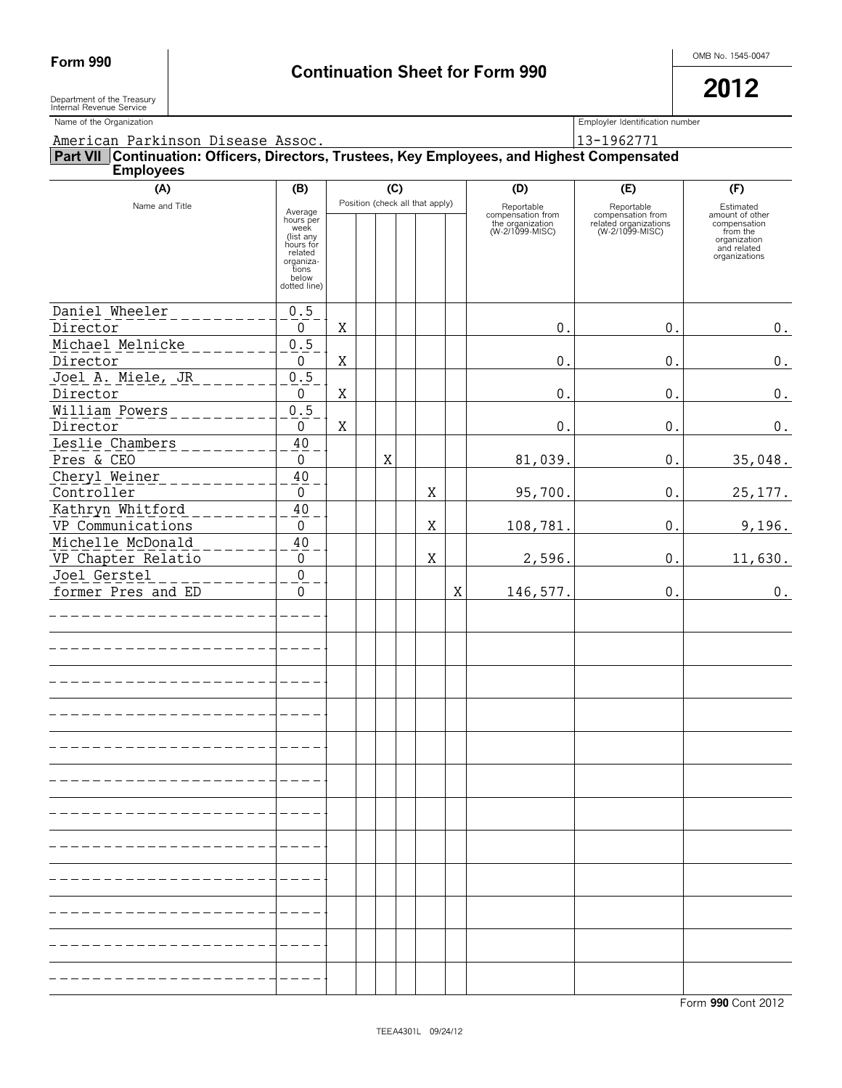Department of the Treasury<br>Internal Revenue Service

Department of the Treasury  $\vert$ 

| Name of the Organization                                                                                         |                                                                                                                  |   |  |   |  |                                 |   |                                                                        | Employler Identification number                                             |                                                                                                          |  |  |
|------------------------------------------------------------------------------------------------------------------|------------------------------------------------------------------------------------------------------------------|---|--|---|--|---------------------------------|---|------------------------------------------------------------------------|-----------------------------------------------------------------------------|----------------------------------------------------------------------------------------------------------|--|--|
| American Parkinson Disease Assoc.                                                                                |                                                                                                                  |   |  |   |  |                                 |   |                                                                        | 13-1962771                                                                  |                                                                                                          |  |  |
| Part VII Continuation: Officers, Directors, Trustees, Key Employees, and Highest Compensated<br><b>Employees</b> |                                                                                                                  |   |  |   |  |                                 |   |                                                                        |                                                                             |                                                                                                          |  |  |
| (A)                                                                                                              | (C)<br>(B)                                                                                                       |   |  |   |  |                                 |   | (D)                                                                    | (E)                                                                         | (F)                                                                                                      |  |  |
| Name and Title                                                                                                   | Average<br>hours per<br>week<br>(list any<br>hours for<br>related<br>organiza-<br>tions<br>below<br>dotted line) |   |  |   |  | Position (check all that apply) |   | Reportable<br>compensation from<br>the organization<br>(W-2/1099-MISC) | Reportable<br>compensation from<br>related organizations<br>(W-2/1099-MISC) | Estimated<br>amount of other<br>compensation<br>from the<br>organization<br>and related<br>organizations |  |  |
| Daniel Wheeler                                                                                                   | 0.5                                                                                                              |   |  |   |  |                                 |   |                                                                        |                                                                             |                                                                                                          |  |  |
| Director                                                                                                         | 0                                                                                                                | Χ |  |   |  |                                 |   | $\boldsymbol{0}$ .                                                     | $0$ .                                                                       | $0$ .                                                                                                    |  |  |
| Michael Melnicke<br>Director                                                                                     | $0.5$<br>0                                                                                                       | Χ |  |   |  |                                 |   | $\boldsymbol{0}$ .                                                     | $0$ .                                                                       | $\boldsymbol{0}$ .                                                                                       |  |  |
| Joel A. Miele, JR                                                                                                | 0.5                                                                                                              |   |  |   |  |                                 |   |                                                                        |                                                                             |                                                                                                          |  |  |
| Director                                                                                                         | 0                                                                                                                | X |  |   |  |                                 |   | $\boldsymbol{0}$ .                                                     | $0$ .                                                                       | 0.                                                                                                       |  |  |
| William Powers                                                                                                   | 0.5                                                                                                              |   |  |   |  |                                 |   |                                                                        |                                                                             |                                                                                                          |  |  |
| Director                                                                                                         | $\mathbf 0$                                                                                                      | X |  |   |  |                                 |   | $\boldsymbol{0}$ .                                                     | $0$ .                                                                       | $0$ .                                                                                                    |  |  |
| Leslie Chambers<br>Pres & CEO                                                                                    | $40\,$<br>$\mathbf 0$                                                                                            |   |  | X |  |                                 |   | 81,039.                                                                | $0$ .                                                                       | 35,048.                                                                                                  |  |  |
| Cheryl Weiner<br>Controller                                                                                      | 40<br>$\mathbf 0$                                                                                                |   |  |   |  | X                               |   | 95,700.                                                                | $0$ .                                                                       | 25, 177.                                                                                                 |  |  |
| Kathryn Whitford<br>VP Communications                                                                            | 40<br>$\mathsf{0}$                                                                                               |   |  |   |  | X                               |   | 108,781.                                                               | $0$ .                                                                       | 9,196.                                                                                                   |  |  |
| Michelle McDonald<br>VP Chapter Relatio                                                                          | $40\,$<br>$\mathbf 0$                                                                                            |   |  |   |  | X                               |   | 2,596.                                                                 | 0.                                                                          | 11,630.                                                                                                  |  |  |
| Joel Gerstel<br>former Pres and ED                                                                               | $\mathsf{O}\xspace$<br>$\mathbf 0$                                                                               |   |  |   |  |                                 | X | 146,577.                                                               | $0$ .                                                                       | $0$ .                                                                                                    |  |  |
|                                                                                                                  |                                                                                                                  |   |  |   |  |                                 |   |                                                                        |                                                                             |                                                                                                          |  |  |
|                                                                                                                  |                                                                                                                  |   |  |   |  |                                 |   |                                                                        |                                                                             |                                                                                                          |  |  |
|                                                                                                                  |                                                                                                                  |   |  |   |  |                                 |   |                                                                        |                                                                             |                                                                                                          |  |  |
|                                                                                                                  |                                                                                                                  |   |  |   |  |                                 |   |                                                                        |                                                                             |                                                                                                          |  |  |
|                                                                                                                  |                                                                                                                  |   |  |   |  |                                 |   |                                                                        |                                                                             |                                                                                                          |  |  |
|                                                                                                                  |                                                                                                                  |   |  |   |  |                                 |   |                                                                        |                                                                             |                                                                                                          |  |  |
|                                                                                                                  |                                                                                                                  |   |  |   |  |                                 |   |                                                                        |                                                                             |                                                                                                          |  |  |
|                                                                                                                  |                                                                                                                  |   |  |   |  |                                 |   |                                                                        |                                                                             |                                                                                                          |  |  |
|                                                                                                                  |                                                                                                                  |   |  |   |  |                                 |   |                                                                        |                                                                             |                                                                                                          |  |  |
|                                                                                                                  |                                                                                                                  |   |  |   |  |                                 |   |                                                                        |                                                                             |                                                                                                          |  |  |
|                                                                                                                  |                                                                                                                  |   |  |   |  |                                 |   |                                                                        |                                                                             |                                                                                                          |  |  |
|                                                                                                                  |                                                                                                                  |   |  |   |  |                                 |   |                                                                        |                                                                             |                                                                                                          |  |  |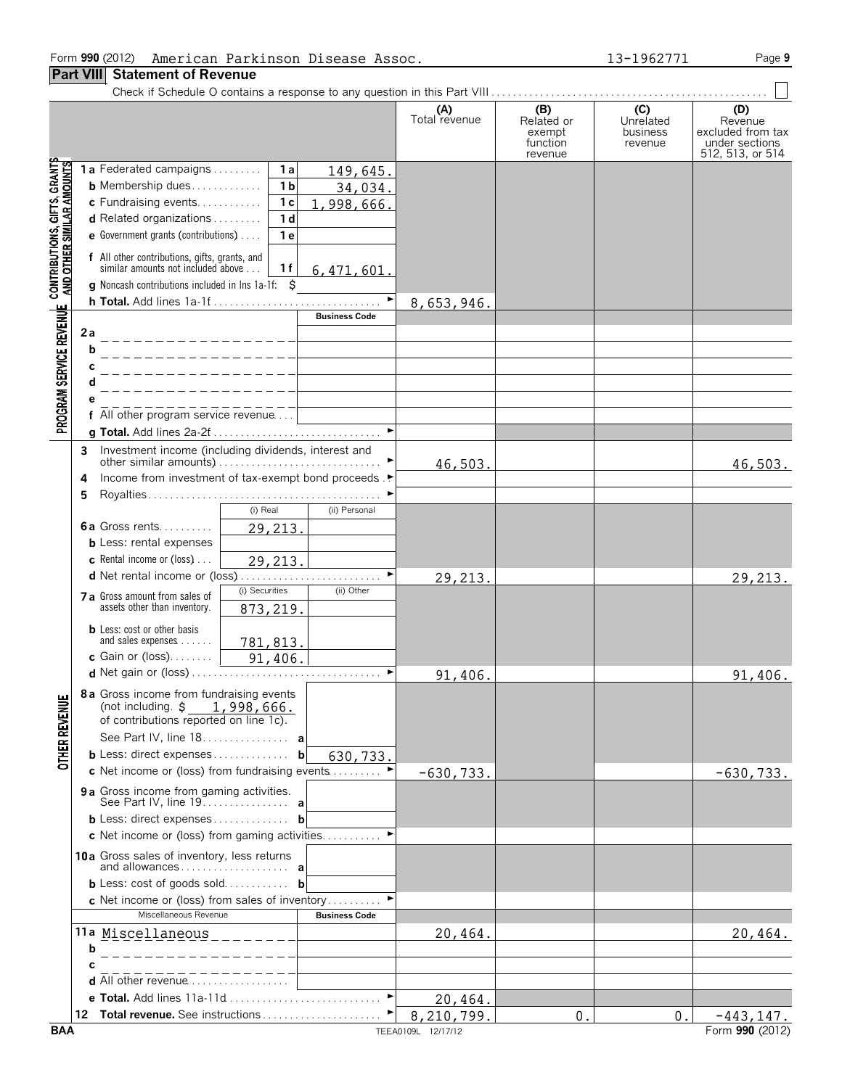### Form **990** (2012) Page **9** American Parkinson Disease Assoc. 13-1962771

### **Part VIII Statement of Revenue**

|                                                                                                           |                                                                                                                                                                                                                                                                                                                                                                                                                                                               | (A)<br>Total revenue             | (B)<br>Related or<br>exempt<br>function<br>revenue | (C)<br>Unrelated<br>business<br>revenue | (D)<br>Revenue<br>excluded from tax<br>under sections<br>512, 513, or 514 |
|-----------------------------------------------------------------------------------------------------------|---------------------------------------------------------------------------------------------------------------------------------------------------------------------------------------------------------------------------------------------------------------------------------------------------------------------------------------------------------------------------------------------------------------------------------------------------------------|----------------------------------|----------------------------------------------------|-----------------------------------------|---------------------------------------------------------------------------|
| PROGRAM SERVICE REVENUE CONTRIBUTIONS, GIFTS, GRANTS<br>PROGRAM SERVICE REVENUE AND OTHER SIMILAR AMOUNTS | 1a Federated campaigns<br>1 a<br>149,645.<br><b>b</b> Membership dues<br>1 <sub>b</sub><br>34,034.<br>c Fundraising events<br>1 <sub>c</sub><br>1,998,666.<br>1 <sub>d</sub><br><b>d</b> Related organizations $\ldots$<br>e Government grants (contributions)<br>1 e<br>f All other contributions, gifts, grants, and<br>similar amounts not included above<br>1f<br>6,471,601.<br><b>g</b> Noncash contributions included in lns 1a-1f: $\ddot{\mathbf{S}}$ |                                  |                                                    |                                         |                                                                           |
|                                                                                                           | $\blacktriangleright$                                                                                                                                                                                                                                                                                                                                                                                                                                         | 8,653,946.                       |                                                    |                                         |                                                                           |
|                                                                                                           | <b>Business Code</b>                                                                                                                                                                                                                                                                                                                                                                                                                                          |                                  |                                                    |                                         |                                                                           |
|                                                                                                           | 2а<br>______________<br>b                                                                                                                                                                                                                                                                                                                                                                                                                                     |                                  |                                                    |                                         |                                                                           |
|                                                                                                           | All other program service revenue                                                                                                                                                                                                                                                                                                                                                                                                                             |                                  |                                                    |                                         |                                                                           |
|                                                                                                           |                                                                                                                                                                                                                                                                                                                                                                                                                                                               |                                  |                                                    |                                         |                                                                           |
|                                                                                                           | Investment income (including dividends, interest and<br>3<br>other similar amounts) $\ldots$ , $\ldots$ , $\ldots$ , $\ldots$ , $\vdots$<br>Income from investment of tax-exempt bond proceeds.<br>4                                                                                                                                                                                                                                                          | 46,503.                          |                                                    |                                         | 46,503.                                                                   |
|                                                                                                           | 5                                                                                                                                                                                                                                                                                                                                                                                                                                                             |                                  |                                                    |                                         |                                                                           |
|                                                                                                           | (i) Real<br>(ii) Personal<br>6a Gross rents<br>29,213.<br><b>b</b> Less: rental expenses<br><b>c</b> Rental income or (loss) $\ldots$<br>29,213.                                                                                                                                                                                                                                                                                                              |                                  |                                                    |                                         |                                                                           |
|                                                                                                           | <b>d</b> Net rental income or (loss)                                                                                                                                                                                                                                                                                                                                                                                                                          | 29,213.                          |                                                    |                                         | 29,213.                                                                   |
|                                                                                                           | (i) Securities<br>(ii) Other<br>7 a Gross amount from sales of<br>assets other than inventory.<br>873, 219.                                                                                                                                                                                                                                                                                                                                                   |                                  |                                                    |                                         |                                                                           |
|                                                                                                           | <b>b</b> Less: cost or other basis<br>and sales expenses<br>781,813.<br>91,406.<br>c Gain or (loss)                                                                                                                                                                                                                                                                                                                                                           |                                  |                                                    |                                         |                                                                           |
|                                                                                                           |                                                                                                                                                                                                                                                                                                                                                                                                                                                               | 91,406.                          |                                                    |                                         | 91,406.                                                                   |
| <b>OTHER REVENUE</b>                                                                                      | 8 a Gross income from fundraising events<br>(not including. $$ 1,998,666.$<br>of contributions reported on line 1c).<br>See Part IV, line 18. a<br>b Less: direct expenses<br>b<br>630,733.                                                                                                                                                                                                                                                                   |                                  |                                                    |                                         |                                                                           |
|                                                                                                           | c Net income or (loss) from fundraising events                                                                                                                                                                                                                                                                                                                                                                                                                | $-630,733.$                      |                                                    |                                         | $-630, 733.$                                                              |
|                                                                                                           | 9 a Gross income from gaming activities.<br>See Part IV, line 19. <b>a</b><br>$b$ Less: direct expenses<br>b                                                                                                                                                                                                                                                                                                                                                  |                                  |                                                    |                                         |                                                                           |
|                                                                                                           | c Net income or (loss) from gaming activities                                                                                                                                                                                                                                                                                                                                                                                                                 |                                  |                                                    |                                         |                                                                           |
|                                                                                                           | 10a Gross sales of inventory, less returns                                                                                                                                                                                                                                                                                                                                                                                                                    |                                  |                                                    |                                         |                                                                           |
|                                                                                                           | <b>b</b> Less: cost of goods sold <b>b</b><br><b>c</b> Net income or (loss) from sales of inventory                                                                                                                                                                                                                                                                                                                                                           |                                  |                                                    |                                         |                                                                           |
|                                                                                                           | Miscellaneous Revenue<br><b>Business Code</b>                                                                                                                                                                                                                                                                                                                                                                                                                 |                                  |                                                    |                                         |                                                                           |
|                                                                                                           | 11a Miscellaneous ________<br>b                                                                                                                                                                                                                                                                                                                                                                                                                               | 20,464.                          |                                                    |                                         | 20,464.                                                                   |
|                                                                                                           |                                                                                                                                                                                                                                                                                                                                                                                                                                                               |                                  |                                                    |                                         |                                                                           |
|                                                                                                           | <b>d</b> All other revenue $\ldots, \ldots, \ldots, \ldots$                                                                                                                                                                                                                                                                                                                                                                                                   |                                  |                                                    |                                         |                                                                           |
|                                                                                                           | e Total. Add lines 11a-11d<br>12 Total revenue. See instructions                                                                                                                                                                                                                                                                                                                                                                                              | 20,464.                          |                                                    |                                         |                                                                           |
| <b>BAA</b>                                                                                                |                                                                                                                                                                                                                                                                                                                                                                                                                                                               | 8,210,799.<br>TEEA0109L 12/17/12 | 0                                                  | $\mathbf 0$ .                           | $-443, 147.$<br>Form 990 (2012)                                           |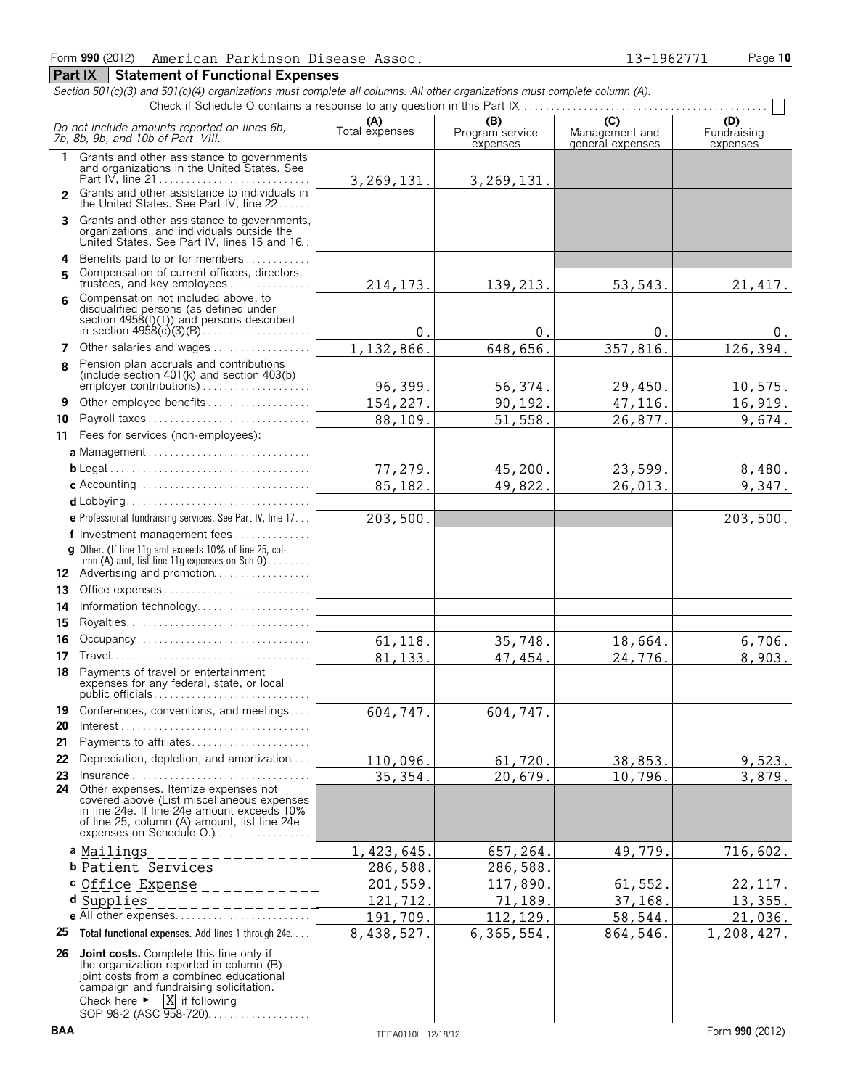### American Parkinson Disease Assoc. 13-1962771

|    | Form 990 (2012)<br>American Parkinson Disease Assoc.                                                                                                                                                             |                       |                                    | 13-1962771                                | Page 10                        |
|----|------------------------------------------------------------------------------------------------------------------------------------------------------------------------------------------------------------------|-----------------------|------------------------------------|-------------------------------------------|--------------------------------|
|    | Part IX<br><b>Statement of Functional Expenses</b>                                                                                                                                                               |                       |                                    |                                           |                                |
|    | Section 501(c)(3) and 501(c)(4) organizations must complete all columns. All other organizations must complete column (A).                                                                                       |                       |                                    |                                           |                                |
|    | Check if Schedule O contains a response to any question in this Part IX.                                                                                                                                         |                       |                                    |                                           |                                |
|    | Do not include amounts reported on lines 6b,<br>7b. 8b. 9b. and 10b of Part VIII.                                                                                                                                | (A)<br>Total expenses | (B)<br>Program service<br>expenses | (C)<br>Management and<br>general expenses | (D)<br>Fundraising<br>expenses |
| 1  | Grants and other assistance to governments<br>and organizations in the United States. See                                                                                                                        | 3, 269, 131.          | 3,269,131.                         |                                           |                                |
|    | Grants and other assistance to individuals in<br>the United States. See Part IV, line 22                                                                                                                         |                       |                                    |                                           |                                |
|    | 3 Grants and other assistance to governments,<br>organizations, and individuals outside the<br>United States. See Part IV, lines 15 and 16.                                                                      |                       |                                    |                                           |                                |
|    | 4 Benefits paid to or for members                                                                                                                                                                                |                       |                                    |                                           |                                |
| 5  | Compensation of current officers, directors,<br>trustees, and key employees                                                                                                                                      | 214, 173.             | 139,213.                           | 53, 543.                                  | 21, 417.                       |
| 6  | Compensation not included above, to<br>disqualified persons (as defined under<br>section $4958(f)(1)$ and persons described<br>in section $4958(c)(3)(B)$                                                        | 0.                    | 0.                                 | 0.                                        | 0.                             |
|    | 7 Other salaries and wages                                                                                                                                                                                       | 1,132,866.            | 648,656.                           | 357,816.                                  | 126,394.                       |
| 8  | Pension plan accruals and contributions<br>(include section 401(k) and section 403(b)                                                                                                                            | 96,399.               | 56,374.                            | 29,450.                                   | 10,575.                        |
| 9  | Other employee benefits                                                                                                                                                                                          | 154,227.              | 90,192.                            | 47,116.                                   | 16,919.                        |
| 10 | Payroll taxes                                                                                                                                                                                                    | 88,109.               | 51,558.                            | 26,877.                                   | 9,674.                         |
|    | 11 Fees for services (non-employees):                                                                                                                                                                            |                       |                                    |                                           |                                |
|    | a Management                                                                                                                                                                                                     |                       |                                    |                                           |                                |
|    |                                                                                                                                                                                                                  | 77,279.               | 45,200.                            | 23,599.                                   | 8,480.                         |
|    |                                                                                                                                                                                                                  | 85,182.               | 49,822.                            | 26,013.                                   | 9,347.                         |
|    |                                                                                                                                                                                                                  |                       |                                    |                                           |                                |
|    | e Professional fundraising services. See Part IV, line 17                                                                                                                                                        | 203,500.              |                                    |                                           | 203,500.                       |
|    | f Investment management fees                                                                                                                                                                                     |                       |                                    |                                           |                                |
|    | g Other. (If line 11q amt exceeds 10% of line 25, col-<br>umn $(A)$ amt, list line 11g expenses on Sch $0$ )                                                                                                     |                       |                                    |                                           |                                |
|    | 12 Advertising and promotion                                                                                                                                                                                     |                       |                                    |                                           |                                |
| 13 |                                                                                                                                                                                                                  |                       |                                    |                                           |                                |
| 14 | Information technology                                                                                                                                                                                           |                       |                                    |                                           |                                |
| 15 |                                                                                                                                                                                                                  |                       |                                    |                                           |                                |
| 16 | Occupancy                                                                                                                                                                                                        | 61, 118.              | 35,748.                            | 18,664.                                   | 6,706.                         |
|    | 18 Payments of travel or entertainment                                                                                                                                                                           | 81, 133.              | 47, 454.                           | 24,776.                                   | 8,903.                         |
|    | expenses for any federal, state, or local<br>public officials                                                                                                                                                    |                       |                                    |                                           |                                |
| 19 | Conferences, conventions, and meetings                                                                                                                                                                           | 604,747.              | 604,747.                           |                                           |                                |
| 20 |                                                                                                                                                                                                                  |                       |                                    |                                           |                                |
| 21 | Payments to affiliates                                                                                                                                                                                           |                       |                                    |                                           |                                |
| 22 | Depreciation, depletion, and amortization                                                                                                                                                                        | 110,096.              | 61,720.                            | 38,853.                                   | 9,523.                         |
| 23 | $Insurance \ldots \ldots \ldots \ldots \ldots \ldots \ldots \ldots \ldots$                                                                                                                                       | 35, 354.              | 20,679.                            | 10,796.                                   | 3,879.                         |
|    | 24 Other expenses. Itemize expenses not<br>covered above (List miscellaneous expenses<br>in line 24e. If line 24e amount exceeds 10%<br>of line 25, column (A) amount, list line 24e<br>expenses on Schedule O.) |                       |                                    |                                           |                                |
|    | a Mailings<br>--------                                                                                                                                                                                           | 1,423,645.            | 657,264.                           | 49,779.                                   | 716,602.                       |
|    | <b>b</b> Patient Services                                                                                                                                                                                        | 286,588.              | 286,588.                           |                                           |                                |
|    | c Office Expense<br>_________                                                                                                                                                                                    | 201,559.              | 117,890.                           | 61,552                                    | 22, 117.                       |
|    | d Supplies<br>-------                                                                                                                                                                                            | 121,712.              | 71,189.                            | 37,168.                                   | 13, 355.                       |
|    | e All other expenses                                                                                                                                                                                             | 191,709.              | 112,129.                           | 58,544.                                   | 21,036.                        |
|    | 25 Total functional expenses. Add lines 1 through 24e                                                                                                                                                            | 8,438,527.            | 6,365,554.                         | 864,546.                                  | 1,208,427.                     |
|    | 26 Joint costs. Complete this line only if<br>the organization reported in column (B)                                                                                                                            |                       |                                    |                                           |                                |

joint costs from a combined educational campaign and fundraising solicitation.

SOP 98-2 (ASC 958-720). . . . . . . . . . . . . . . . .

Check here  $\blacktriangleright$   $\mid$  X if following

X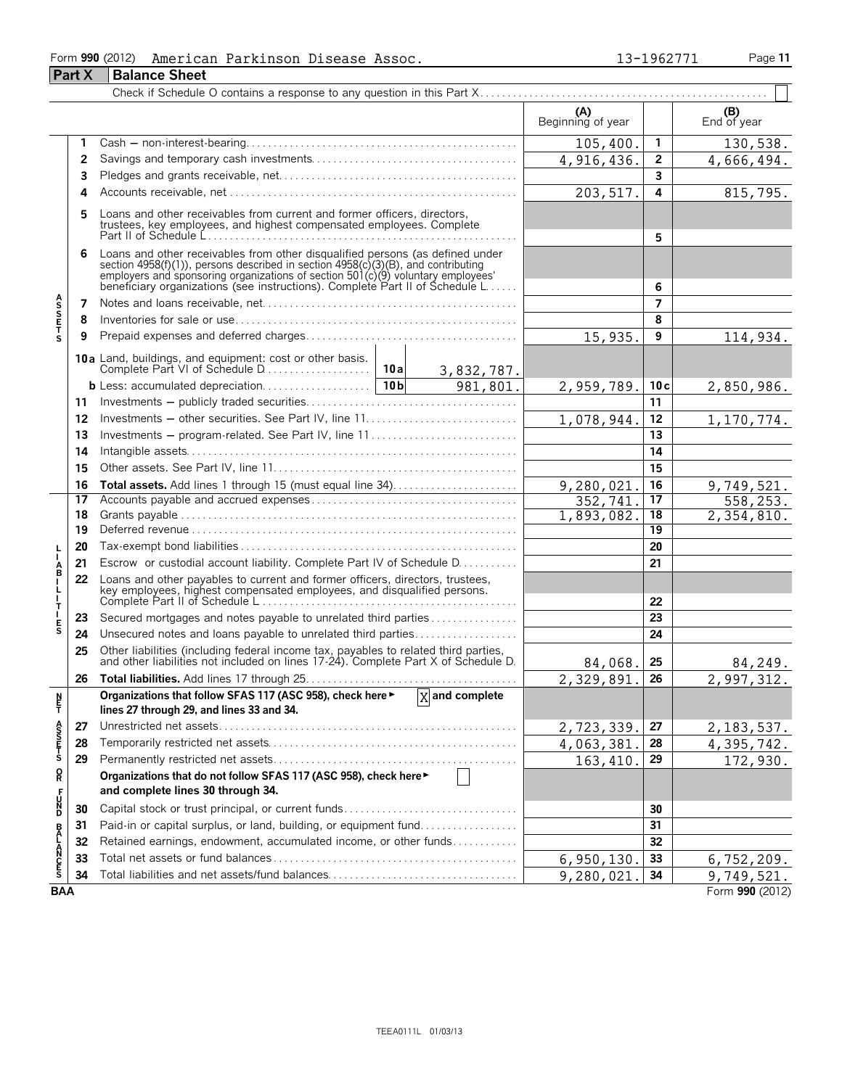### Form **990** (2012) American Parkinson Disease Assoc. 13-1962771 Page 11 **Part X Balance Sheet**

|                    |    |                                                                                                                                                                                                                                                                                                                       | (A)<br>Beginning of year |                | (B)<br>End of year |
|--------------------|----|-----------------------------------------------------------------------------------------------------------------------------------------------------------------------------------------------------------------------------------------------------------------------------------------------------------------------|--------------------------|----------------|--------------------|
|                    | 1  |                                                                                                                                                                                                                                                                                                                       | 105,400                  | 1              | 130,538.           |
|                    | 2  |                                                                                                                                                                                                                                                                                                                       | 4,916,436.               | 2              | 4,666,494.         |
|                    | 3  |                                                                                                                                                                                                                                                                                                                       |                          | 3              |                    |
|                    | 4  |                                                                                                                                                                                                                                                                                                                       | 203, 517.                | 4              | 815,795.           |
|                    | 5  | Loans and other receivables from current and former officers, directors,                                                                                                                                                                                                                                              |                          | 5              |                    |
|                    | 6  | Loans and other receivables from other disqualified persons (as defined under<br>section 4958(f)(1)), persons described in section 4958(c)(3)(B), and contributing<br>employers and sponsoring organizations of section 501(c)(9) voluntary employees'<br>beneficiary organizations (see instructions). Complete Part |                          | 6              |                    |
|                    | 7  |                                                                                                                                                                                                                                                                                                                       |                          | $\overline{7}$ |                    |
| <b>ASSETS</b>      | 8  |                                                                                                                                                                                                                                                                                                                       |                          | 8              |                    |
|                    | 9  |                                                                                                                                                                                                                                                                                                                       | 15,935.                  | 9              | 114,934.           |
|                    |    | <b>10a</b> Land, buildings, and equipment: cost or other basis.<br>Complete Part VI of Schedule D<br>10a<br>3,832,787.                                                                                                                                                                                                |                          |                |                    |
|                    |    | 10 <sub>b</sub><br>981,801.<br>b Less: accumulated depreciation                                                                                                                                                                                                                                                       | 2,959,789.               | 10c            | 2,850,986.         |
|                    | 11 |                                                                                                                                                                                                                                                                                                                       |                          | 11             |                    |
|                    | 12 |                                                                                                                                                                                                                                                                                                                       | 1,078,944.               | 12             | 1,170,774.         |
|                    | 13 | Investments – program-related. See Part IV, line 11                                                                                                                                                                                                                                                                   |                          | 13             |                    |
|                    | 14 |                                                                                                                                                                                                                                                                                                                       |                          | 14             |                    |
|                    | 15 |                                                                                                                                                                                                                                                                                                                       |                          | 15             |                    |
|                    | 16 | Total assets. Add lines 1 through 15 (must equal line 34)                                                                                                                                                                                                                                                             | 9,280,021                | 16             | 9,749,521.         |
|                    | 17 |                                                                                                                                                                                                                                                                                                                       | 352,741                  | 17             | 558,253.           |
|                    | 18 |                                                                                                                                                                                                                                                                                                                       | 1,893,082                | 18             | 2,354,810.         |
|                    | 19 |                                                                                                                                                                                                                                                                                                                       |                          | 19             |                    |
|                    | 20 |                                                                                                                                                                                                                                                                                                                       |                          | 20             |                    |
| A<br>B<br>I        | 21 | Escrow or custodial account liability. Complete Part IV of Schedule D.                                                                                                                                                                                                                                                |                          | 21             |                    |
| $\frac{1}{1}$<br>т | 22 | Loans and other payables to current and former officers, directors, trustees,<br>key employees, highest compensated employees, and disqualified persons.                                                                                                                                                              |                          | 22             |                    |
|                    | 23 | Secured mortgages and notes payable to unrelated third parties                                                                                                                                                                                                                                                        |                          | 23             |                    |
| E<br>S             | 24 | Unsecured notes and loans payable to unrelated third parties                                                                                                                                                                                                                                                          |                          | 24             |                    |
|                    | 25 | Other liabilities (including federal income tax, payables to related third parties, and other liabilities not included on lines 17-24). Complete Part X of Schedule D.                                                                                                                                                | 84,068.                  | 25             | 84,249.            |
|                    | 26 |                                                                                                                                                                                                                                                                                                                       | 2,329,891                | 26             | 2,997,312.         |
| N<br>튐             |    | Organizations that follow SFAS 117 (ASC 958), check here ► X and complete<br>lines 27 through 29, and lines 33 and 34.                                                                                                                                                                                                |                          |                |                    |
|                    | 27 |                                                                                                                                                                                                                                                                                                                       | 2,723,339.               | 27             | 2, 183, 537.       |
| ASS<br>CHECK       | 28 |                                                                                                                                                                                                                                                                                                                       | 4,063,381                | 28             | 4,395,742.         |
|                    | 29 |                                                                                                                                                                                                                                                                                                                       | 163, 410.                | 29             | 172,930.           |
| Q                  |    | Organizations that do not follow SFAS 117 (ASC 958), check here ►<br>and complete lines 30 through 34.                                                                                                                                                                                                                |                          |                |                    |
| 다<br>이             | 30 | Capital stock or trust principal, or current funds                                                                                                                                                                                                                                                                    |                          | 30             |                    |
|                    | 31 | Paid-in or capital surplus, or land, building, or equipment fund                                                                                                                                                                                                                                                      |                          | 31             |                    |
|                    | 32 | Retained earnings, endowment, accumulated income, or other funds                                                                                                                                                                                                                                                      |                          | 32             |                    |
| <b>BALANCES</b>    | 33 |                                                                                                                                                                                                                                                                                                                       | 6,950,130.               | 33             | 6, 752, 209.       |
|                    | 34 |                                                                                                                                                                                                                                                                                                                       | 9,280,021                | 34             | 9,749,521.         |
| <b>BAA</b>         |    |                                                                                                                                                                                                                                                                                                                       |                          |                | Form 990 (2012)    |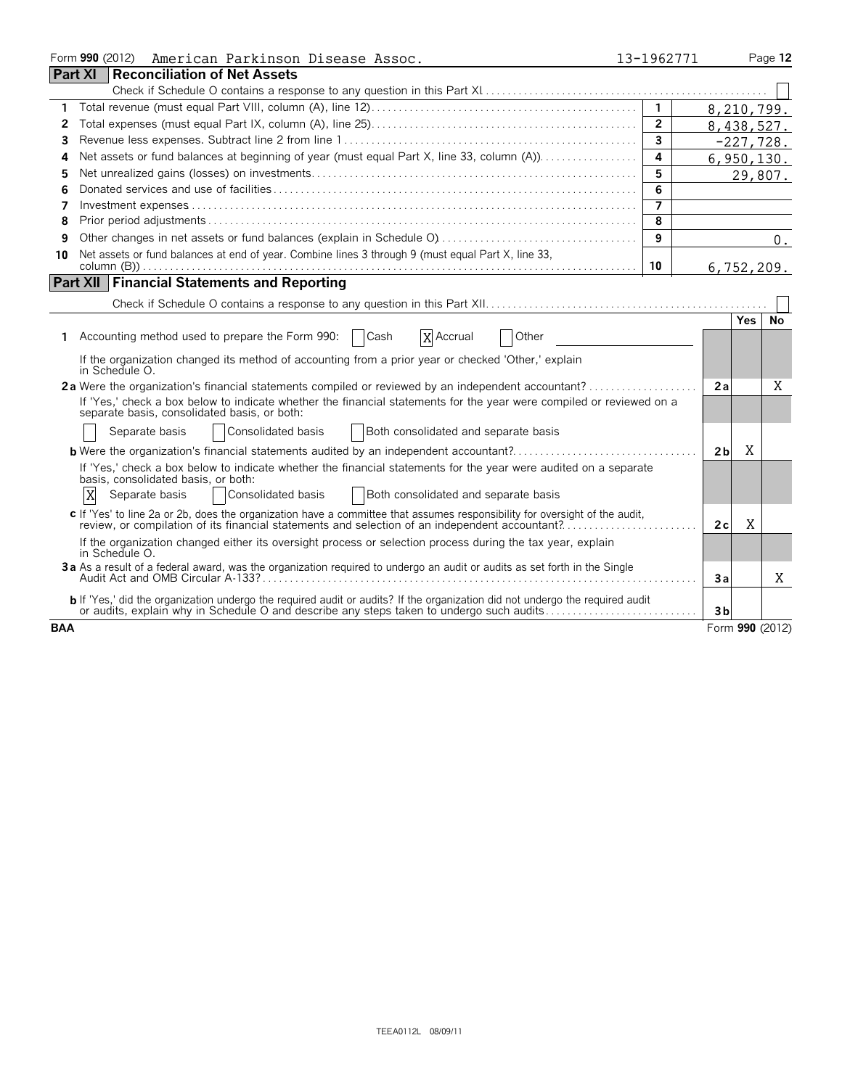|            | Form 990 (2012) American Parkinson Disease Assoc.                                                                                                                                                                                | 13-1962771     |                |            | Page 12         |
|------------|----------------------------------------------------------------------------------------------------------------------------------------------------------------------------------------------------------------------------------|----------------|----------------|------------|-----------------|
|            | <b>Part XI</b><br><b>Reconciliation of Net Assets</b>                                                                                                                                                                            |                |                |            |                 |
|            |                                                                                                                                                                                                                                  |                |                |            |                 |
| 1          |                                                                                                                                                                                                                                  |                | 8,210,799.     |            |                 |
| 2          |                                                                                                                                                                                                                                  | $\overline{2}$ | 8,438,527.     |            |                 |
| 3          |                                                                                                                                                                                                                                  | 3              |                |            | $-227,728.$     |
| 4          | Net assets or fund balances at beginning of year (must equal Part X, line 33, column (A)).                                                                                                                                       | 4              |                |            | 6,950,130.      |
| 5          |                                                                                                                                                                                                                                  | 5              |                |            | 29,807.         |
| 6          |                                                                                                                                                                                                                                  | 6              |                |            |                 |
| 7          |                                                                                                                                                                                                                                  | $\overline{7}$ |                |            |                 |
| 8          |                                                                                                                                                                                                                                  | 8              |                |            |                 |
| 9          |                                                                                                                                                                                                                                  | 9              |                |            | 0.              |
| 10         | Net assets or fund balances at end of year. Combine lines 3 through 9 (must equal Part X, line 33,                                                                                                                               |                |                |            |                 |
|            |                                                                                                                                                                                                                                  | 10             |                |            | 6,752,209.      |
|            | <b>Part XII   Financial Statements and Reporting</b>                                                                                                                                                                             |                |                |            |                 |
|            |                                                                                                                                                                                                                                  |                |                |            |                 |
|            |                                                                                                                                                                                                                                  |                |                | <b>Yes</b> | No              |
| 1.         | Accounting method used to prepare the Form 990:<br>Cash<br>X Accrual<br>Other                                                                                                                                                    |                |                |            |                 |
|            | If the organization changed its method of accounting from a prior year or checked 'Other,' explain<br>in Schedule O.                                                                                                             |                |                |            |                 |
|            | 2a Were the organization's financial statements compiled or reviewed by an independent accountant?                                                                                                                               |                | 2a             |            | X               |
|            | If 'Yes,' check a box below to indicate whether the financial statements for the year were compiled or reviewed on a<br>separate basis, consolidated basis, or both:                                                             |                |                |            |                 |
|            | Consolidated basis<br>Separate basis<br>Both consolidated and separate basis                                                                                                                                                     |                |                |            |                 |
|            | <b>b</b> Were the organization's financial statements audited by an independent accountant?                                                                                                                                      |                | 2 <sub>b</sub> | X          |                 |
|            | If 'Yes,' check a box below to indicate whether the financial statements for the year were audited on a separate<br>basis, consolidated basis, or both:                                                                          |                |                |            |                 |
|            | X<br>Consolidated basis<br>Both consolidated and separate basis<br>Separate basis                                                                                                                                                |                |                |            |                 |
|            | c If 'Yes' to line 2a or 2b, does the organization have a committee that assumes responsibility for oversight of the audit,<br>review, or compilation of its financial statements and selection of an independent accountant?    |                | 2c             | Χ          |                 |
|            | If the organization changed either its oversight process or selection process during the tax year, explain<br>in Schedule O.                                                                                                     |                |                |            |                 |
|            | 3a As a result of a federal award, was the organization required to undergo an audit or audits as set forth in the Single                                                                                                        |                | 3a             |            | Χ               |
|            | <b>b</b> If 'Yes,' did the organization undergo the required audit or audits? If the organization did not undergo the required audit<br>or audits, explain why in Schedule O and describe any steps taken to undergo such audits |                | 3 <sub>b</sub> |            |                 |
| <b>BAA</b> |                                                                                                                                                                                                                                  |                |                |            | Form 990 (2012) |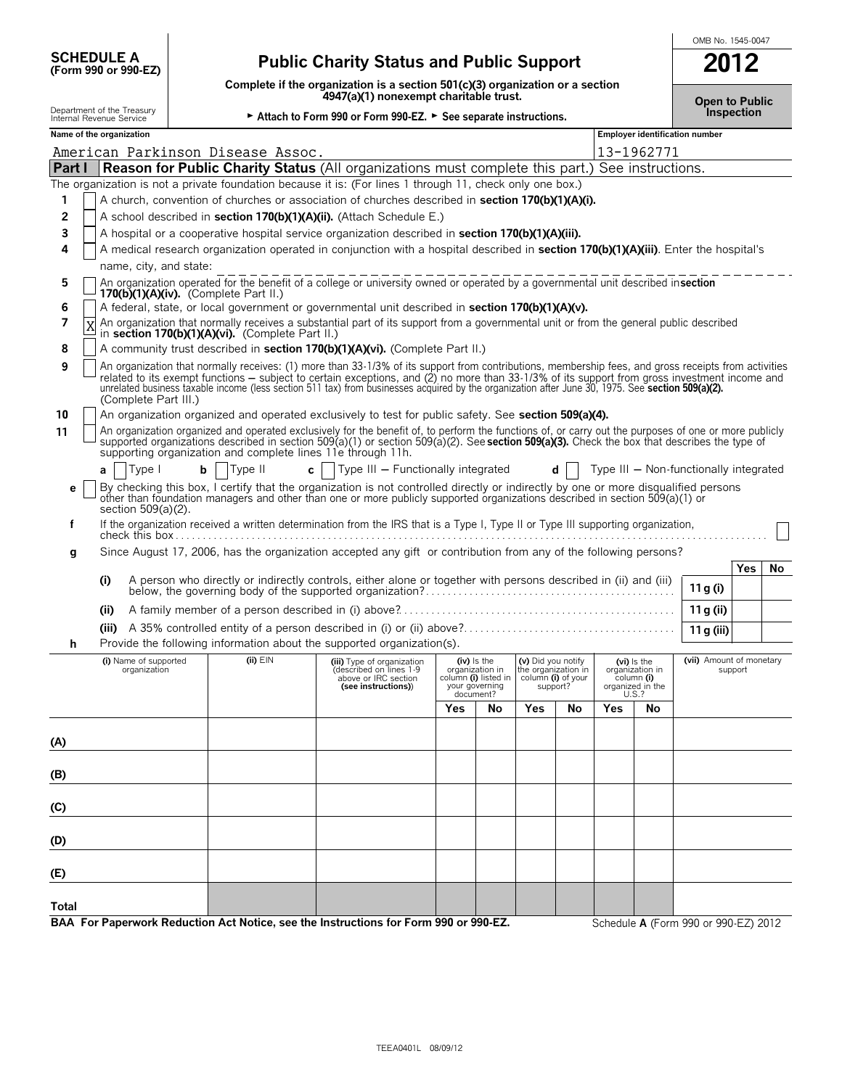| <b>SCHEDULE A</b>                                |  |  |
|--------------------------------------------------|--|--|
| $(F_{\rm O} \rm{cm} 990 \rm{~or} 990 \rm{~F} 7)$ |  |  |

**Total**

## **(Form 990 or 990-EZ) Public Charity Status and Public Support 2012**

**Complete if the organization is a section 501(c)(3) organization or a section 4947(a)(1) nonexempt charitable trust. Open to Public**

OMB No. 1545-0047

**Department of the Treasury inc.**<br>Internal Revenue Service **Internal Revenue Service Computer of the Consumption → Attach to Form 990 or Form 990-EZ. ► See separate instructions. Name of the organization Employer identification number Employer identification number Part I Reason for Public Charity Status** (All organizations must complete this part.) See instructions. The organization is not a private foundation because it is: (For lines 1 through 11, check only one box.) **1** A church, convention of churches or association of churches described in **section 170(b)(1)(A)(i). 2 □** A school described in **section 170(b)(1)(A)(ii).** (Attach Schedule E.) **3** A hospital or a cooperative hospital service organization described in **section 170(b)(1)(A)(iii). 4** A medical research organization operated in conjunction with a hospital described in **section 170(b)(1)(A)(iii)**. Enter the hospital's name, city, and state: **5** An organization operated for the benefit of a college or university owned or operated by a governmental unit described in **section 170(b)(1)(A)(iv).** (Complete Part II.) **6** A federal, state, or local government or governmental unit described in **section 170(b)(1)(A)(v). 7 X** An organization that normally receives a substantial part of its support from a governmental unit or from the general public described in **section 170(b)(1)(A)(vi).** (Complete Part II.) **8** A community trust described in **section 170(b)(1)(A)(vi).** (Complete Part II.) **9** An organization that normally receives: (1) more than 33-1/3% of its support from contributions, membership fees, and gross receipts from activities related to its exempt functions — subject to certain exceptions, and (2) no more than 33-1/3% of its support from gross investment income and<br>unrelated business taxable income (less section 511 tax) from businesses acquire (Complete Part III.) **10** An organization organized and operated exclusively to test for public safety. See **section 509(a)(4).** 11 An organization organized and operated exclusively for the benefit of, to perform the functions of, or carry out the purposes of one or more publicly supported organizations described in section 509(a)(1) or section 509(a)(2). See **section 509(a)(3).** Check the box that describes the type of supporting organization and complete lines 11e through 11h. **a** | Type I **b** | Type II **c** | Type III - Functionally integrated **d** | Type III - Non-functionally integrated  $\epsilon$   $\Box$  By checking this box, I certify that the organization is not controlled directly or indirectly by one or more disqualified persons other than foundation managers and other than one or more publicly supported org section 509(a)(2). **f** If the organization received a written determination from the IRS that is a Type I, Type II or Type III supporting organization, check this box . . . . . . . . . . . . . . . . . . . . . . . . . . . . . . . . . . . . . . . . . . . . . . . . . . . . . . . . . . . . . . . . . . . . . . . . . . . . . . . . . . . . . . . . . . . . . . . . . . . . . . . . . . . . . **g** Since August 17, 2006, has the organization accepted any gift or contribution from any of the following persons? **Yes No (i)** A person who directly or indirectly controls, either alone or together with persons described in (ii) and (iii) below, the governing body of the supported organization? **11g** (i)  $11$ g (i) **(ii)** A family member of a person described in (i) above?. . . . . . . . . . . . . . . . . . . . . . . . . . . . . . . . . . . . . . . . . . . . . . . . . . . **11g (ii) (iii)** A 35% controlled entity of a person described in (i) or (ii) above?. . . . . . . . . . . . . . . . . . . . . . . . . . . . . . . . . . . . . . . **11g (iii) h** Provide the following information about the supported organization(s). **(i)** Name of supported **(ii)** EIN **(iii)** Type of organization **(iv)** Is the **(v)** Did you notify **(vi)** Is the **(viii)** Amount of monetary organization in (described on lines 1-9 column **(iii)**  $\frac{1}{2}$  organization in organization (described on lines 1-9 organization in the organization in organization in support above or IRC section column **(i)** listed in column **(i)** of your column **(i) (see instructions)**) your governing support? organized in the your governing support? support? organized in the document? U.S.? **Yes No Yes No Yes No (A) (B) (C) (D) (E)** American Parkinson Disease Assoc. 13-1962771 X

**BAA For Paperwork Reduction Act Notice, see the Instructions for Form 990 or 990-EZ.** Schedule **A** (Form 990 or 990-EZ) 2012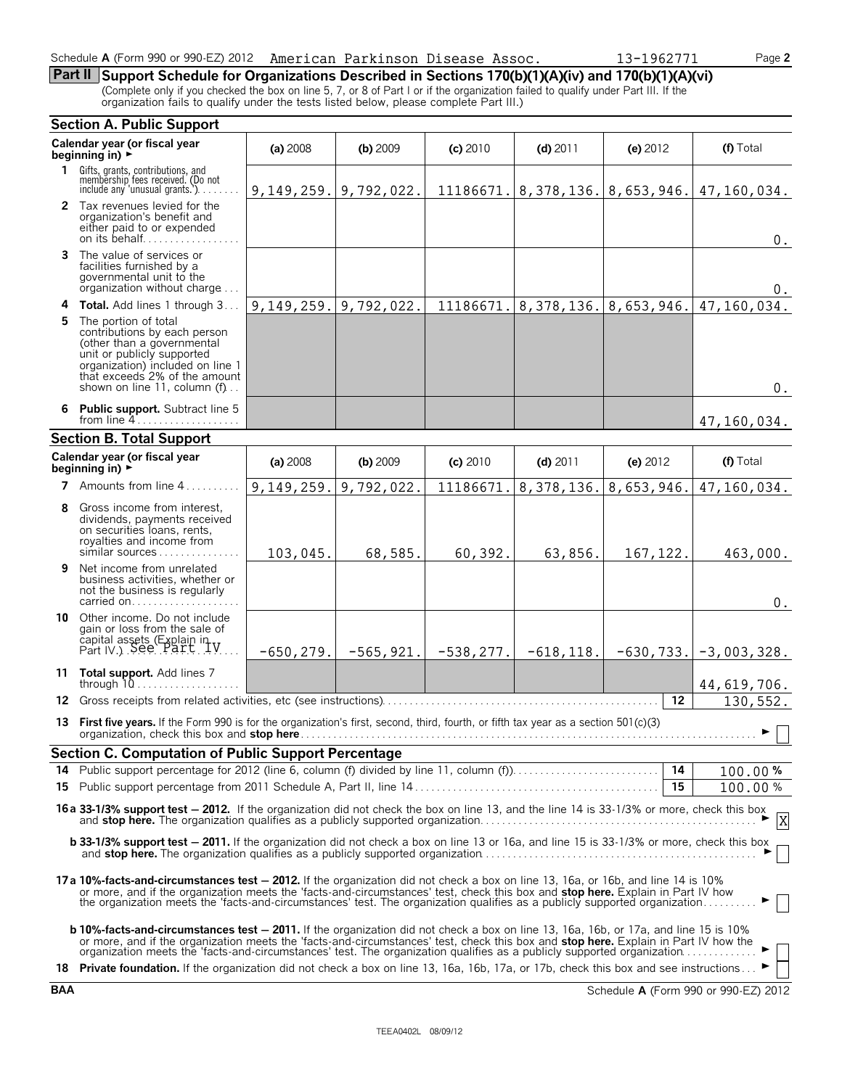#### Schedule **A** (Form 990 or 990-EZ) 2012 American Parkinson Disease Assoc. 13-1962771 Page 2

**Part II Support Schedule for Organizations Described in Sections 170(b)(1)(A)(iv) and 170(b)(1)(A)(vi)**

(Complete only if you checked the box on line 5, 7, or 8 of Part I or if the organization failed to qualify under Part III. If the organization fails to qualify under the tests listed below, please complete Part III.)

| <b>Section A. Public Support</b> |                                                                                                                                                                                                                                                                                                                                                                              |                               |              |              |                                       |                 |               |  |  |
|----------------------------------|------------------------------------------------------------------------------------------------------------------------------------------------------------------------------------------------------------------------------------------------------------------------------------------------------------------------------------------------------------------------------|-------------------------------|--------------|--------------|---------------------------------------|-----------------|---------------|--|--|
|                                  | Calendar year (or fiscal year<br>beginning in) $\rightarrow$                                                                                                                                                                                                                                                                                                                 | (a) 2008                      | (b) 2009     | $(c)$ 2010   | $(d)$ 2011                            | (e) 2012        | (f) Total     |  |  |
| 1.                               | Gifts, grants, contributions, and<br>membership fees received. (Do not<br>include any 'unusual grants.').                                                                                                                                                                                                                                                                    | $9, 149, 259.$   9, 792, 022. |              |              | $11186671.$ 8, 378, 136. 8, 653, 946. |                 | 47,160,034.   |  |  |
|                                  | 2 Tax revenues levied for the<br>organization's benefit and<br>either paid to or expended                                                                                                                                                                                                                                                                                    |                               |              |              |                                       |                 | $0$ .         |  |  |
| 3.                               | The value of services or<br>facilities furnished by a<br>governmental unit to the<br>organization without charge                                                                                                                                                                                                                                                             |                               |              |              |                                       |                 | 0.            |  |  |
|                                  | 4 Total. Add lines 1 through 3                                                                                                                                                                                                                                                                                                                                               | $9, 149, 259.$ 9, 792, 022.   |              | 11186671.    | 8,378,136.                            | 8,653,946.      | 47,160,034.   |  |  |
| 5                                | The portion of total<br>contributions by each person<br>(other than a governmental<br>unit or publicly supported<br>organization) included on line 1<br>that exceeds 2% of the amount<br>shown on line 11, column (f)                                                                                                                                                        |                               |              |              |                                       |                 | $0$ .         |  |  |
| 6                                | Public support. Subtract line 5<br>from line $4$                                                                                                                                                                                                                                                                                                                             |                               |              |              |                                       |                 | 47,160,034.   |  |  |
|                                  | <b>Section B. Total Support</b>                                                                                                                                                                                                                                                                                                                                              |                               |              |              |                                       |                 |               |  |  |
|                                  | Calendar year (or fiscal year<br>beginning in) $\rightarrow$                                                                                                                                                                                                                                                                                                                 | (a) 2008                      | $(b)$ 2009   | (c) 2010     | $(d)$ 2011                            | (e) 2012        | (f) Total     |  |  |
| 7                                | Amounts from line 4                                                                                                                                                                                                                                                                                                                                                          | $9, 149, 259.$ 9, 792, 022.   |              | 11186671.    | 8,378,136.                            | 8,653,946.      | 47,160,034.   |  |  |
| 8                                | Gross income from interest,<br>dividends, payments received<br>on securities loans, rents,<br>royalties and income from<br>similar sources                                                                                                                                                                                                                                   | 103,045.                      | 68,585.      | 60,392.      | 63,856.                               | 167, 122.       | 463,000.      |  |  |
| 9                                | Net income from unrelated<br>business activities, whether or<br>not the business is regularly<br>carried on                                                                                                                                                                                                                                                                  |                               |              |              |                                       |                 | $0$ .         |  |  |
|                                  | <b>10</b> Other income. Do not include<br>gain or loss from the sale of<br>capital assets (Explain in V.)<br>Part IV.) See Part IV.                                                                                                                                                                                                                                          | $-650, 279.$                  | $-565, 921.$ | $-538, 277.$ | $-618, 118.$                          | $-630, 733.$    | $-3,003,328.$ |  |  |
|                                  | 11 Total support. Add lines 7<br>through $10$                                                                                                                                                                                                                                                                                                                                |                               |              |              |                                       |                 | 44,619,706.   |  |  |
|                                  |                                                                                                                                                                                                                                                                                                                                                                              |                               |              |              |                                       | 12 <sup>2</sup> | 130,552.      |  |  |
| 13                               | First five years. If the Form 990 is for the organization's first, second, third, fourth, or fifth tax year as a section $501(c)(3)$<br>organization, check this box and stop here.                                                                                                                                                                                          |                               |              |              |                                       |                 | ► ∣ ∣         |  |  |
|                                  | Section C. Computation of Public Support Percentage                                                                                                                                                                                                                                                                                                                          |                               |              |              |                                       |                 |               |  |  |
|                                  | 14 Public support percentage for 2012 (line 6, column (f) divided by line 11, column (f).                                                                                                                                                                                                                                                                                    |                               |              |              |                                       |                 | 100.00%       |  |  |
|                                  |                                                                                                                                                                                                                                                                                                                                                                              |                               |              |              |                                       | 15              | 100.00%       |  |  |
|                                  | <b>16 a 33-1/3% support test - 2012.</b> If the organization did not check the box on line 13, and the line 14 is 33-1/3% or more, check this box and <b>stop here.</b> The organization qualifies as a publicly supported organization                                                                                                                                      |                               |              |              |                                       |                 |               |  |  |
|                                  | <b>b 33-1/3% support test - 2011.</b> If the organization did not check a box on line 13 or 16a, and line 15 is 33-1/3% or more, check this box                                                                                                                                                                                                                              |                               |              |              |                                       |                 |               |  |  |
|                                  | 17a 10%-facts-and-circumstances test - 2012. If the organization did not check a box on line 13, 16a, or 16b, and line 14 is 10%<br>or more, and if the organization meets the 'facts-and-circumstances' test, check this box and <b>stop here.</b> Explain in Part IV how the organization meets the 'facts-and-circumstances' test. The organization qualifies as a p      |                               |              |              |                                       |                 |               |  |  |
|                                  | <b>b 10%-facts-and-circumstances test - 2011.</b> If the organization did not check a box on line 13, 16a, 16b, or 17a, and line 15 is 10%<br>or more, and if the organization meets the 'facts-and-circumstances' test, check this box and stop here. Explain in Part IV how the organization meets the 'facts-and-circumstances' test. The organization qualifies as a pub |                               |              |              |                                       |                 |               |  |  |
|                                  | 18 Private foundation. If the organization did not check a box on line 13, 16a, 16b, 17a, or 17b, check this box and see instructions ►                                                                                                                                                                                                                                      |                               |              |              |                                       |                 |               |  |  |

**BAA** Schedule **A** (Form 990 or 990-EZ) 2012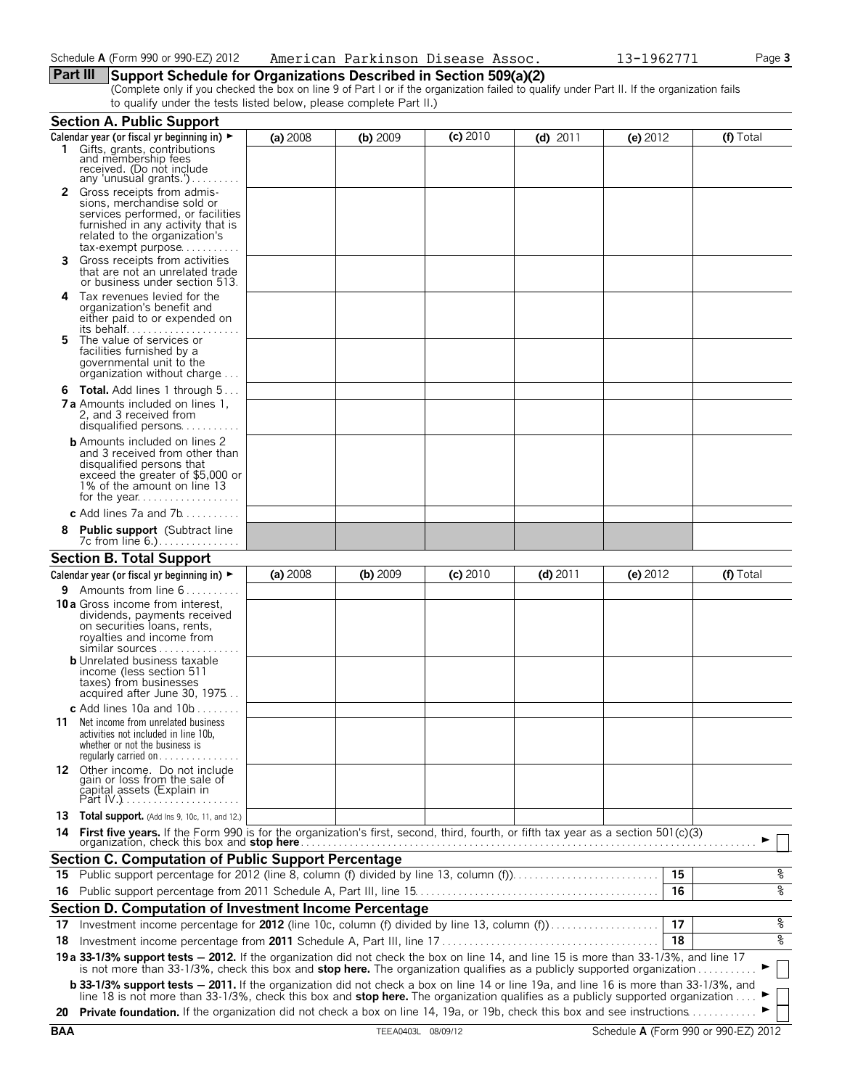### **Part III Support Schedule for Organizations Described in Section 509(a)(2)**

(Complete only if you checked the box on line 9 of Part I or if the organization failed to qualify under Part II. If the organization fails to qualify under the tests listed below, please complete Part II.)

|     | <b>Section A. Public Support</b>                                                                                                                                                                                                                                                    |          |            |            |            |            |    |                    |
|-----|-------------------------------------------------------------------------------------------------------------------------------------------------------------------------------------------------------------------------------------------------------------------------------------|----------|------------|------------|------------|------------|----|--------------------|
|     | Calendar year (or fiscal yr beginning in) ►                                                                                                                                                                                                                                         | (a) 2008 | $(b)$ 2009 | $(c)$ 2010 | $(d)$ 2011 | $(e)$ 2012 |    | (f) Total          |
|     | 1 Gifts, grants, contributions<br>and membership fees<br>received. (Do not include<br>any 'unusual grants.')                                                                                                                                                                        |          |            |            |            |            |    |                    |
|     | 2 Gross receipts from admis-<br>sions, merchandise sold or<br>services performed, or facilities<br>furnished in any activity that is<br>related to the organization's<br>tax-exempt purpose                                                                                         |          |            |            |            |            |    |                    |
| 3.  | Gross receipts from activities<br>that are not an unrelated trade<br>or business under section 513.                                                                                                                                                                                 |          |            |            |            |            |    |                    |
| 4   | Tax revenues levied for the<br>organization's benefit and<br>either paid to or expended on<br>its behalf                                                                                                                                                                            |          |            |            |            |            |    |                    |
| 5.  | The value of services or<br>facilities furnished by a<br>governmental unit to the<br>organization without charge                                                                                                                                                                    |          |            |            |            |            |    |                    |
|     | <b>6 Total.</b> Add lines 1 through $5$<br><b>7 a</b> Amounts included on lines 1.<br>2, and 3 received from<br>disqualified persons                                                                                                                                                |          |            |            |            |            |    |                    |
|     | <b>b</b> Amounts included on lines 2<br>and 3 received from other than<br>disqualified persons that<br>exceed the greater of \$5,000 or<br>1% of the amount on line 13                                                                                                              |          |            |            |            |            |    |                    |
|     | c Add lines 7a and 7b                                                                                                                                                                                                                                                               |          |            |            |            |            |    |                    |
| 8   | <b>Public support</b> (Subtract line<br>7c from line 6.)                                                                                                                                                                                                                            |          |            |            |            |            |    |                    |
|     | <b>Section B. Total Support</b>                                                                                                                                                                                                                                                     |          |            |            |            |            |    |                    |
|     | Calendar year (or fiscal yr beginning in) ►                                                                                                                                                                                                                                         | (a) 2008 | $(b)$ 2009 | $(c)$ 2010 | $(d)$ 2011 | (e) 2012   |    | (f) Total          |
|     | <b>9</b> Amounts from line $6 \ldots \ldots$                                                                                                                                                                                                                                        |          |            |            |            |            |    |                    |
|     | <b>10 a</b> Gross income from interest,<br>dividends, payments received<br>on securities loans, rents,<br>royalties and income from<br>similar sources<br><b>b</b> Unrelated business taxable<br>income (less section 511<br>taxes) from businesses<br>acquired after June 30, 1975 |          |            |            |            |            |    |                    |
|     | c Add lines 10a and $10b$                                                                                                                                                                                                                                                           |          |            |            |            |            |    |                    |
|     | 11 Net income from unrelated business<br>activities not included in line 10b,<br>whether or not the business is<br>regularly carried on $\dots\dots$                                                                                                                                |          |            |            |            |            |    |                    |
|     | 12 Other income. Do not include<br>gain or loss from the sale of<br><u>c</u> apital assets (Explain in<br>Part IV.)                                                                                                                                                                 |          |            |            |            |            |    |                    |
|     | <b>13 Total support.</b> (Add Ins 9, 10c, 11, and 12.)                                                                                                                                                                                                                              |          |            |            |            |            |    |                    |
|     |                                                                                                                                                                                                                                                                                     |          |            |            |            |            |    |                    |
|     | <b>Section C. Computation of Public Support Percentage</b>                                                                                                                                                                                                                          |          |            |            |            |            |    |                    |
| 15. | Public support percentage for 2012 (line 8, column (f) divided by line 13, column (f)                                                                                                                                                                                               |          |            |            |            |            | 15 | g                  |
| 16  |                                                                                                                                                                                                                                                                                     |          |            |            |            |            | 16 | ०७                 |
|     |                                                                                                                                                                                                                                                                                     |          |            |            |            |            |    |                    |
|     | Section D. Computation of Investment Income Percentage                                                                                                                                                                                                                              |          |            |            |            |            |    |                    |
| 17  | Investment income percentage for 2012 (line 10c, column (f) divided by line 13, column (f)                                                                                                                                                                                          |          |            |            |            |            | 17 | g,                 |
| 18  |                                                                                                                                                                                                                                                                                     |          |            |            |            |            | 18 | $\frac{1}{\delta}$ |
|     | 19 a 33-1/3% support tests - 2012. If the organization did not check the box on line 14, and line 15 is more than 33-1/3%, and line 17<br>is not more than 33-1/3%, check this box and stop here. The organization qualifies as a publicly supported organization                   |          |            |            |            |            |    |                    |
|     | b 33-1/3% support tests - 2011. If the organization did not check a box on line 14 or line 19a, and line 16 is more than 33-1/3%, and<br>line 18 is not more than 33-1/3%, check this box and stop here. The organization qualifies as a publicly supported organization            |          |            |            |            |            |    |                    |
|     | 20 Private foundation. If the organization did not check a box on line 14, 19a, or 19b, check this box and see instructions                                                                                                                                                         |          |            |            |            |            |    |                    |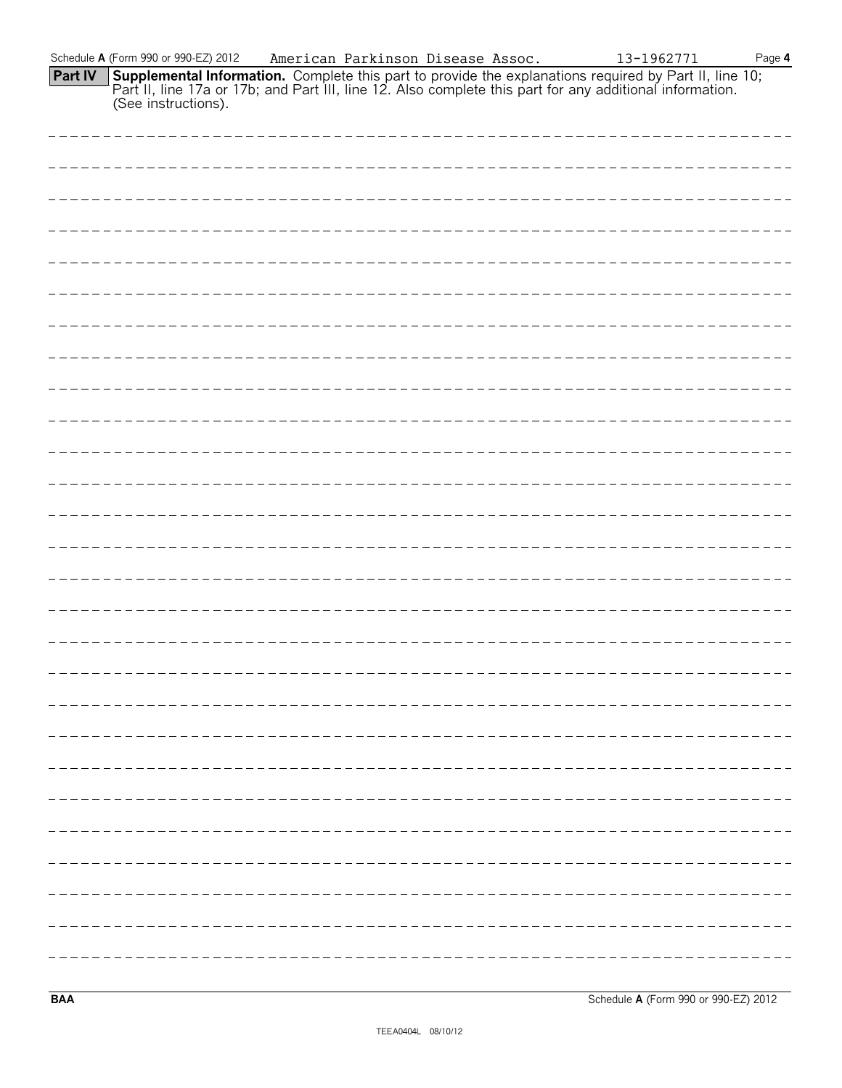|         | Schedule A (Form 990 or 990-EZ) 2012                                                                                                                                                                                                                       | American Parkinson Disease Assoc. |  | 13-1962771 | Page $4$ |
|---------|------------------------------------------------------------------------------------------------------------------------------------------------------------------------------------------------------------------------------------------------------------|-----------------------------------|--|------------|----------|
| Part IV | <b>Supplemental Information.</b> Complete this part to provide the explanations required by Part II, line 10; Part II, line 10; Part II, line 17a or 17b; and Part III, line 12. Also complete this part for any additional informa<br>(See instructions). |                                   |  |            |          |
|         |                                                                                                                                                                                                                                                            |                                   |  |            |          |
|         |                                                                                                                                                                                                                                                            |                                   |  |            |          |
|         |                                                                                                                                                                                                                                                            |                                   |  |            |          |
|         |                                                                                                                                                                                                                                                            |                                   |  |            |          |
|         |                                                                                                                                                                                                                                                            |                                   |  |            |          |
|         |                                                                                                                                                                                                                                                            |                                   |  |            |          |
|         |                                                                                                                                                                                                                                                            |                                   |  |            |          |
|         |                                                                                                                                                                                                                                                            |                                   |  |            |          |
|         |                                                                                                                                                                                                                                                            |                                   |  |            |          |
|         |                                                                                                                                                                                                                                                            |                                   |  |            |          |
|         |                                                                                                                                                                                                                                                            |                                   |  |            |          |
|         |                                                                                                                                                                                                                                                            |                                   |  |            |          |
|         |                                                                                                                                                                                                                                                            |                                   |  |            |          |
|         |                                                                                                                                                                                                                                                            |                                   |  |            |          |
|         |                                                                                                                                                                                                                                                            |                                   |  |            |          |
|         |                                                                                                                                                                                                                                                            |                                   |  |            |          |
|         |                                                                                                                                                                                                                                                            |                                   |  |            |          |
|         |                                                                                                                                                                                                                                                            |                                   |  |            |          |
|         |                                                                                                                                                                                                                                                            |                                   |  |            |          |
|         |                                                                                                                                                                                                                                                            |                                   |  |            |          |
|         |                                                                                                                                                                                                                                                            |                                   |  |            |          |
|         |                                                                                                                                                                                                                                                            |                                   |  |            |          |
|         |                                                                                                                                                                                                                                                            |                                   |  |            |          |

**BAA** Schedule **A** (Form 990 or 990-EZ) 2012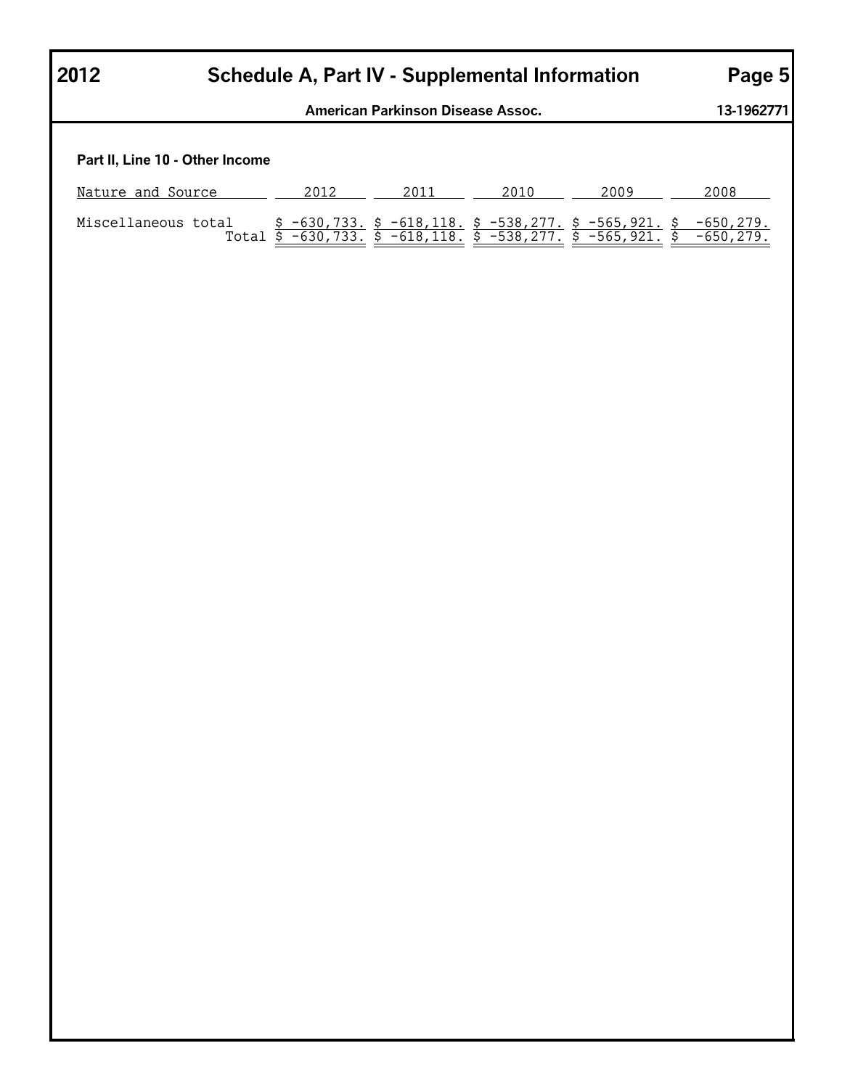| 2012              | <b>Schedule A, Part IV - Supplemental Information</b> | Page 5       |              |                                                        |                              |                              |  |
|-------------------|-------------------------------------------------------|--------------|--------------|--------------------------------------------------------|------------------------------|------------------------------|--|
|                   | American Parkinson Disease Assoc.                     |              |              |                                                        |                              |                              |  |
|                   | Part II, Line 10 - Other Income                       |              |              |                                                        |                              |                              |  |
| Nature and Source |                                                       | 2012         | 2011         | 2010                                                   | 2009                         | 2008                         |  |
|                   | Miscellaneous total<br>Total                          | $$-630,733.$ | $$-618,118.$ | $$-538,277.$<br>\$ -630,733. \$ -618,118. \$ -538,277. | $$-565,921.$<br>$-565, 921.$ | $-650, 279.$<br>$-650, 279.$ |  |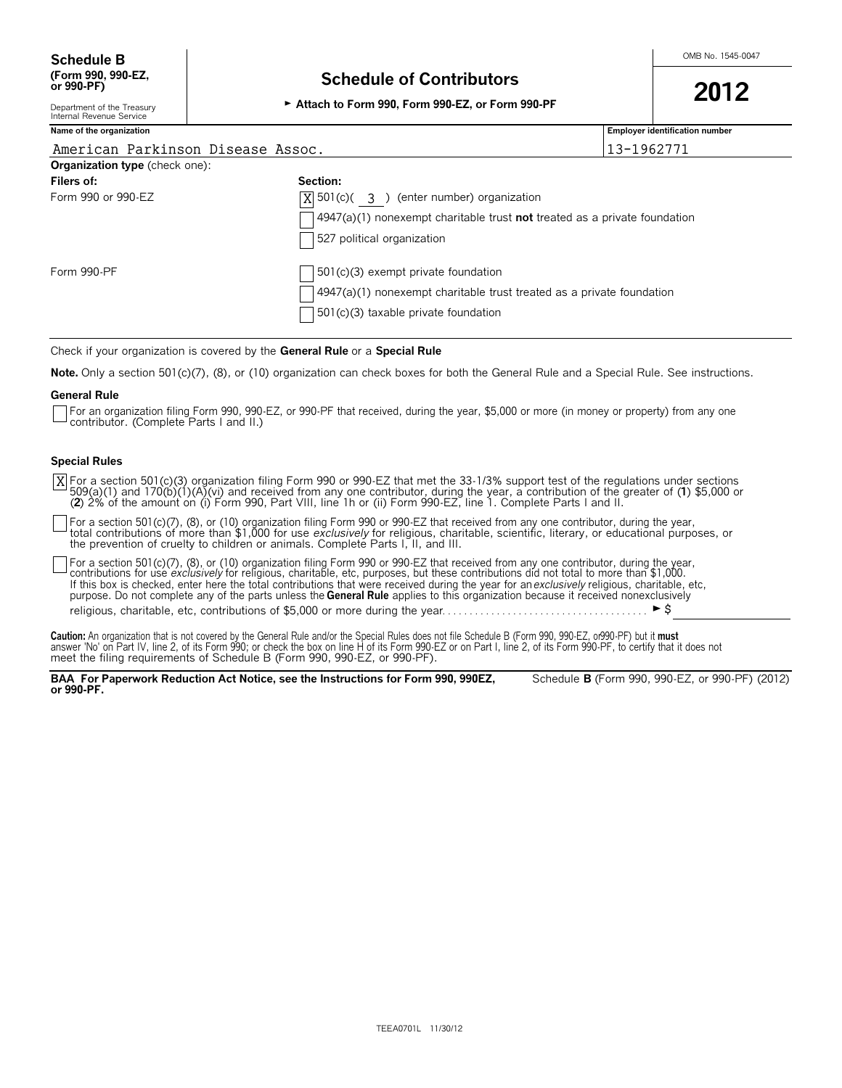# **(Form 990, 990-EZ, Schedule of Contributors or 990-PF) <sup>2012</sup>** Department of the Treasury G **Attach to Form 990, Form 990-EZ, or Form 990-PF**

| the Treasury      |  |
|-------------------|--|
| $\sim$<br>Service |  |

| Internal Revenue Service              |                                                                               |                                                                                         |  |  |  |  |  |  |
|---------------------------------------|-------------------------------------------------------------------------------|-----------------------------------------------------------------------------------------|--|--|--|--|--|--|
| Name of the organization              |                                                                               | <b>Employer identification number</b>                                                   |  |  |  |  |  |  |
| American Parkinson Disease Assoc.     |                                                                               | 13-1962771                                                                              |  |  |  |  |  |  |
| <b>Organization type</b> (check one): |                                                                               |                                                                                         |  |  |  |  |  |  |
| Filers of:                            | Section:                                                                      |                                                                                         |  |  |  |  |  |  |
| Form 990 or 990-EZ                    |                                                                               | $ X $ 501(c)( 3) (enter number) organization                                            |  |  |  |  |  |  |
|                                       |                                                                               | $\Box$ 4947(a)(1) nonexempt charitable trust <b>not</b> treated as a private foundation |  |  |  |  |  |  |
|                                       | 527 political organization                                                    |                                                                                         |  |  |  |  |  |  |
| Form 990-PF                           | $\Box$ 501(c)(3) exempt private foundation                                    |                                                                                         |  |  |  |  |  |  |
|                                       | $\vert$ 4947(a)(1) nonexempt charitable trust treated as a private foundation |                                                                                         |  |  |  |  |  |  |
|                                       | $\vert$ 501 $(c)(3)$ taxable private foundation                               |                                                                                         |  |  |  |  |  |  |

Check if your organization is covered by the **General Rule** or a **Special Rule**

**Note.** Only a section 501(c)(7), (8), or (10) organization can check boxes for both the General Rule and a Special Rule. See instructions.

#### **General Rule**

For an organization filing Form 990, 990-EZ, or 990-PF that received, during the year, \$5,000 or more (in money or property) from any one contributor. (Complete Parts I and II.)

#### **Special Rules**

For a section 501(c)(3) organization filing Form 990 or 990-EZ that met the 33-1/3% support test of the regulations under sections<br>509(a)(1) and 170(b)(1)(A)(vi) and received from any one contributor, during the year, a co (**2**) 2% of the amount on (i) Form 990, Part VIII, line 1h or (ii) Form 990-EZ, line 1. Complete Parts I and II. X

For a section 501(c)(7), (8), or (10) organization filing Form 990 or 990-EZ that received from any one contributor, during the year,<br>total contributions of more than \$1,000 for use *exclusively* for religious, charitable, the prevention of cruelty to children or animals. Complete Parts I, II, and III.

For a section 501(c)(7), (8), or (10) organization filing Form 990 or 990-EZ that received from any one contributor, during the year,<br>contributions for use *exclusively* for religious, charitable, etc, purposes, but these If this box is checked, enter here the total contributions that were received during the year for an *exclusively* religious, charitable, etc, purpose. Do not complete any of the parts unless the **General Rule** applies to this organization because it received nonexclusively religious, charitable, etc, contributions of \$5,000 or more during the year. . . . . . . . . . . . . . . . . . . . . . . . . . . . . . . . . . . . . . G\$

Caution: An organization that is not covered by the General Rule and/or the Special Rules does not file Schedule B (Form 990, 990-EZ, or990-PF) but it must<br>answer 'No' on Part IV, line 2, of its Form 990; or check the box

**BAA For Paperwork Reduction Act Notice, see the Instructions for Form 990, 990EZ,** Schedule **B** (Form 990, 990-EZ, or 990-PF) (2012) **or 990-PF.**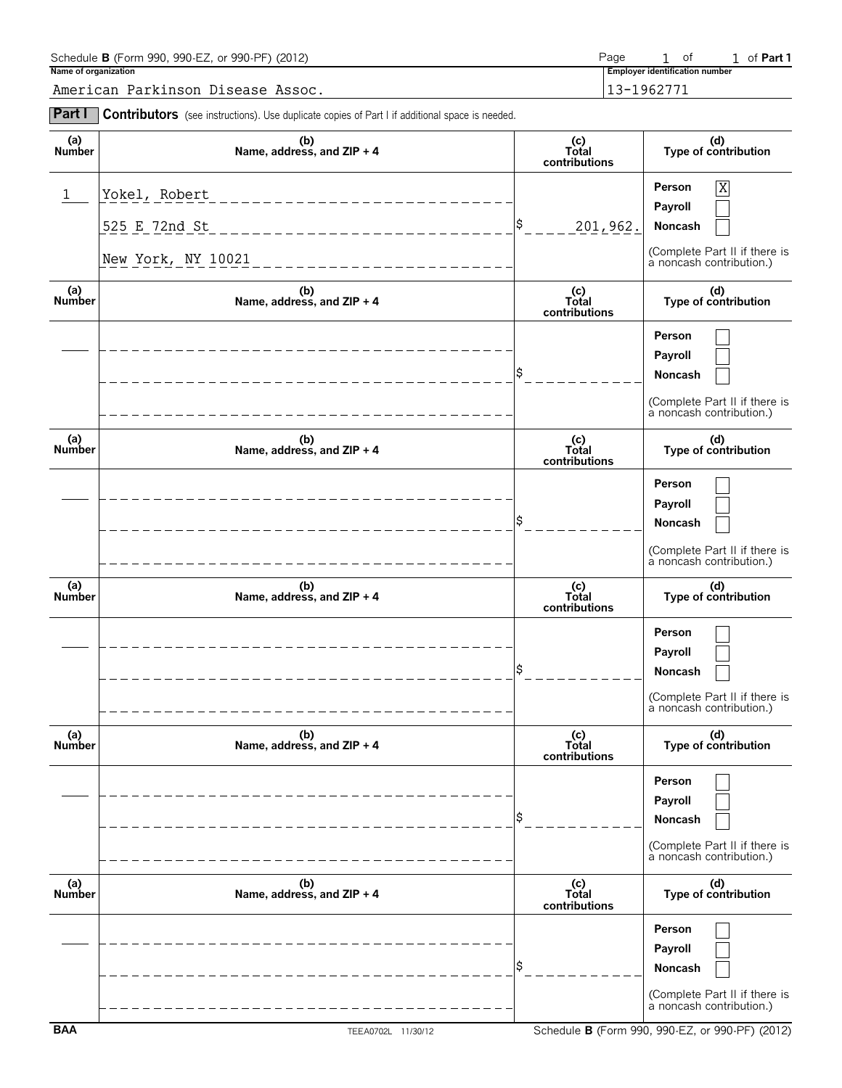| Schedule <b>B</b> (Form 990, 990-EZ, or 990-PF) (2012) | Page           | 1 of |                                | 1 of <b>Part 1</b> |
|--------------------------------------------------------|----------------|------|--------------------------------|--------------------|
| Name of organization                                   |                |      | Employer identification number |                    |
| American Parkinson Disease Assoc.                      | $13 - 1962771$ |      |                                |                    |

| <b>Part I</b>        | Contributors (see instructions). Use duplicate copies of Part I if additional space is needed. |                               |                                                                                                |
|----------------------|------------------------------------------------------------------------------------------------|-------------------------------|------------------------------------------------------------------------------------------------|
| (a)<br>Number        | (b)<br>Name, address, and $ZIP + 4$                                                            | (c)<br>Total<br>contributions | (d)<br>Type of contribution                                                                    |
| 1                    | Yokel, Robert<br>525 E 72nd St<br>New York, NY 10021                                           | S.<br>201,962.                | Person<br>X<br>Payroll<br>Noncash<br>(Complete Part II if there is<br>a noncash contribution.) |
| (a)<br>Number        | (b)<br>Name, address, and ZIP + 4                                                              | (c)<br>Total<br>contributions | (d)<br>Type of contribution                                                                    |
|                      |                                                                                                |                               | Person<br>Payroll<br>Noncash<br>(Complete Part II if there is<br>a noncash contribution.)      |
| (a)<br>Number        | (b)<br>Name, address, and ZIP + 4                                                              | (c)<br>Total<br>contributions | (d)<br>Type of contribution                                                                    |
|                      |                                                                                                |                               | Person<br>Payroll<br>Noncash<br>(Complete Part II if there is<br>à noncash contribution.)      |
| (a)<br>Number        | (b)<br>Name, address, and ZIP + 4                                                              | (c)<br>Total<br>contributions | (d)<br>Type of contribution                                                                    |
|                      |                                                                                                |                               | Person<br>Payroll<br>Noncash<br>(Complete Part II if there is<br>a noncash contribution.)      |
| (a)<br>Number        | (b)<br>Name, address, and ZIP + 4                                                              | (c)<br>Total<br>contributions | (d)<br>Type of contribution                                                                    |
|                      |                                                                                                |                               | Person<br>Payroll<br>Noncash<br>(Complete Part II if there is<br>a noncash contribution.)      |
| (a)<br><b>Number</b> | (b)<br>Name, address, and ZIP + 4                                                              | (c)<br>Total<br>contributions | (d)<br>Type of contribution                                                                    |
|                      |                                                                                                |                               | Person<br>Payroll<br>Noncash<br>(Complete Part II if there is                                  |

a noncash contribution.)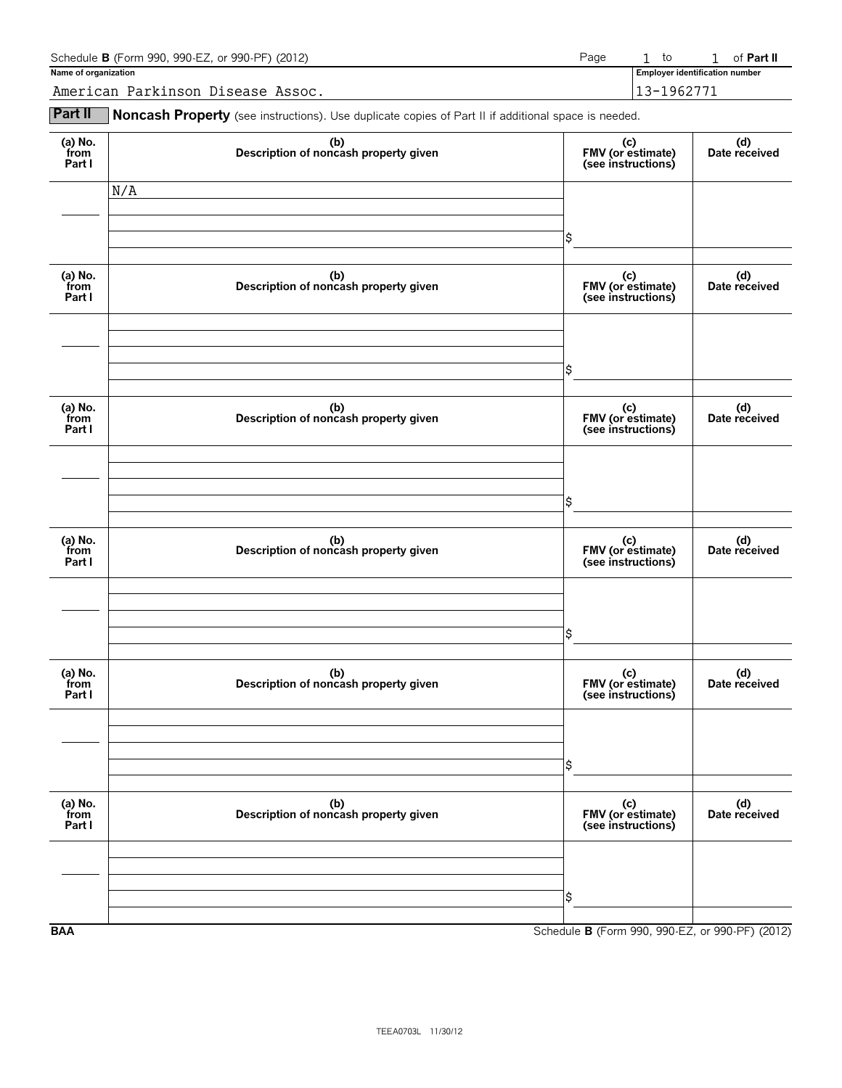| Schedule <b>B</b> (Form 990, 990-EZ, or 990-PF) (2012) | Page | to                                    | of <b>Part II</b> |
|--------------------------------------------------------|------|---------------------------------------|-------------------|
| Name of organization                                   |      | <b>Employer identification number</b> |                   |
| American Parkinson Disease Assoc.                      |      | 13-1962771                            |                   |

**Part II** Noncash Property (see instructions). Use duplicate copies of Part II if additional space is needed.

| (a) $No.$ from<br>Part I  | (b)<br>Description of noncash property given | (c)<br>FMV (or estimate)<br>(see instructions)  | (d)<br>Date received |
|---------------------------|----------------------------------------------|-------------------------------------------------|----------------------|
|                           | N/A                                          |                                                 |                      |
|                           |                                              |                                                 |                      |
|                           |                                              |                                                 |                      |
|                           |                                              | \$                                              |                      |
|                           |                                              |                                                 |                      |
| (a) No.<br>from<br>Part I | (b)<br>Description of noncash property given | (c)<br>FMV (or estimate)<br>(see instructions)  | (d)<br>Date received |
|                           |                                              |                                                 |                      |
|                           |                                              |                                                 |                      |
|                           |                                              | \$                                              |                      |
|                           |                                              |                                                 |                      |
| (a) No.<br>from<br>Part I | (b)<br>Description of noncash property given | (c)<br>FMV (or estimate)<br>(see instructions)  | (d)<br>Date received |
|                           |                                              |                                                 |                      |
|                           |                                              |                                                 |                      |
|                           |                                              |                                                 |                      |
|                           |                                              | \$                                              |                      |
|                           |                                              |                                                 |                      |
| (a) No.<br>from<br>Part I | (b)<br>Description of noncash property given | (c)<br>FMV (or estimate)<br>(see instructions)  | (d)<br>Date received |
|                           |                                              |                                                 |                      |
|                           |                                              |                                                 |                      |
|                           |                                              |                                                 |                      |
|                           |                                              | \$                                              |                      |
|                           |                                              |                                                 |                      |
| (a) No.<br>from<br>Part I | (b)<br>Description of noncash property given | (c)<br>FMV (or estimate)<br>(see instructions)  | (d)<br>Date received |
|                           |                                              |                                                 |                      |
|                           |                                              |                                                 |                      |
|                           |                                              | \$                                              |                      |
|                           |                                              |                                                 |                      |
|                           |                                              |                                                 |                      |
| (a) $No.$ from<br>Part I  | (b)<br>Description of noncash property given | (c)<br>FMV (or estimate)<br>(see instructions)  | (d)<br>Date received |
|                           |                                              |                                                 |                      |
|                           |                                              |                                                 |                      |
|                           |                                              | \$                                              |                      |
|                           |                                              |                                                 |                      |
| <b>BAA</b>                |                                              | Schedule B (Form 990, 990-EZ, or 990-PF) (2012) |                      |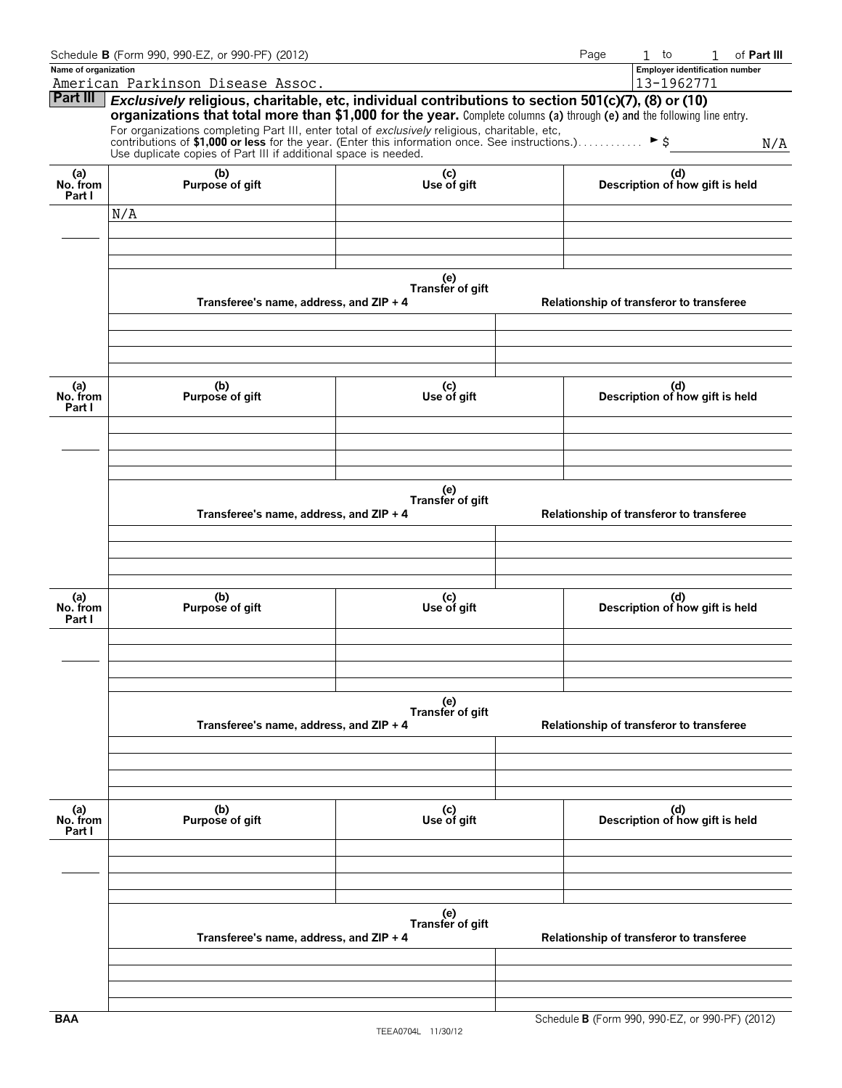|                      | Schedule B (Form 990, 990-EZ, or 990-PF) (2012)                                                                                                                                             |                         |  | Page | $\mathbf{1}$<br>to                       | of Part III<br>1                      |
|----------------------|---------------------------------------------------------------------------------------------------------------------------------------------------------------------------------------------|-------------------------|--|------|------------------------------------------|---------------------------------------|
| Name of organization |                                                                                                                                                                                             |                         |  |      |                                          | <b>Employer identification number</b> |
|                      | American Parkinson Disease Assoc.                                                                                                                                                           |                         |  |      | 13-1962771                               |                                       |
| <b>Part III</b>      | Exclusively religious, charitable, etc, individual contributions to section 501(c)(7), (8) or (10)                                                                                          |                         |  |      |                                          |                                       |
|                      | organizations that total more than \$1,000 for the year. Complete columns (a) through (e) and the following line entry.                                                                     |                         |  |      |                                          |                                       |
|                      | For organizations completing Part III, enter total of exclusively religious, charitable, etc,                                                                                               |                         |  |      |                                          |                                       |
|                      | contributions of \$1,000 or less for the year. (Enter this information once. See instructions.) $\blacktriangleright$ \$<br>Use duplicate copies of Part III if additional space is needed. |                         |  |      |                                          | N/A                                   |
|                      |                                                                                                                                                                                             |                         |  |      |                                          |                                       |
| (a)<br>No. from      | (b)                                                                                                                                                                                         | (c)<br>Use of gift      |  |      | (d)                                      |                                       |
| Part I               | Purpose of gift                                                                                                                                                                             |                         |  |      | Description of how gift is held          |                                       |
|                      | N/A                                                                                                                                                                                         |                         |  |      |                                          |                                       |
|                      |                                                                                                                                                                                             |                         |  |      |                                          |                                       |
|                      |                                                                                                                                                                                             |                         |  |      |                                          |                                       |
|                      |                                                                                                                                                                                             |                         |  |      |                                          |                                       |
|                      |                                                                                                                                                                                             |                         |  |      |                                          |                                       |
|                      |                                                                                                                                                                                             | (e)<br>Transfer of gift |  |      |                                          |                                       |
|                      | Transferee's name, address, and ZIP + 4                                                                                                                                                     |                         |  |      | Relationship of transferor to transferee |                                       |
|                      |                                                                                                                                                                                             |                         |  |      |                                          |                                       |
|                      |                                                                                                                                                                                             |                         |  |      |                                          |                                       |
|                      |                                                                                                                                                                                             |                         |  |      |                                          |                                       |
|                      |                                                                                                                                                                                             |                         |  |      |                                          |                                       |
|                      |                                                                                                                                                                                             |                         |  |      |                                          |                                       |
| (a)<br>No. from      | (b)<br>Purpose of gift                                                                                                                                                                      | (c)<br>Use of gift      |  |      | (d)<br>Description of how gift is held   |                                       |
| Part I               |                                                                                                                                                                                             |                         |  |      |                                          |                                       |
|                      |                                                                                                                                                                                             |                         |  |      |                                          |                                       |
|                      |                                                                                                                                                                                             |                         |  |      |                                          |                                       |
|                      |                                                                                                                                                                                             |                         |  |      |                                          |                                       |
|                      |                                                                                                                                                                                             |                         |  |      |                                          |                                       |
|                      | (e)                                                                                                                                                                                         |                         |  |      |                                          |                                       |
|                      | Transfer of gift                                                                                                                                                                            |                         |  |      |                                          |                                       |
|                      | Transferee's name, address, and ZIP + 4                                                                                                                                                     |                         |  |      | Relationship of transferor to transferee |                                       |
|                      |                                                                                                                                                                                             |                         |  |      |                                          |                                       |
|                      |                                                                                                                                                                                             |                         |  |      |                                          |                                       |
|                      |                                                                                                                                                                                             |                         |  |      |                                          |                                       |
|                      |                                                                                                                                                                                             |                         |  |      |                                          |                                       |
|                      | (b)                                                                                                                                                                                         |                         |  |      |                                          |                                       |
| (a)<br>No. from      | Purpose of gift                                                                                                                                                                             | (c)<br>Use of gift      |  |      | (d)<br>Description of how gift is held   |                                       |
| Part I               |                                                                                                                                                                                             |                         |  |      |                                          |                                       |
|                      |                                                                                                                                                                                             |                         |  |      |                                          |                                       |
|                      |                                                                                                                                                                                             |                         |  |      |                                          |                                       |
|                      |                                                                                                                                                                                             |                         |  |      |                                          |                                       |
|                      |                                                                                                                                                                                             |                         |  |      |                                          |                                       |
|                      |                                                                                                                                                                                             | (e)<br>Transfer of gift |  |      |                                          |                                       |
|                      | Transferee's name, address, and ZIP + 4                                                                                                                                                     |                         |  |      | Relationship of transferor to transferee |                                       |
|                      |                                                                                                                                                                                             |                         |  |      |                                          |                                       |
|                      |                                                                                                                                                                                             |                         |  |      |                                          |                                       |
|                      |                                                                                                                                                                                             |                         |  |      |                                          |                                       |
|                      |                                                                                                                                                                                             |                         |  |      |                                          |                                       |
|                      |                                                                                                                                                                                             |                         |  |      |                                          |                                       |
| (a)<br>No. from      | (b)<br>Purpose of gift                                                                                                                                                                      | (c)<br>Use of gift      |  |      | (d)<br>Description of how gift is held   |                                       |
| Part I               |                                                                                                                                                                                             |                         |  |      |                                          |                                       |
|                      |                                                                                                                                                                                             |                         |  |      |                                          |                                       |
|                      |                                                                                                                                                                                             |                         |  |      |                                          |                                       |
|                      |                                                                                                                                                                                             |                         |  |      |                                          |                                       |
|                      |                                                                                                                                                                                             |                         |  |      |                                          |                                       |
|                      |                                                                                                                                                                                             |                         |  |      |                                          |                                       |
|                      |                                                                                                                                                                                             | (e)<br>Transfer of gift |  |      |                                          |                                       |
|                      | Transferee's name, address, and ZIP + 4                                                                                                                                                     |                         |  |      | Relationship of transferor to transferee |                                       |
|                      |                                                                                                                                                                                             |                         |  |      |                                          |                                       |
|                      |                                                                                                                                                                                             |                         |  |      |                                          |                                       |
|                      |                                                                                                                                                                                             |                         |  |      |                                          |                                       |
|                      |                                                                                                                                                                                             |                         |  |      |                                          |                                       |
|                      |                                                                                                                                                                                             |                         |  |      |                                          |                                       |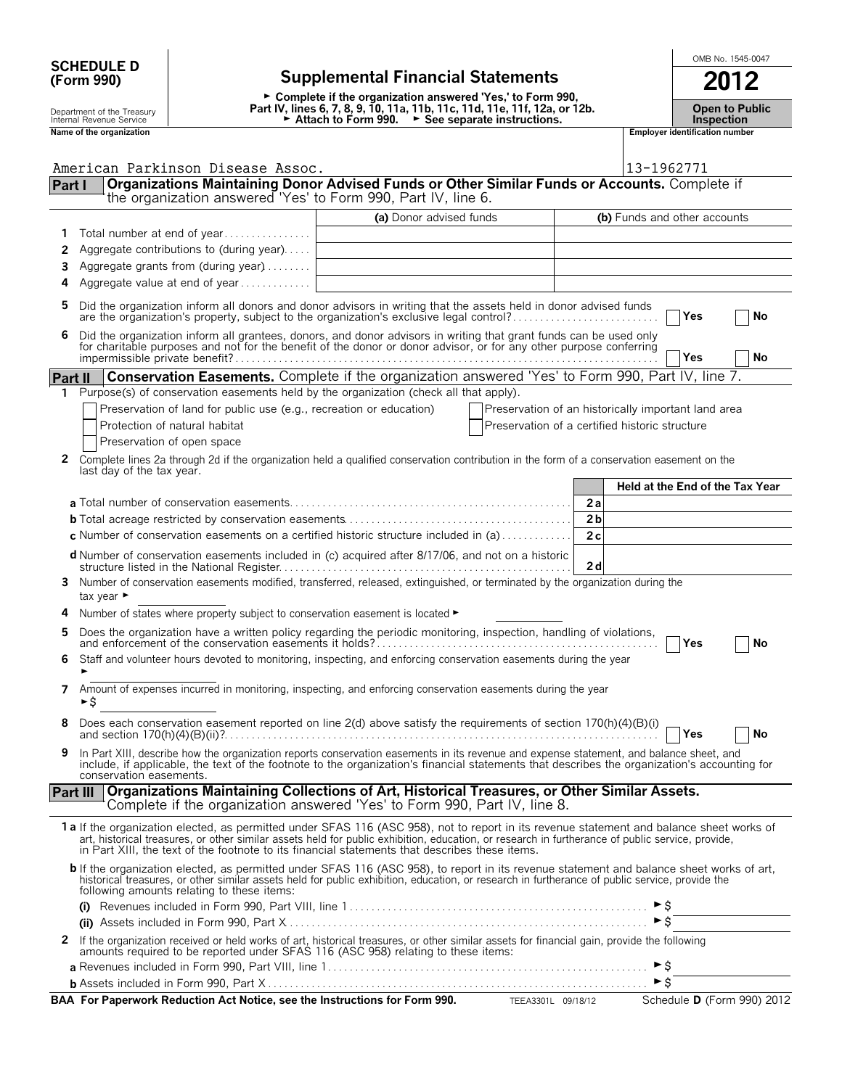| <b>SCHEDULE D</b> |  |
|-------------------|--|
| (Form 990)        |  |

## **SCHEDULE D**  $\begin{array}{|c|c|c|c|c|c|}\n\hline\n\text{SCHEDULE D} & \text{SCHEDULE D} & \text{SCHEDULE D} & \text{SCHEDULE D} & \text{SCHEDULE D} & \text{SCHEDULE D} & \text{SCHEDULE D} & \text{SCHEDULE D} & \text{SCHEDULE D} & \text{SCHEDULE D} & \text{SCHEDULE D} & \text{SCHEDULE D} & \text{SCHEDULE D} & \text{SCHEDULE D} & \text{SCHEDULE D} & \text{SCHEDULE D} & \text{SCHEDULE D} & \text{SCHEDILE D} & \text{$ **(Form 990) Supplemental Financial Statements 2012**

► Complete if the organization answered 'Yes,' to Form 990, Depart of the Treasury **art IV, lines 6, 7, 8, 9, 10, 11a, 11b, 11c, 11d, 11e, 11f, 12a, or 12b.** Open to Public<br>Internal Revenue Service **Proper to Public Lettach to Form 990. Developed to See separate instructions.** The Department of the Treasury<br> **Name of the organization**<br> **Name of the organization**<br> **Employer identification number**<br> **Employer identification number**<br>
Name of the organization<br> **Employer identification number**<br> **Employer** 

| npioyer identification num |  |
|----------------------------|--|
|                            |  |

|          | American Parkinson Disease Assoc.                                                                                                                                                                                                                                                                                                                                                              | 13-1962771                                          |
|----------|------------------------------------------------------------------------------------------------------------------------------------------------------------------------------------------------------------------------------------------------------------------------------------------------------------------------------------------------------------------------------------------------|-----------------------------------------------------|
| Part I   | Organizations Maintaining Donor Advised Funds or Other Similar Funds or Accounts. Complete if<br>the organization answered 'Yes' to Form 990, Part IV, line 6.                                                                                                                                                                                                                                 |                                                     |
|          |                                                                                                                                                                                                                                                                                                                                                                                                |                                                     |
|          | (a) Donor advised funds                                                                                                                                                                                                                                                                                                                                                                        | (b) Funds and other accounts                        |
|          | Total number at end of year                                                                                                                                                                                                                                                                                                                                                                    |                                                     |
| 2        | Aggregate contributions to (during year)                                                                                                                                                                                                                                                                                                                                                       |                                                     |
| 3        | Aggregate grants from (during year)                                                                                                                                                                                                                                                                                                                                                            |                                                     |
| 4        | Aggregate value at end of year                                                                                                                                                                                                                                                                                                                                                                 |                                                     |
| 5        | Did the organization inform all donors and donor advisors in writing that the assets held in donor advised funds<br>are the organization's property, subject to the organization's exclusive legal control?                                                                                                                                                                                    | No<br>Yes                                           |
| 6        | Did the organization inform all grantees, donors, and donor advisors in writing that grant funds can be used only for charitable purposes and not for the benefit of the donor or donor advisor, or for any other purpose conf                                                                                                                                                                 | No<br>Yes                                           |
| Part II  | Conservation Easements. Complete if the organization answered 'Yes' to Form 990, Part IV, line 7.                                                                                                                                                                                                                                                                                              |                                                     |
| 1.       | Purpose(s) of conservation easements held by the organization (check all that apply).                                                                                                                                                                                                                                                                                                          |                                                     |
|          | Preservation of land for public use (e.g., recreation or education)                                                                                                                                                                                                                                                                                                                            | Preservation of an historically important land area |
|          | Protection of natural habitat                                                                                                                                                                                                                                                                                                                                                                  | Preservation of a certified historic structure      |
|          | Preservation of open space                                                                                                                                                                                                                                                                                                                                                                     |                                                     |
|          | 2 Complete lines 2a through 2d if the organization held a qualified conservation contribution in the form of a conservation easement on the<br>last day of the tax year.                                                                                                                                                                                                                       |                                                     |
|          |                                                                                                                                                                                                                                                                                                                                                                                                | Held at the End of the Tax Year                     |
|          |                                                                                                                                                                                                                                                                                                                                                                                                | 2a                                                  |
|          |                                                                                                                                                                                                                                                                                                                                                                                                | 2 <sub>b</sub>                                      |
|          | <b>c</b> Number of conservation easements on a certified historic structure included in (a) $\dots$                                                                                                                                                                                                                                                                                            | 2c                                                  |
|          | <b>d</b> Number of conservation easements included in (c) acquired after 8/17/06, and not on a historic                                                                                                                                                                                                                                                                                        | 2d                                                  |
|          | 3 Number of conservation easements modified, transferred, released, extinguished, or terminated by the organization during the<br>tax year $\blacktriangleright$                                                                                                                                                                                                                               |                                                     |
|          | Number of states where property subject to conservation easement is located ►                                                                                                                                                                                                                                                                                                                  |                                                     |
| 5        |                                                                                                                                                                                                                                                                                                                                                                                                | Yes<br>No                                           |
| 6        | Staff and volunteer hours devoted to monitoring, inspecting, and enforcing conservation easements during the year                                                                                                                                                                                                                                                                              |                                                     |
| 7        | Amount of expenses incurred in monitoring, inspecting, and enforcing conservation easements during the year<br>►S                                                                                                                                                                                                                                                                              |                                                     |
|          | Does each conservation easement reported on line 2(d) above satisfy the requirements of section 170(h)(4)(B)(i)<br>and section $170(h)(4)(B)(ii)$ ?                                                                                                                                                                                                                                            | Yes<br>No                                           |
| 9        | In Part XIII, describe how the organization reports conservation easements in its revenue and expense statement, and balance sheet, and<br>include, if applicable, the text of the footnote to the organization's financial statements that describes the organization's accounting for<br>conservation easements.                                                                             |                                                     |
| Part III | Organizations Maintaining Collections of Art, Historical Treasures, or Other Similar Assets.<br>Complete if the organization answered 'Yes' to Form 990, Part IV, line 8.                                                                                                                                                                                                                      |                                                     |
|          | 1a If the organization elected, as permitted under SFAS 116 (ASC 958), not to report in its revenue statement and balance sheet works of<br>art, historical treasures, or other similar assets held for public exhibition, education, or research in furtherance of public service, provide,<br>in Part XIII, the text of the footnote to its financial statements that describes these items. |                                                     |
|          | b If the organization elected, as permitted under SFAS 116 (ASC 958), to report in its revenue statement and balance sheet works of art,<br>historical treasures, or other similar assets held for public exhibition, education, or research in furtherance of public service, provide the<br>following amounts relating to these items:                                                       |                                                     |
|          |                                                                                                                                                                                                                                                                                                                                                                                                |                                                     |
|          |                                                                                                                                                                                                                                                                                                                                                                                                | $\triangleright$ \$                                 |
|          | 2 If the organization received or held works of art, historical treasures, or other similar assets for financial gain, provide the following<br>amounts required to be reported under SFAS 116 (ASC 958) relating to these items:                                                                                                                                                              |                                                     |
|          |                                                                                                                                                                                                                                                                                                                                                                                                |                                                     |
|          |                                                                                                                                                                                                                                                                                                                                                                                                |                                                     |

**BAA For Paperwork Reduction Act Notice, see the Instructions for Form 990.** TEEA3301L 09/18/12 Schedule **D** (Form 990) 2012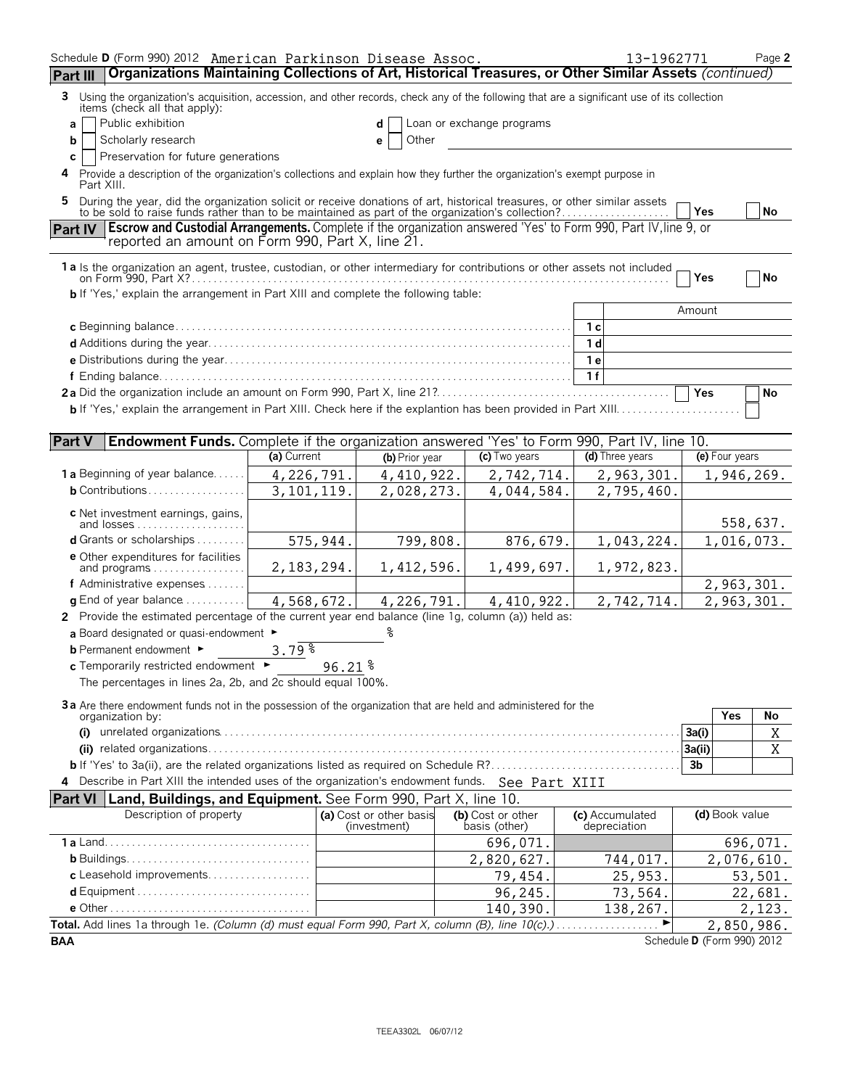| Schedule D (Form 990) 2012 American Parkinson Disease Assoc.                                                                                                                                                                    |              |                                         |                                    | 13-1962771                      |                            |                | Page 2                 |
|---------------------------------------------------------------------------------------------------------------------------------------------------------------------------------------------------------------------------------|--------------|-----------------------------------------|------------------------------------|---------------------------------|----------------------------|----------------|------------------------|
| Organizations Maintaining Collections of Art, Historical Treasures, or Other Similar Assets (continued)<br>Part III                                                                                                             |              |                                         |                                    |                                 |                            |                |                        |
| Using the organization's acquisition, accession, and other records, check any of the following that are a significant use of its collection<br>3<br>items (check all that apply):                                               |              |                                         |                                    |                                 |                            |                |                        |
| Public exhibition<br>a                                                                                                                                                                                                          |              | d                                       | Loan or exchange programs          |                                 |                            |                |                        |
| Scholarly research<br>b                                                                                                                                                                                                         |              | Other<br>е                              |                                    |                                 |                            |                |                        |
| Preservation for future generations<br>с                                                                                                                                                                                        |              |                                         |                                    |                                 |                            |                |                        |
| Provide a description of the organization's collections and explain how they further the organization's exempt purpose in<br>4<br>Part XIII.                                                                                    |              |                                         |                                    |                                 |                            |                |                        |
| During the year, did the organization solicit or receive donations of art, historical treasures, or other similar assets to be sold to raise funds rather than to be maintained as part of the organization's collection?<br>5. |              |                                         |                                    |                                 | Yes                        |                | <b>No</b>              |
| <b>Escrow and Custodial Arrangements.</b> Complete if the organization answered 'Yes' to Form 990, Part IV, line 9, or<br><b>Part IV</b><br>reported an amount on Form 990, Part X, line 21.                                    |              |                                         |                                    |                                 |                            |                |                        |
| 1a Is the organization an agent, trustee, custodian, or other intermediary for contributions or other assets not included                                                                                                       |              |                                         |                                    |                                 |                            |                |                        |
|                                                                                                                                                                                                                                 |              |                                         |                                    |                                 | Yes                        |                | <b>No</b>              |
| <b>b</b> If 'Yes,' explain the arrangement in Part XIII and complete the following table:                                                                                                                                       |              |                                         |                                    |                                 |                            |                |                        |
|                                                                                                                                                                                                                                 |              |                                         |                                    | 1 <sub>c</sub>                  | Amount                     |                |                        |
|                                                                                                                                                                                                                                 |              |                                         |                                    | 1 <sub>d</sub>                  |                            |                |                        |
|                                                                                                                                                                                                                                 |              |                                         |                                    | 1 e                             |                            |                |                        |
|                                                                                                                                                                                                                                 |              |                                         |                                    | 1f                              |                            |                |                        |
|                                                                                                                                                                                                                                 |              |                                         |                                    |                                 | Yes                        |                | <b>No</b>              |
|                                                                                                                                                                                                                                 |              |                                         |                                    |                                 |                            |                |                        |
|                                                                                                                                                                                                                                 |              |                                         |                                    |                                 |                            |                |                        |
| Part V<br><b>Endowment Funds.</b> Complete if the organization answered 'Yes' to Form 990, Part IV, line 10.                                                                                                                    |              |                                         |                                    |                                 |                            |                |                        |
|                                                                                                                                                                                                                                 | (a) Current  | (b) Prior year                          | (c) Two years                      | (d) Three years                 |                            | (e) Four years |                        |
| <b>1 a</b> Beginning of year balance                                                                                                                                                                                            | 4,226,791.   | 4, 410, 922.                            | 2,742,714.                         | 2,963,301.                      |                            |                | 1,946,269.             |
| <b>b</b> Contributions                                                                                                                                                                                                          | 3, 101, 119. | 2,028,273.                              | 4,044,584.                         | 2,795,460.                      |                            |                |                        |
| c Net investment earnings, gains,                                                                                                                                                                                               |              |                                         |                                    |                                 |                            |                |                        |
| d Grants or scholarships                                                                                                                                                                                                        | 575,944.     | 799,808.                                | 876,679.                           |                                 |                            |                | 558,637.<br>1,016,073. |
| <b>e</b> Other expenditures for facilities                                                                                                                                                                                      |              |                                         |                                    | 1,043,224.                      |                            |                |                        |
| and programs $\ldots \ldots \ldots \ldots \ldots$                                                                                                                                                                               | 2,183,294.   | 1,412,596.                              | 1,499,697.                         | 1,972,823.                      |                            |                |                        |
| f Administrative expenses                                                                                                                                                                                                       |              |                                         |                                    |                                 |                            |                | 2,963,301.             |
| <b>g</b> End of year balance $\ldots$ ,                                                                                                                                                                                         | 4,568,672.   | 4,226,791.                              | 4, 410, 922.                       | 2,742,714.                      |                            |                | 2,963,301.             |
| 2 Provide the estimated percentage of the current year end balance (line 1g, column (a)) held as:                                                                                                                               |              |                                         |                                    |                                 |                            |                |                        |
| a Board designated or quasi-endowment $\blacktriangleright$                                                                                                                                                                     |              |                                         |                                    |                                 |                            |                |                        |
| <b>b</b> Permanent endowment ►                                                                                                                                                                                                  | 3.79%        |                                         |                                    |                                 |                            |                |                        |
| c Temporarily restricted endowment > 96.21 %                                                                                                                                                                                    |              |                                         |                                    |                                 |                            |                |                        |
| The percentages in lines 2a, 2b, and 2c should equal 100%.                                                                                                                                                                      |              |                                         |                                    |                                 |                            |                |                        |
| 3a Are there endowment funds not in the possession of the organization that are held and administered for the                                                                                                                   |              |                                         |                                    |                                 |                            | Yes            | No                     |
| organization by:                                                                                                                                                                                                                |              |                                         |                                    |                                 | 3a(i)                      |                | Χ                      |
|                                                                                                                                                                                                                                 |              |                                         |                                    |                                 | 3a(ii)                     |                | X                      |
|                                                                                                                                                                                                                                 |              |                                         |                                    |                                 | 3 <sub>b</sub>             |                |                        |
| 4 Describe in Part XIII the intended uses of the organization's endowment funds. See Part XIII                                                                                                                                  |              |                                         |                                    |                                 |                            |                |                        |
| Land, Buildings, and Equipment. See Form 990, Part X, line 10.<br><b>Part VI</b>                                                                                                                                                |              |                                         |                                    |                                 |                            |                |                        |
| Description of property                                                                                                                                                                                                         |              | (a) Cost or other basis<br>(investment) | (b) Cost or other<br>basis (other) | (c) Accumulated<br>depreciation |                            | (d) Book value |                        |
|                                                                                                                                                                                                                                 |              |                                         | 696,071.                           |                                 |                            |                | 696,071.               |
|                                                                                                                                                                                                                                 |              |                                         | 2,820,627.                         | 744,017.                        |                            |                | 2,076,610.             |
| c Leasehold improvements                                                                                                                                                                                                        |              |                                         | 79,454.                            | 25,953.                         |                            |                | 53,501.                |
|                                                                                                                                                                                                                                 |              |                                         | 96,245.                            | 73,564.                         |                            |                | 22,681.                |
|                                                                                                                                                                                                                                 |              |                                         | 140,390.                           | 138,267.                        |                            |                | 2,123.                 |
| Total. Add lines 1a through 1e. (Column (d) must equal Form 990, Part X, column (B), line 10(c).)                                                                                                                               |              |                                         |                                    |                                 |                            |                | 2,850,986.             |
| <b>BAA</b>                                                                                                                                                                                                                      |              |                                         |                                    |                                 | Schedule D (Form 990) 2012 |                |                        |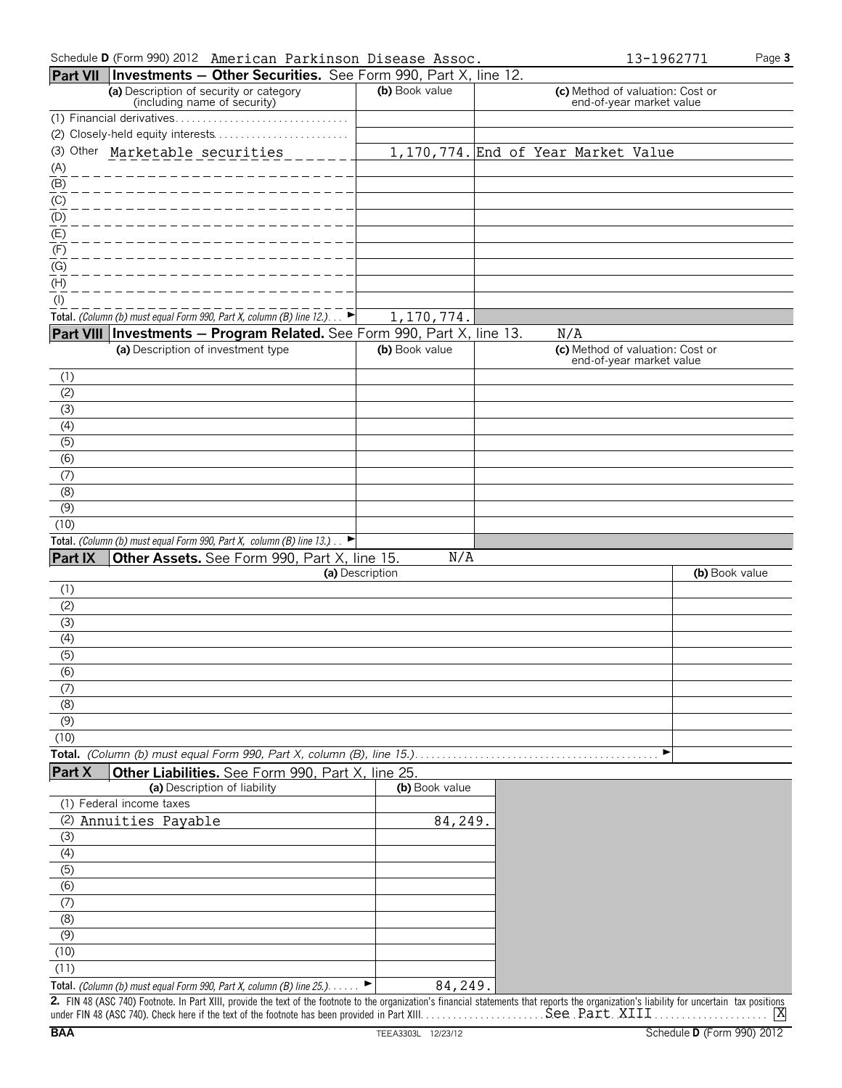| Schedule D (Form 990) 2012 American Parkinson Disease Assoc. | 13-1962771 | Page 3 |
|--------------------------------------------------------------|------------|--------|
|--------------------------------------------------------------|------------|--------|

|  | 3-1962771 |  |  |
|--|-----------|--|--|
|  |           |  |  |
|  |           |  |  |

|                              | Part VII   Investments - Other Securities. See Form 990, Part X, line 12.                                                                                                                     |                 |                                                              |                |
|------------------------------|-----------------------------------------------------------------------------------------------------------------------------------------------------------------------------------------------|-----------------|--------------------------------------------------------------|----------------|
|                              | (a) Description of security or category<br>(including name of security)                                                                                                                       | (b) Book value  | (c) Method of valuation: Cost or<br>end-of-year market value |                |
|                              |                                                                                                                                                                                               |                 |                                                              |                |
|                              |                                                                                                                                                                                               |                 |                                                              |                |
|                              | (3) Other Marketable securities                                                                                                                                                               |                 | 1,170,774. End of Year Market Value                          |                |
| $\underline{\overline{(A)}}$ |                                                                                                                                                                                               |                 |                                                              |                |
| (B)                          |                                                                                                                                                                                               |                 |                                                              |                |
| $\overline{(\text{C})}$      |                                                                                                                                                                                               |                 |                                                              |                |
| (D)                          |                                                                                                                                                                                               |                 |                                                              |                |
| (E)                          |                                                                                                                                                                                               |                 |                                                              |                |
| (F)<br>(G)                   |                                                                                                                                                                                               |                 |                                                              |                |
| (H)                          |                                                                                                                                                                                               |                 |                                                              |                |
| (1)                          |                                                                                                                                                                                               |                 |                                                              |                |
|                              | Total. (Column (b) must equal Form 990, Part X, column (B) line $12.$ )                                                                                                                       | 1,170,774.      |                                                              |                |
|                              | Part VIII   Investments - Program Related. See Form 990, Part X, line 13.                                                                                                                     |                 | N/A                                                          |                |
|                              | (a) Description of investment type                                                                                                                                                            | (b) Book value  | (c) Method of valuation: Cost or                             |                |
|                              |                                                                                                                                                                                               |                 | end-of-year market value                                     |                |
| (1)                          |                                                                                                                                                                                               |                 |                                                              |                |
| (2)                          |                                                                                                                                                                                               |                 |                                                              |                |
| (3)                          |                                                                                                                                                                                               |                 |                                                              |                |
| (4)                          |                                                                                                                                                                                               |                 |                                                              |                |
| (5)                          |                                                                                                                                                                                               |                 |                                                              |                |
| (6)                          |                                                                                                                                                                                               |                 |                                                              |                |
| (7)                          |                                                                                                                                                                                               |                 |                                                              |                |
| (8)                          |                                                                                                                                                                                               |                 |                                                              |                |
| (9)<br>(10)                  |                                                                                                                                                                                               |                 |                                                              |                |
|                              | Total. (Column (b) must equal Form 990, Part X, column (B) line 13.).<br>▶                                                                                                                    |                 |                                                              |                |
| Part IX                      | Other Assets. See Form 990, Part X, line 15.                                                                                                                                                  | N/A             |                                                              |                |
|                              |                                                                                                                                                                                               | (a) Description |                                                              | (b) Book value |
| (1)                          |                                                                                                                                                                                               |                 |                                                              |                |
| (2)                          |                                                                                                                                                                                               |                 |                                                              |                |
| (3)                          |                                                                                                                                                                                               |                 |                                                              |                |
| (4)                          |                                                                                                                                                                                               |                 |                                                              |                |
| $\overline{(5)}$             |                                                                                                                                                                                               |                 |                                                              |                |
| $\overline{(6)}$             |                                                                                                                                                                                               |                 |                                                              |                |
| (7)                          |                                                                                                                                                                                               |                 |                                                              |                |
| (8)                          |                                                                                                                                                                                               |                 |                                                              |                |
| (9)                          |                                                                                                                                                                                               |                 |                                                              |                |
| (10)                         |                                                                                                                                                                                               |                 | ▶                                                            |                |
|                              | Total. (Column (b) must equal Form 990, Part X, column (B), line 15.).                                                                                                                        |                 |                                                              |                |
| <b>Part X</b>                | Other Liabilities. See Form 990, Part X, line 25<br>(a) Description of liability                                                                                                              | (b) Book value  |                                                              |                |
|                              | (1) Federal income taxes                                                                                                                                                                      |                 |                                                              |                |
|                              | (2) Annuities Payable                                                                                                                                                                         | 84,249.         |                                                              |                |
| (3)                          |                                                                                                                                                                                               |                 |                                                              |                |
| (4)                          |                                                                                                                                                                                               |                 |                                                              |                |
| (5)                          |                                                                                                                                                                                               |                 |                                                              |                |
| (6)                          |                                                                                                                                                                                               |                 |                                                              |                |
| (7)                          |                                                                                                                                                                                               |                 |                                                              |                |
| (8)                          |                                                                                                                                                                                               |                 |                                                              |                |
| (9)                          |                                                                                                                                                                                               |                 |                                                              |                |
| (10)                         |                                                                                                                                                                                               |                 |                                                              |                |
| (11)                         |                                                                                                                                                                                               |                 |                                                              |                |
|                              | Total. (Column (b) must equal Form 990, Part X, column (B) line 25.).                                                                                                                         | 84,249.<br>►    |                                                              |                |
|                              | 2. FIN 48 (ASC 740) Footnote. In Part XIII, provide the text of the footnote to the organization's financial statements that reports the organization's liability for uncertain tax positions |                 |                                                              | ΙX             |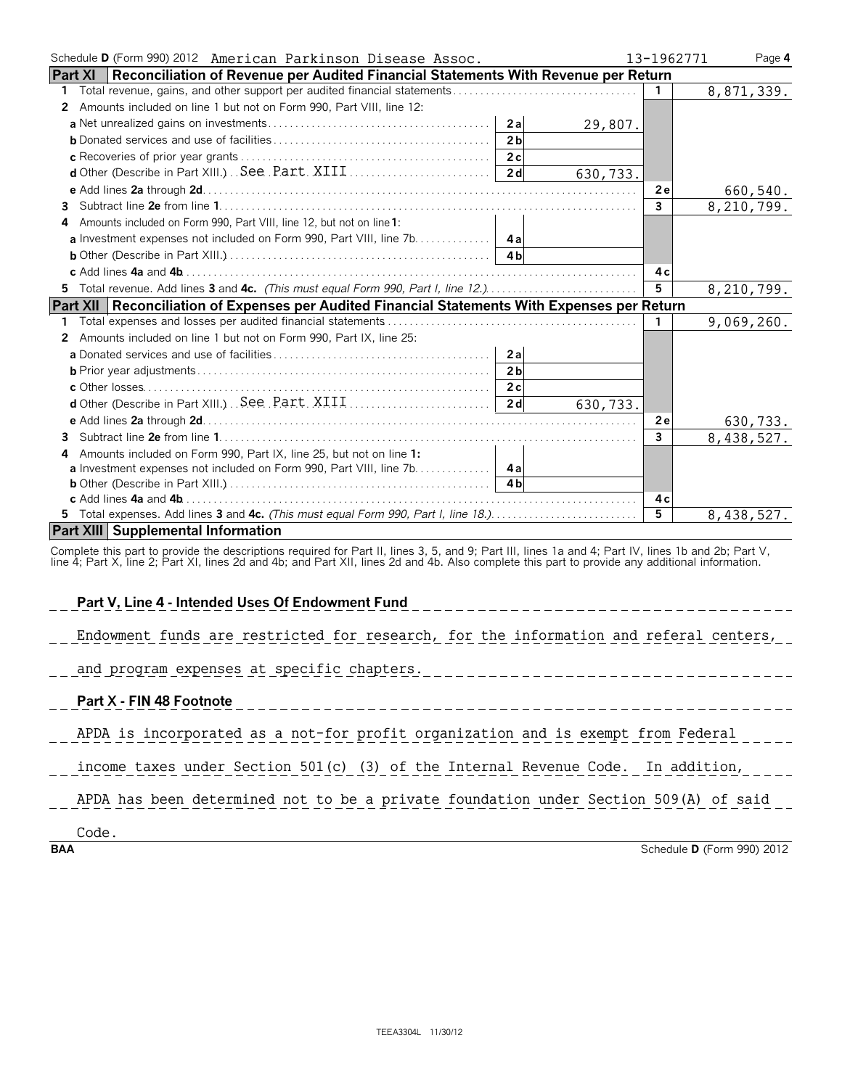| Schedule D (Form 990) 2012 American Parkinson Disease Assoc.                                         |          | 13-1962771     | Page 4     |
|------------------------------------------------------------------------------------------------------|----------|----------------|------------|
| <b>Part XI</b><br>Reconciliation of Revenue per Audited Financial Statements With Revenue per Return |          |                |            |
| 1.                                                                                                   |          | $\mathbf{1}$   | 8,871,339. |
| 2 Amounts included on line 1 but not on Form 990, Part VIII, line 12:                                |          |                |            |
| 2a                                                                                                   | 29,807.  |                |            |
| 2 <sub>b</sub>                                                                                       |          |                |            |
|                                                                                                      |          |                |            |
|                                                                                                      | 630,733. |                |            |
|                                                                                                      |          | 2e             | 660,540.   |
|                                                                                                      |          | $\mathbf{3}$   | 8,210,799. |
| Amounts included on Form 990, Part VIII, line 12, but not on line 1:<br>4                            |          |                |            |
|                                                                                                      |          |                |            |
|                                                                                                      |          |                |            |
|                                                                                                      |          | 4 c            |            |
| 5 Total revenue. Add lines 3 and 4c. (This must equal Form 990, Part I, line 12.)                    |          | 5              | 8,210,799. |
| Part XII   Reconciliation of Expenses per Audited Financial Statements With Expenses per Return      |          |                |            |
|                                                                                                      |          | $\mathbf{1}$   | 9,069,260. |
| 2 Amounts included on line 1 but not on Form 990, Part IX, line 25:                                  |          |                |            |
| 2a                                                                                                   |          |                |            |
| 2 <sub>b</sub>                                                                                       |          |                |            |
|                                                                                                      |          |                |            |
|                                                                                                      | 630,733. |                |            |
|                                                                                                      |          | 2e             | 630,733.   |
|                                                                                                      |          | $\mathbf{3}$   | 8,438,527. |
| Amounts included on Form 990, Part IX, line 25, but not on line 1:<br>4                              |          |                |            |
| a Investment expenses not included on Form 990, Part VIII, line 7b. 4a                               |          |                |            |
|                                                                                                      |          |                |            |
|                                                                                                      |          | 4 c            |            |
| 5 Total expenses. Add lines 3 and 4c. (This must equal Form 990, Part I, line 18.)                   |          | $\overline{5}$ | 8,438,527. |
| <b>Part XIII Supplemental Information</b>                                                            |          |                |            |
|                                                                                                      |          |                |            |

Complete this part to provide the descriptions required for Part II, lines 3, 5, and 9; Part III, lines 1a and 4; Part IV, lines 1b and 2b; Part V,<br>line 4; Part X, line 2; Part XI, lines 2d and 4b; and Part XII, lines 2d a

**Part V, Line 4 - Intended Uses Of Endowment Fund** Endowment funds are restricted for research, for the information and referal centers, and program expenses at specific chapters. **Part X - FIN 48 Footnote** \_\_\_\_\_\_\_ APDA is incorporated as a not-for profit organization and is exempt from Federal income taxes under Section 501(c) (3) of the Internal Revenue Code. In addition, APDA has been determined not to be a private foundation under Section 509(A) of said

Code.

**BAA** Schedule **D** (Form 990) 2012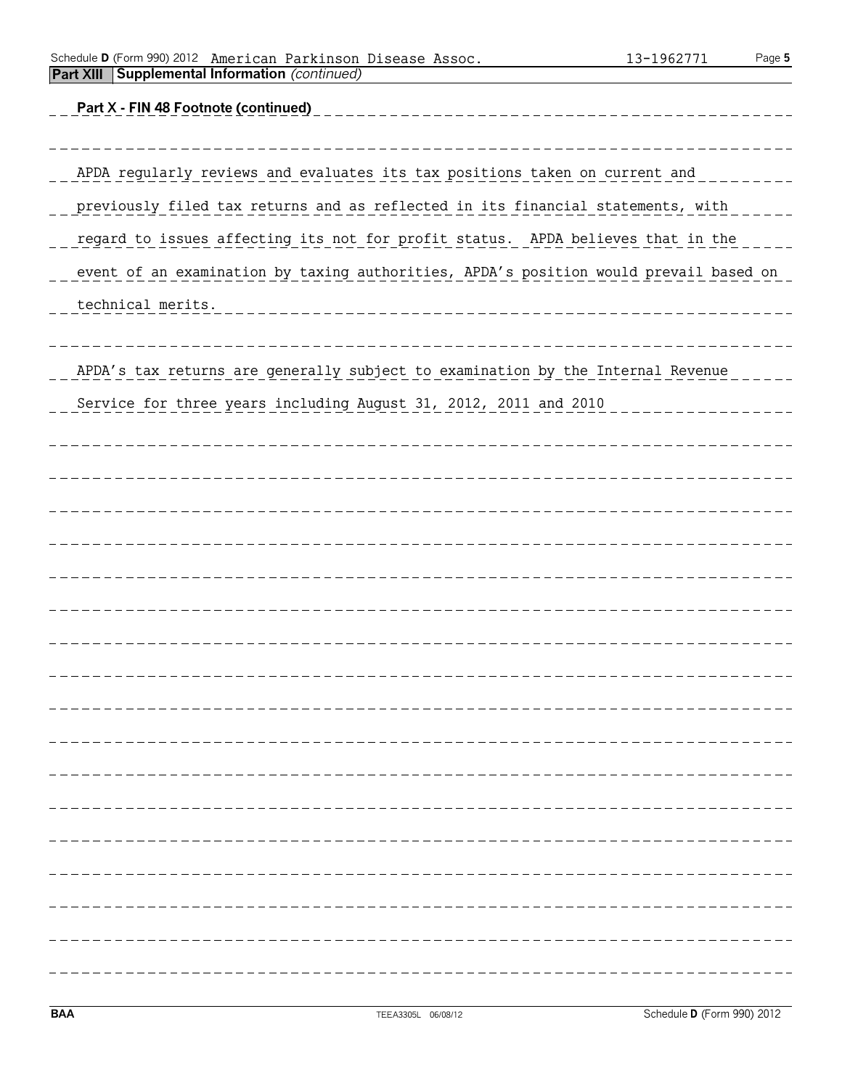| TEEA3305L 06/08/12 | Schedule D (Form 990) 2012 |
|--------------------|----------------------------|

| <b>BAA</b>                                                                            | TEEA3305L 06/08/12                 | Schedule D (Form 990) 2012 |
|---------------------------------------------------------------------------------------|------------------------------------|----------------------------|
|                                                                                       |                                    |                            |
|                                                                                       |                                    |                            |
|                                                                                       |                                    |                            |
|                                                                                       |                                    |                            |
|                                                                                       |                                    |                            |
|                                                                                       |                                    |                            |
|                                                                                       |                                    |                            |
|                                                                                       |                                    |                            |
|                                                                                       |                                    |                            |
|                                                                                       |                                    |                            |
|                                                                                       |                                    |                            |
|                                                                                       |                                    |                            |
|                                                                                       |                                    |                            |
|                                                                                       |                                    |                            |
|                                                                                       |                                    |                            |
|                                                                                       |                                    |                            |
|                                                                                       |                                    |                            |
| Service for three years including August 31, 2012, 2011 and 2010                      |                                    |                            |
| APDA's tax returns are generally subject to examination by the Internal Revenue       |                                    |                            |
| technical merits.                                                                     | __________________________________ |                            |
| event of an examination by taxing authorities, APDA's position would prevail based on |                                    |                            |
| regard to issues affecting its not for profit status. APDA believes that in the       |                                    |                            |
|                                                                                       |                                    |                            |
| previously filed tax returns and as reflected in its financial statements, with       |                                    |                            |

**Part X - FIN 48 Footnote (continued)**

APDA regularly reviews and evaluates its tax positions taken on current and \_\_\_\_\_\_\_\_\_\_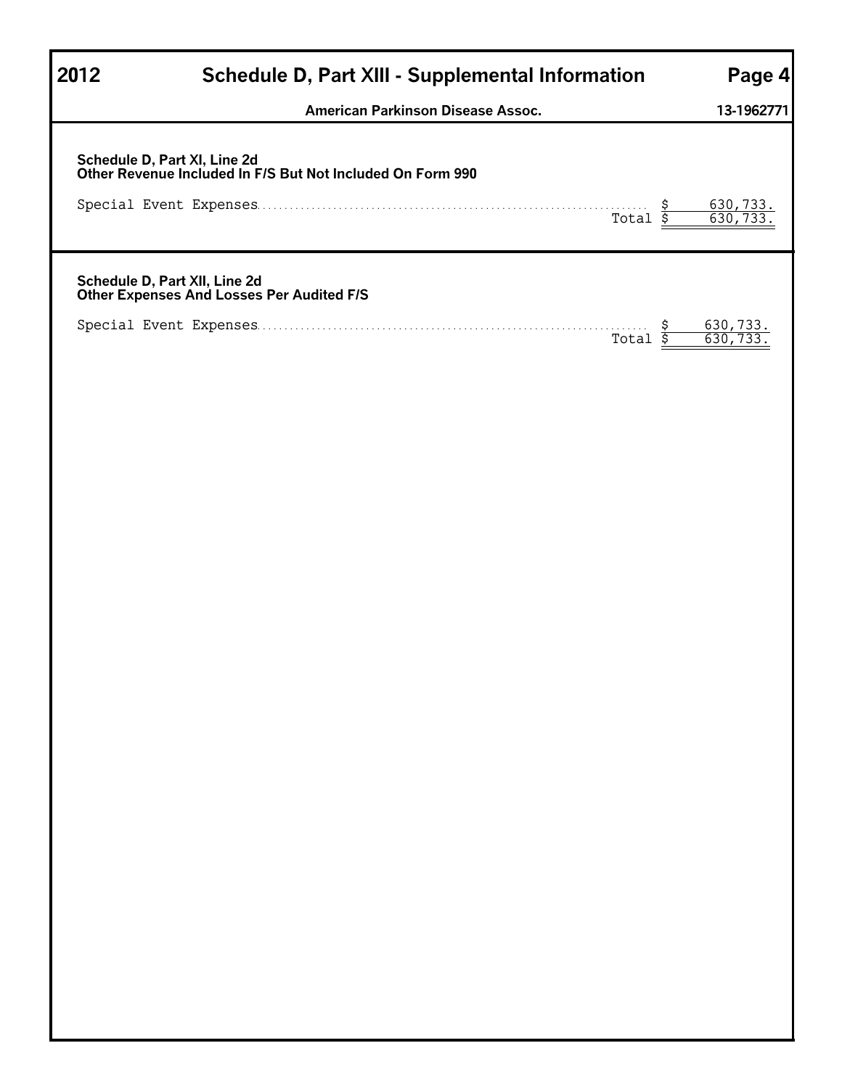| 2012 | Schedule D, Part XIII - Supplemental Information                                           | Page 4                    |
|------|--------------------------------------------------------------------------------------------|---------------------------|
|      | American Parkinson Disease Assoc.                                                          | 13-1962771                |
|      |                                                                                            |                           |
|      | Schedule D, Part XI, Line 2d<br>Other Revenue Included In F/S But Not Included On Form 990 |                           |
|      | Total $\overline{s}$                                                                       | $\frac{630,733}{630,733}$ |
|      | Schedule D, Part XII, Line 2d<br>Other Expenses And Losses Per Audited F/S                 |                           |
|      | Total $\overline{s}$                                                                       | 630,733.<br>630, 733      |
|      |                                                                                            |                           |
|      |                                                                                            |                           |
|      |                                                                                            |                           |
|      |                                                                                            |                           |
|      |                                                                                            |                           |
|      |                                                                                            |                           |
|      |                                                                                            |                           |
|      |                                                                                            |                           |
|      |                                                                                            |                           |
|      |                                                                                            |                           |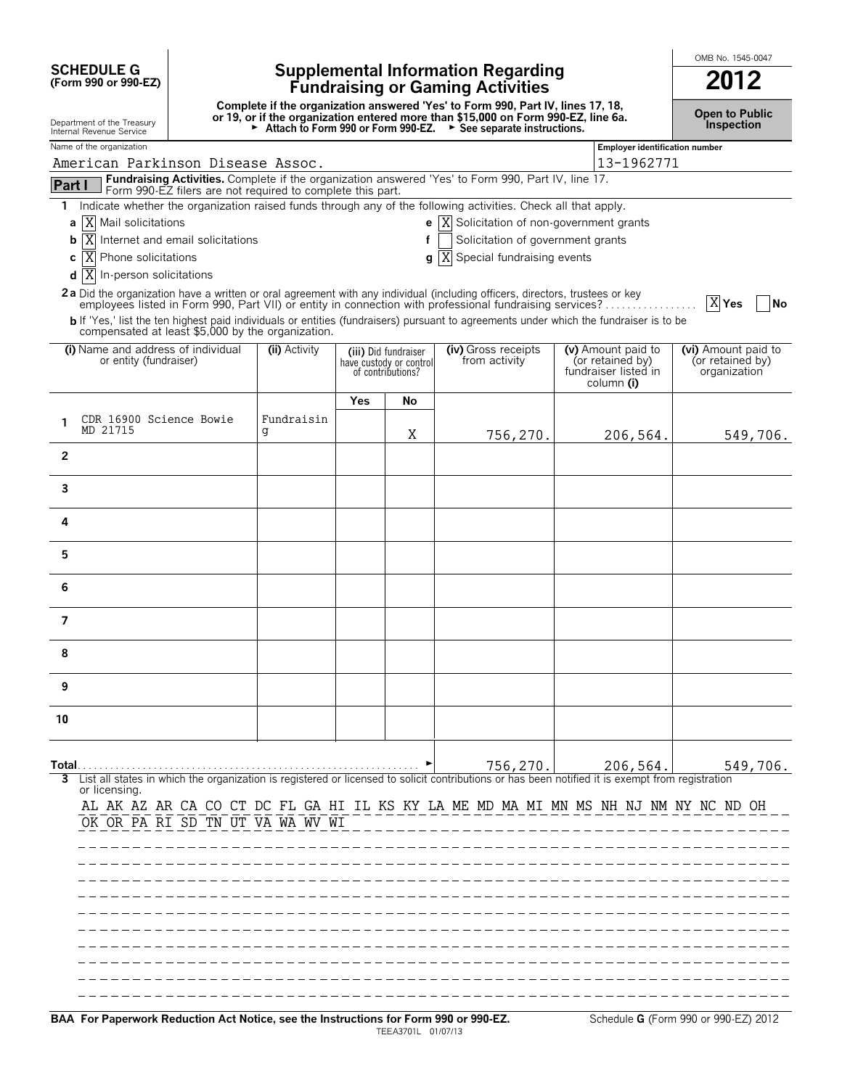# **SCHEDULE G Supplemental Information Regarding (Form 990 or 990-EZ) Fundraising or Gaming Activities 2012**

Complete if the organization answered 'Yes' to Form 990, Part IV, lines 17, 18,<br>Or 19, or if the organization entered more than \$15,000 on Form 990-EZ, line 6a. Open to Public<br>Inspection and the Treasury and the Treasury

OMB No. 1545-0047

|                | Internal Revenue Service                                                                                                                                                                                                                                        |                                                            | Attach to Form 990 or Form 990-EZ. |     |                                              | See separate instructions.                                                                                                                       |  |                                                        | pcc                              |  |  |  |  |
|----------------|-----------------------------------------------------------------------------------------------------------------------------------------------------------------------------------------------------------------------------------------------------------------|------------------------------------------------------------|------------------------------------|-----|----------------------------------------------|--------------------------------------------------------------------------------------------------------------------------------------------------|--|--------------------------------------------------------|----------------------------------|--|--|--|--|
|                | Name of the organization                                                                                                                                                                                                                                        |                                                            |                                    |     |                                              |                                                                                                                                                  |  | <b>Employer identification number</b>                  |                                  |  |  |  |  |
|                |                                                                                                                                                                                                                                                                 | American Parkinson Disease Assoc.                          |                                    |     |                                              |                                                                                                                                                  |  | 13-1962771                                             |                                  |  |  |  |  |
| Part I         |                                                                                                                                                                                                                                                                 | Form 990-EZ filers are not required to complete this part. |                                    |     |                                              | Fundraising Activities. Complete if the organization answered 'Yes' to Form 990, Part IV, line 17.                                               |  |                                                        |                                  |  |  |  |  |
|                |                                                                                                                                                                                                                                                                 |                                                            |                                    |     |                                              | 1 Indicate whether the organization raised funds through any of the following activities. Check all that apply.                                  |  |                                                        |                                  |  |  |  |  |
| а              | Mail solicitations<br>ΙXΙ                                                                                                                                                                                                                                       |                                                            |                                    |     |                                              | <b>e</b> $\overline{X}$ Solicitation of non-government grants                                                                                    |  |                                                        |                                  |  |  |  |  |
| b              | ΙX                                                                                                                                                                                                                                                              | Internet and email solicitations                           |                                    |     | f                                            | Solicitation of government grants                                                                                                                |  |                                                        |                                  |  |  |  |  |
| c              | Phone solicitations<br>ΙX                                                                                                                                                                                                                                       |                                                            |                                    |     | q                                            | Special fundraising events<br>ΙX                                                                                                                 |  |                                                        |                                  |  |  |  |  |
|                | d<br>ΙX<br>In-person solicitations                                                                                                                                                                                                                              |                                                            |                                    |     |                                              |                                                                                                                                                  |  |                                                        |                                  |  |  |  |  |
|                | 2a Did the organization have a written or oral agreement with any individual (including officers, directors, trustees or key<br>$X$ Yes<br><b>No</b><br>employees listed in Form 990, Part VII) or entity in connection with professional fundraising services? |                                                            |                                    |     |                                              |                                                                                                                                                  |  |                                                        |                                  |  |  |  |  |
|                |                                                                                                                                                                                                                                                                 | compensated at least \$5,000 by the organization.          |                                    |     |                                              | b If 'Yes,' list the ten highest paid individuals or entities (fundraisers) pursuant to agreements under which the fundraiser is to be           |  |                                                        |                                  |  |  |  |  |
|                | (i) Name and address of individual                                                                                                                                                                                                                              |                                                            | (ii) Activity                      |     | (iii) Did fundraiser                         | (iv) Gross receipts                                                                                                                              |  | (v) Amount paid to                                     | (vi) Amount paid to              |  |  |  |  |
|                | or entity (fundraiser)                                                                                                                                                                                                                                          |                                                            |                                    |     | have custody or control<br>of contributions? | from activity                                                                                                                                    |  | (or retained by)<br>fundraiser listed in<br>column (i) | (or retained by)<br>organization |  |  |  |  |
|                |                                                                                                                                                                                                                                                                 |                                                            |                                    | Yes | No                                           |                                                                                                                                                  |  |                                                        |                                  |  |  |  |  |
|                | CDR 16900 Science Bowie                                                                                                                                                                                                                                         |                                                            | Fundraisin                         |     |                                              |                                                                                                                                                  |  |                                                        |                                  |  |  |  |  |
| 1              | MD 21715                                                                                                                                                                                                                                                        |                                                            | g                                  |     | Χ                                            | 756,270.                                                                                                                                         |  | 206,564.                                               | 549,706.                         |  |  |  |  |
| $\overline{2}$ |                                                                                                                                                                                                                                                                 |                                                            |                                    |     |                                              |                                                                                                                                                  |  |                                                        |                                  |  |  |  |  |
| 3              |                                                                                                                                                                                                                                                                 |                                                            |                                    |     |                                              |                                                                                                                                                  |  |                                                        |                                  |  |  |  |  |
| 4              |                                                                                                                                                                                                                                                                 |                                                            |                                    |     |                                              |                                                                                                                                                  |  |                                                        |                                  |  |  |  |  |
| 5              |                                                                                                                                                                                                                                                                 |                                                            |                                    |     |                                              |                                                                                                                                                  |  |                                                        |                                  |  |  |  |  |
| 6              |                                                                                                                                                                                                                                                                 |                                                            |                                    |     |                                              |                                                                                                                                                  |  |                                                        |                                  |  |  |  |  |
|                |                                                                                                                                                                                                                                                                 |                                                            |                                    |     |                                              |                                                                                                                                                  |  |                                                        |                                  |  |  |  |  |
| 7              |                                                                                                                                                                                                                                                                 |                                                            |                                    |     |                                              |                                                                                                                                                  |  |                                                        |                                  |  |  |  |  |
| 8              |                                                                                                                                                                                                                                                                 |                                                            |                                    |     |                                              |                                                                                                                                                  |  |                                                        |                                  |  |  |  |  |
| 9              |                                                                                                                                                                                                                                                                 |                                                            |                                    |     |                                              |                                                                                                                                                  |  |                                                        |                                  |  |  |  |  |
| 10             |                                                                                                                                                                                                                                                                 |                                                            |                                    |     |                                              |                                                                                                                                                  |  |                                                        |                                  |  |  |  |  |
|                |                                                                                                                                                                                                                                                                 |                                                            |                                    |     |                                              |                                                                                                                                                  |  |                                                        |                                  |  |  |  |  |
|                |                                                                                                                                                                                                                                                                 |                                                            |                                    |     |                                              | List all states in which the organization is registered or licensed to solicit contributions or has been notified it is exempt from registration |  | $756, 270.$ 206, 564.                                  | 549,706.                         |  |  |  |  |
|                | or licensing.                                                                                                                                                                                                                                                   |                                                            |                                    |     |                                              |                                                                                                                                                  |  |                                                        |                                  |  |  |  |  |
|                |                                                                                                                                                                                                                                                                 |                                                            |                                    |     |                                              | AL AK AZ AR CA CO CT DC FL GA HI IL KS KY LA ME MD MA MI MN MS NH NJ NM NY NC ND OH                                                              |  |                                                        |                                  |  |  |  |  |
|                |                                                                                                                                                                                                                                                                 | OK OR PA RI SD TN UT VA WA WV WI                           |                                    |     |                                              | -------------------------------------                                                                                                            |  |                                                        |                                  |  |  |  |  |
|                |                                                                                                                                                                                                                                                                 |                                                            |                                    |     |                                              |                                                                                                                                                  |  |                                                        |                                  |  |  |  |  |
|                |                                                                                                                                                                                                                                                                 |                                                            |                                    |     |                                              |                                                                                                                                                  |  |                                                        |                                  |  |  |  |  |
|                |                                                                                                                                                                                                                                                                 |                                                            |                                    |     |                                              |                                                                                                                                                  |  |                                                        |                                  |  |  |  |  |
|                |                                                                                                                                                                                                                                                                 |                                                            |                                    |     |                                              |                                                                                                                                                  |  |                                                        |                                  |  |  |  |  |
|                |                                                                                                                                                                                                                                                                 |                                                            |                                    |     |                                              |                                                                                                                                                  |  |                                                        |                                  |  |  |  |  |
|                |                                                                                                                                                                                                                                                                 |                                                            |                                    |     |                                              |                                                                                                                                                  |  |                                                        |                                  |  |  |  |  |
|                |                                                                                                                                                                                                                                                                 |                                                            |                                    |     |                                              |                                                                                                                                                  |  |                                                        |                                  |  |  |  |  |
|                |                                                                                                                                                                                                                                                                 |                                                            |                                    |     |                                              |                                                                                                                                                  |  |                                                        |                                  |  |  |  |  |
|                |                                                                                                                                                                                                                                                                 |                                                            |                                    |     |                                              |                                                                                                                                                  |  |                                                        |                                  |  |  |  |  |
|                |                                                                                                                                                                                                                                                                 |                                                            |                                    |     |                                              |                                                                                                                                                  |  |                                                        |                                  |  |  |  |  |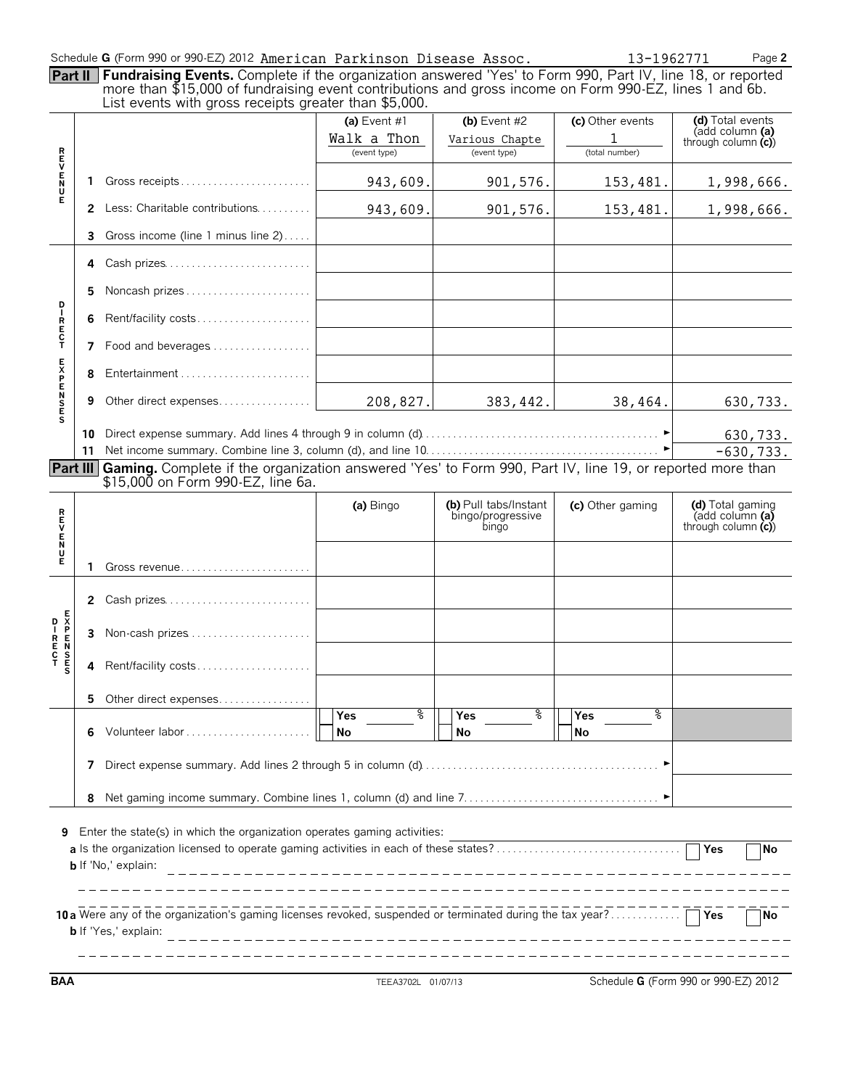### Schedule **G** (Form 990 or 990-EZ) 2012 American Parkinson Disease Assoc. 13-1962771 Page 2

| <b>Part II   Fundraising Events.</b> Complete if the organization answered 'Yes' to Form 990, Part IV, line 18, or reported |
|-----------------------------------------------------------------------------------------------------------------------------|
| more than \$15,000 of fundraising event contributions and gross income on Form 990-EZ, lines 1 and 6b.                      |
| List events with gross receipts greater than \$5,000.                                                                       |

|                 |                                                                                                                                                |                                                                                                                                               | (a) Event $#1$              | (b) Event $#2$                                      | (c) Other events              | (d) Total events                                                                        |  |  |  |  |  |
|-----------------|------------------------------------------------------------------------------------------------------------------------------------------------|-----------------------------------------------------------------------------------------------------------------------------------------------|-----------------------------|-----------------------------------------------------|-------------------------------|-----------------------------------------------------------------------------------------|--|--|--|--|--|
|                 |                                                                                                                                                |                                                                                                                                               |                             |                                                     |                               | (add column (a)                                                                         |  |  |  |  |  |
|                 |                                                                                                                                                |                                                                                                                                               | Walk a Thon<br>(event type) | Various Chapte<br>(event type)                      | 1<br>(total number)           | through column $(c)$                                                                    |  |  |  |  |  |
|                 |                                                                                                                                                |                                                                                                                                               |                             |                                                     |                               |                                                                                         |  |  |  |  |  |
| トロンドルス          | 1.                                                                                                                                             | Gross receipts                                                                                                                                | 943,609.                    | 901,576.                                            | 153,481.                      | 1,998,666.                                                                              |  |  |  |  |  |
|                 |                                                                                                                                                | 2 Less: Charitable contributions                                                                                                              | 943,609.                    | 901,576.                                            | 153,481.                      | 1,998,666.                                                                              |  |  |  |  |  |
|                 | 3                                                                                                                                              | Gross income (line 1 minus line 2)                                                                                                            |                             |                                                     |                               |                                                                                         |  |  |  |  |  |
|                 | 4                                                                                                                                              | Cash prizes                                                                                                                                   |                             |                                                     |                               |                                                                                         |  |  |  |  |  |
| D               | 5.                                                                                                                                             | Noncash prizes                                                                                                                                |                             |                                                     |                               |                                                                                         |  |  |  |  |  |
| IRECT           | 6                                                                                                                                              | Rent/facility costs                                                                                                                           |                             |                                                     |                               |                                                                                         |  |  |  |  |  |
|                 |                                                                                                                                                | 7 Food and beverages                                                                                                                          |                             |                                                     |                               |                                                                                         |  |  |  |  |  |
|                 |                                                                                                                                                |                                                                                                                                               |                             |                                                     |                               |                                                                                         |  |  |  |  |  |
| <b>EXPENSES</b> | 9                                                                                                                                              | Other direct expenses                                                                                                                         | 208,827.                    | 383, 442.                                           | 38,464.                       | 630,733.                                                                                |  |  |  |  |  |
|                 | 10                                                                                                                                             |                                                                                                                                               |                             |                                                     |                               |                                                                                         |  |  |  |  |  |
|                 |                                                                                                                                                |                                                                                                                                               |                             |                                                     |                               | 630,733.                                                                                |  |  |  |  |  |
|                 | 11                                                                                                                                             |                                                                                                                                               |                             |                                                     |                               | $-630,733.$                                                                             |  |  |  |  |  |
| Part III        |                                                                                                                                                | Gaming. Complete if the organization answered 'Yes' to Form 990, Part IV, line 19, or reported more than<br>\$15,000 on Form 990-EZ, line 6a. |                             |                                                     |                               |                                                                                         |  |  |  |  |  |
|                 |                                                                                                                                                |                                                                                                                                               |                             |                                                     |                               |                                                                                         |  |  |  |  |  |
|                 |                                                                                                                                                |                                                                                                                                               | (a) Bingo                   | (b) Pull tabs/Instant<br>bingo/progressive<br>bingo | (c) Other gaming              | (d) Total gaming<br>$\overline{a}$ (add column $\overline{a}$ )<br>through column $(c)$ |  |  |  |  |  |
| アロンドラス          | 1                                                                                                                                              | Gross revenue                                                                                                                                 |                             |                                                     |                               |                                                                                         |  |  |  |  |  |
|                 | 2                                                                                                                                              | Cash prizes                                                                                                                                   |                             |                                                     |                               |                                                                                         |  |  |  |  |  |
|                 | 3                                                                                                                                              | Non-cash prizes                                                                                                                               |                             |                                                     |                               |                                                                                         |  |  |  |  |  |
|                 | 4                                                                                                                                              | Rent/facility costs                                                                                                                           |                             |                                                     |                               |                                                                                         |  |  |  |  |  |
|                 | 5.                                                                                                                                             | Other direct expenses                                                                                                                         |                             |                                                     |                               |                                                                                         |  |  |  |  |  |
|                 | 6                                                                                                                                              |                                                                                                                                               | နွ<br>Yes<br><b>No</b>      | နွ<br>Yes<br>No                                     | နွ<br><b>Yes</b><br><b>No</b> |                                                                                         |  |  |  |  |  |
|                 | 7                                                                                                                                              |                                                                                                                                               |                             |                                                     |                               |                                                                                         |  |  |  |  |  |
|                 | 8                                                                                                                                              |                                                                                                                                               |                             |                                                     |                               |                                                                                         |  |  |  |  |  |
| 9               | Enter the state(s) in which the organization operates gaming activities:<br><b>No</b><br><b>b</b> If 'No,' explain:                            |                                                                                                                                               |                             |                                                     |                               |                                                                                         |  |  |  |  |  |
|                 | 10 a Were any of the organization's gaming licenses revoked, suspended or terminated during the tax year?<br>No<br><b>b</b> If 'Yes,' explain: |                                                                                                                                               |                             |                                                     |                               |                                                                                         |  |  |  |  |  |

**BAA** TEEA3702L 01/07/13 Schedule **G** (Form 990 or 990-EZ) 2012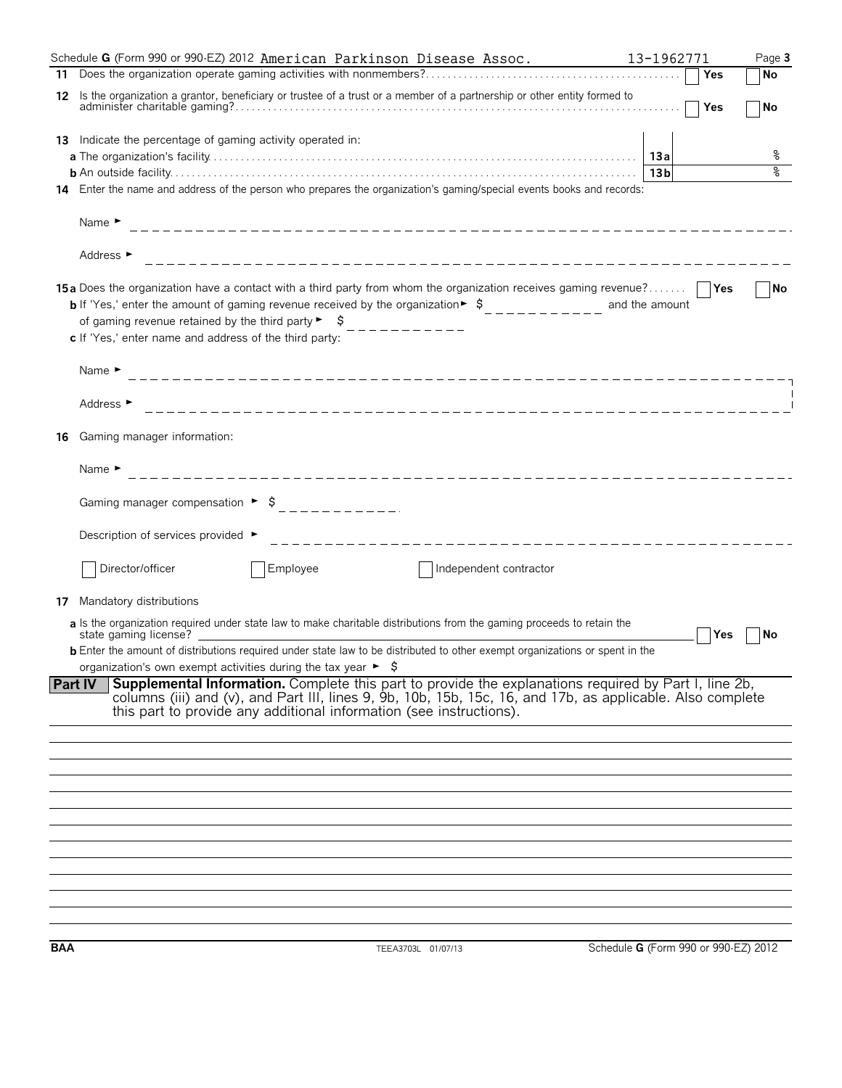|     | Schedule G (Form 990 or 990-EZ) 2012 American Parkinson Disease Assoc.                                                                                                                                                                                                                                                                                                                                                                                                                                                          |                        | 13-1962771                           | Page 3    |
|-----|---------------------------------------------------------------------------------------------------------------------------------------------------------------------------------------------------------------------------------------------------------------------------------------------------------------------------------------------------------------------------------------------------------------------------------------------------------------------------------------------------------------------------------|------------------------|--------------------------------------|-----------|
|     |                                                                                                                                                                                                                                                                                                                                                                                                                                                                                                                                 |                        | Yes                                  | No        |
| 12  | Is the organization a grantor, beneficiary or trustee of a trust or a member of a partnership or other entity formed to                                                                                                                                                                                                                                                                                                                                                                                                         |                        | $\Box$ Yes                           | No        |
|     | 13 Indicate the percentage of gaming activity operated in:<br>14 Enter the name and address of the person who prepares the organization's gaming/special events books and records:<br>Name $\blacktriangleright$                                                                                                                                                                                                                                                                                                                |                        | 13 <sub>b</sub>                      | ိစ<br>۹   |
|     | Address ►<br>15a Does the organization have a contact with a third party from whom the organization receives gaming revenue?<br><b>b</b> If 'Yes,' enter the amount of gaming revenue received by the organization $\frac{1}{2}$ , $\frac{1}{2}$ , $\frac{1}{2}$ , $\frac{1}{2}$ , $\frac{1}{2}$ , and the amount<br>of gaming revenue retained by the third party $\blacktriangleright$ $\blacktriangleright$<br>_ _ _ _ _ _ _ _ _ _ _<br>c If 'Yes,' enter name and address of the third party:<br>Name $\blacktriangleright$ |                        |                                      | <b>No</b> |
|     | Address ►                                                                                                                                                                                                                                                                                                                                                                                                                                                                                                                       |                        |                                      |           |
| 16  | Gaming manager information:<br>Name $\blacktriangleright$                                                                                                                                                                                                                                                                                                                                                                                                                                                                       |                        |                                      |           |
|     | Description of services provided ►                                                                                                                                                                                                                                                                                                                                                                                                                                                                                              |                        |                                      |           |
| 17  | Director/officer<br>Employee<br>Mandatory distributions<br>a Is the organization required under state law to make charitable distributions from the gaming proceeds to retain the<br>state gaming license?<br><b>b</b> Enter the amount of distributions required under state law to be distributed to other exempt organizations or spent in the<br>organization's own exempt activities during the tax year ► \$                                                                                                              | Independent contractor | Yes                                  | No        |
|     | Supplemental Information. Complete this part to provide the explanations required by Part I, line 2b,<br><b>Part IV</b><br>columns (iii) and (v), and Part III, lines 9, 9b, 10b, 15b, 15c, 16, and 17b, as applicable. Also complete<br>this part to provide any additional information (see instructions).                                                                                                                                                                                                                    |                        |                                      |           |
|     |                                                                                                                                                                                                                                                                                                                                                                                                                                                                                                                                 |                        |                                      |           |
|     |                                                                                                                                                                                                                                                                                                                                                                                                                                                                                                                                 |                        |                                      |           |
| BAA | TEEA3703L 01/07/13                                                                                                                                                                                                                                                                                                                                                                                                                                                                                                              |                        | Schedule G (Form 990 or 990-EZ) 2012 |           |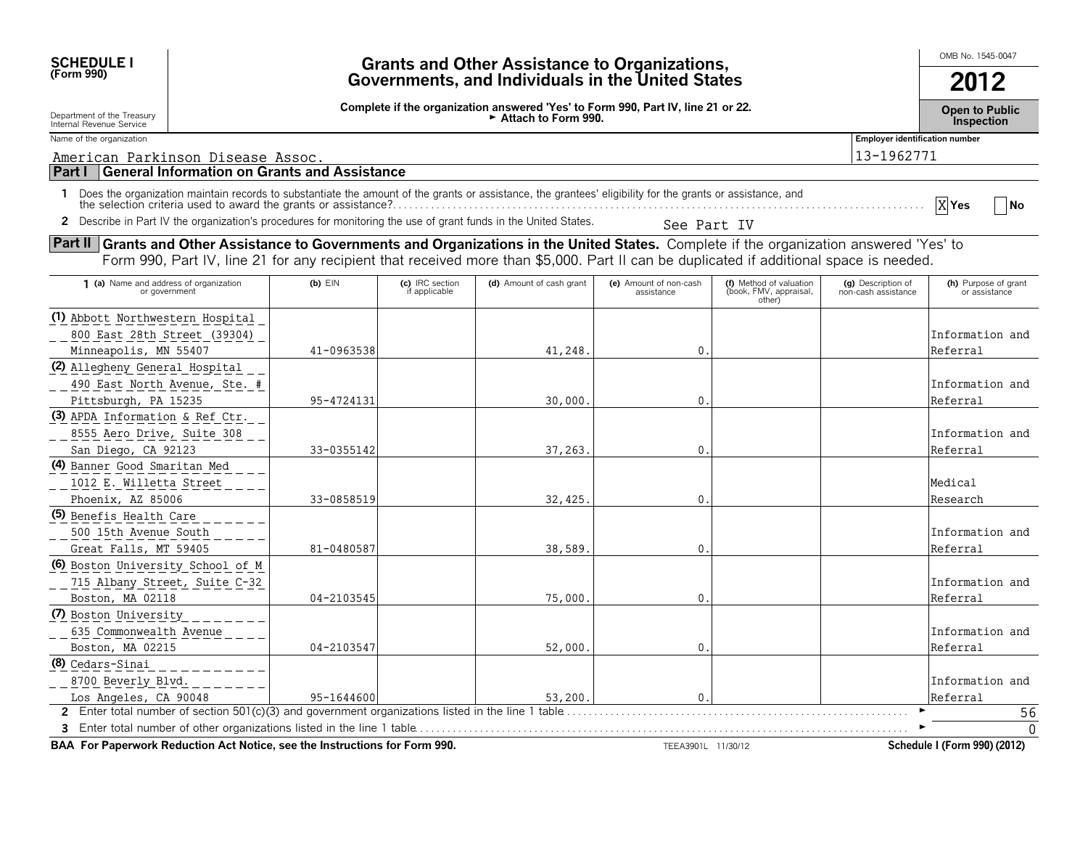| <b>SCHEDULE I</b><br>(Form 990)                                                                                                                                                                                                                                                     | <b>Grants and Other Assistance to Organizations,</b><br>Governments, and Individuals in the United States |                                  |                                                                                                                          |                                      |                                                             |                                           |                                       |  |
|-------------------------------------------------------------------------------------------------------------------------------------------------------------------------------------------------------------------------------------------------------------------------------------|-----------------------------------------------------------------------------------------------------------|----------------------------------|--------------------------------------------------------------------------------------------------------------------------|--------------------------------------|-------------------------------------------------------------|-------------------------------------------|---------------------------------------|--|
| Department of the Treasury<br>Internal Revenue Service                                                                                                                                                                                                                              |                                                                                                           |                                  | Complete if the organization answered 'Yes' to Form 990, Part IV, line 21 or 22.<br>$\triangleright$ Attach to Form 990. |                                      |                                                             |                                           | <b>Open to Public</b><br>Inspection   |  |
| Name of the organization                                                                                                                                                                                                                                                            |                                                                                                           |                                  |                                                                                                                          |                                      |                                                             | <b>Employer identification number</b>     |                                       |  |
| American Parkinson Disease Assoc.                                                                                                                                                                                                                                                   |                                                                                                           |                                  |                                                                                                                          |                                      |                                                             | 13-1962771                                |                                       |  |
| <b>General Information on Grants and Assistance</b><br><b>Part I</b>                                                                                                                                                                                                                |                                                                                                           |                                  |                                                                                                                          |                                      |                                                             |                                           |                                       |  |
| 1 Does the organization maintain records to substantiate the amount of the grants or assistance, the grantees' eligibility for the grants or assistance, and<br>2 Describe in Part IV the organization's procedures for monitoring the use of grant funds in the United States.     |                                                                                                           |                                  |                                                                                                                          | See Part IV                          |                                                             |                                           | X Yes<br>- No                         |  |
|                                                                                                                                                                                                                                                                                     |                                                                                                           |                                  |                                                                                                                          |                                      |                                                             |                                           |                                       |  |
| Part II Grants and Other Assistance to Governments and Organizations in the United States. Complete if the organization answered 'Yes' to<br>Form 990, Part IV, line 21 for any recipient that received more than \$5,000. Part II can be duplicated if additional space is needed. |                                                                                                           |                                  |                                                                                                                          |                                      |                                                             |                                           |                                       |  |
| 1 (a) Name and address of organization<br>or government                                                                                                                                                                                                                             | $(b)$ $EIN$                                                                                               | (c) IRC section<br>if applicable | (d) Amount of cash grant                                                                                                 | (e) Amount of non-cash<br>assistance | (f) Method of valuation<br>(book, FMV, appraisal,<br>other) | (g) Description of<br>non-cash assistance | (h) Purpose of grant<br>or assistance |  |
| (1) Abbott Northwestern Hospital<br>800 East 28th Street (39304)<br>Minneapolis, MN 55407                                                                                                                                                                                           | 41-0963538                                                                                                |                                  | 41,248                                                                                                                   | $\mathbf 0$                          |                                                             |                                           | Information and<br>Referral           |  |
| (2) Allegheny General Hospital<br>490 East North Avenue, Ste. #<br>Pittsburgh, PA 15235                                                                                                                                                                                             | 95-4724131                                                                                                |                                  | 30,000                                                                                                                   | $\mathbf{0}$                         |                                                             |                                           | Information and<br>Referral           |  |
| (3) APDA Information & Ref Ctr.<br>8555 Aero Drive, Suite 308<br>San Diego, CA 92123                                                                                                                                                                                                | 33-0355142                                                                                                |                                  | 37,263                                                                                                                   | $\mathbf{0}$                         |                                                             |                                           | Information and<br>Referral           |  |
| (4) Banner Good Smaritan Med<br>1012 E. Willetta Street<br>Phoenix, AZ 85006                                                                                                                                                                                                        | 33-0858519                                                                                                |                                  | 32,425                                                                                                                   | $\Omega$                             |                                                             |                                           | Medical<br>Research                   |  |
| (5) Benefis Health Care<br>500 15th Avenue South<br>Great Falls, MT 59405                                                                                                                                                                                                           | 81-0480587                                                                                                |                                  | 38,589                                                                                                                   | $\mathbf{0}$                         |                                                             |                                           | Information and<br>Referral           |  |
| (6) Boston University School of M<br>715 Albany Street, Suite C-32<br>Boston, MA 02118                                                                                                                                                                                              | 04-2103545                                                                                                |                                  | 75,000                                                                                                                   | $\mathbf{0}$                         |                                                             |                                           | Information and<br>Referral           |  |
| (7) Boston University<br>635 Commonwealth Avenue<br>Boston, MA 02215                                                                                                                                                                                                                | 04-2103547                                                                                                |                                  | 52,000                                                                                                                   | $\Omega$                             |                                                             |                                           | Information and<br>Referral           |  |
| (8) Cedars-Sinai<br>8700 Beverly Blvd.<br>Los Angeles, CA 90048                                                                                                                                                                                                                     | 95-1644600                                                                                                |                                  | 53,200.                                                                                                                  | $\mathbf{0}$                         |                                                             |                                           | Information and<br>Referral           |  |
|                                                                                                                                                                                                                                                                                     |                                                                                                           |                                  |                                                                                                                          |                                      |                                                             |                                           | 56<br>$\mathbf{0}$                    |  |

**BAA For Paperwork Reduction Act Notice, see the Instructions for Form 990.** TEEA3901L 11/30/12 TEEA3901L 11/30/12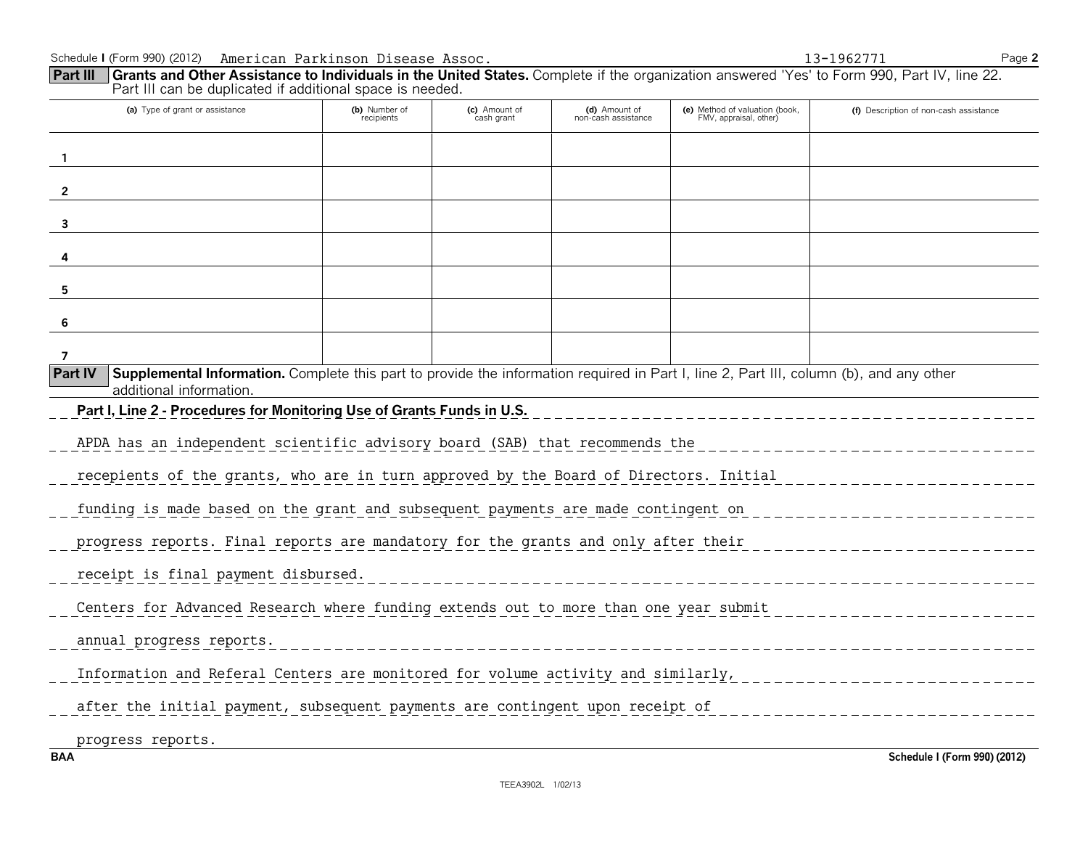| <b>Grants and Other Assistance to Individuals in the United States.</b> Complete if the organization answered 'Yes' to Form 990, Part IV, line 22.<br><b>Part III</b><br>Part III can be duplicated if additional space is needed. |                             |                             |                                      |                                                          |                                        |
|------------------------------------------------------------------------------------------------------------------------------------------------------------------------------------------------------------------------------------|-----------------------------|-----------------------------|--------------------------------------|----------------------------------------------------------|----------------------------------------|
| (a) Type of grant or assistance                                                                                                                                                                                                    | (b) Number of<br>recipients | (c) Amount of<br>cash grant | (d) Amount of<br>non-cash assistance | (e) Method of valuation (book,<br>FMV, appraisal, other) | (f) Description of non-cash assistance |
| $\mathbf{1}$                                                                                                                                                                                                                       |                             |                             |                                      |                                                          |                                        |
| $\mathbf{2}$                                                                                                                                                                                                                       |                             |                             |                                      |                                                          |                                        |
| 3                                                                                                                                                                                                                                  |                             |                             |                                      |                                                          |                                        |
| 4                                                                                                                                                                                                                                  |                             |                             |                                      |                                                          |                                        |
| 5                                                                                                                                                                                                                                  |                             |                             |                                      |                                                          |                                        |
| 6                                                                                                                                                                                                                                  |                             |                             |                                      |                                                          |                                        |
| 7                                                                                                                                                                                                                                  |                             |                             |                                      |                                                          |                                        |
| Supplemental Information. Complete this part to provide the information required in Part I, line 2, Part III, column (b), and any other<br><b>Part IV</b><br>additional information.                                               |                             |                             |                                      |                                                          |                                        |
| Part I, Line 2 - Procedures for Monitoring Use of Grants Funds in U.S.                                                                                                                                                             |                             |                             |                                      |                                                          |                                        |
| APDA has an independent scientific advisory board (SAB) that recommends the                                                                                                                                                        |                             |                             |                                      |                                                          |                                        |
| recepients of the grants, who are in turn approved by the Board of Directors. Initial                                                                                                                                              |                             |                             |                                      |                                                          |                                        |
| funding is made based on the grant and subsequent payments are made contingent on                                                                                                                                                  |                             |                             |                                      |                                                          |                                        |
| progress reports. Final reports are mandatory for the grants and only after their                                                                                                                                                  |                             |                             |                                      |                                                          |                                        |
| receipt is final payment disbursed.                                                                                                                                                                                                |                             |                             |                                      |                                                          |                                        |
| Centers for Advanced Research where funding extends out to more than one year submit                                                                                                                                               |                             |                             |                                      |                                                          |                                        |
| annual progress reports.                                                                                                                                                                                                           |                             |                             |                                      |                                                          |                                        |
| Information and Referal Centers are monitored for volume activity and similarly,                                                                                                                                                   |                             |                             |                                      |                                                          |                                        |
| after the initial payment, subsequent payments are contingent upon receipt of                                                                                                                                                      |                             |                             |                                      |                                                          |                                        |

progress reports.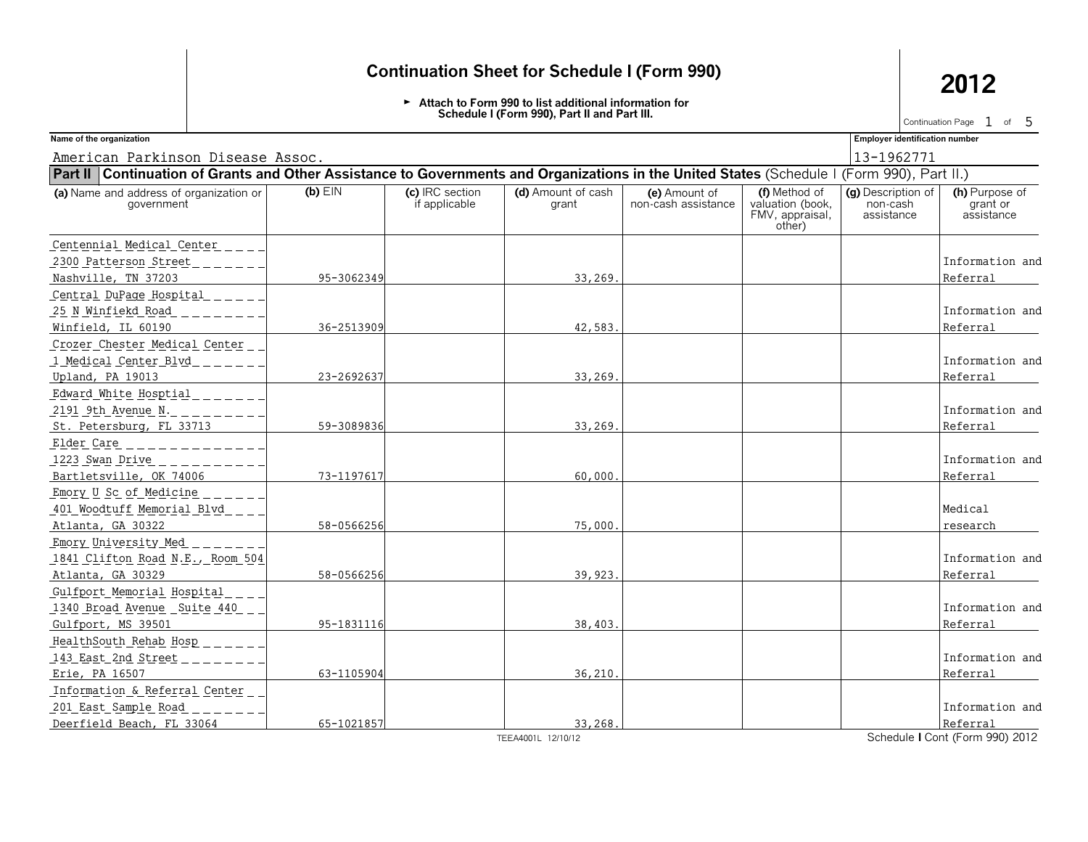G **Attach to Form 990 to list additional information for Schedule I (Form 990), Part II and Part III.**

Continuation Page  $1$  of  $5$ 

American Parkinson Disease Assoc. 13-1962771

**Name of the organization Employer identification number**

| Part II   Continuation of Grants and Other Assistance to Governments and Organizations in the United States (Schedule I (Form 990), Part II.) |            |                                  |                             |                                      |                                                                |                                              |                                          |
|-----------------------------------------------------------------------------------------------------------------------------------------------|------------|----------------------------------|-----------------------------|--------------------------------------|----------------------------------------------------------------|----------------------------------------------|------------------------------------------|
| (a) Name and address of organization or<br>government                                                                                         | $(b)$ EIN  | (c) IRC section<br>if applicable | (d) Amount of cash<br>grant | (e) Amount of<br>non-cash assistance | (f) Method of<br>valuation (book,<br>FMV, appraisal,<br>other) | (g) Description of<br>non-cash<br>assistance | (h) Purpose of<br>grant or<br>assistance |
| Centennial Medical Center                                                                                                                     |            |                                  |                             |                                      |                                                                |                                              |                                          |
| 2300 Patterson Street                                                                                                                         |            |                                  |                             |                                      |                                                                |                                              | Information and                          |
| Nashville, TN 37203                                                                                                                           | 95-3062349 |                                  | 33,269.                     |                                      |                                                                |                                              | Referral                                 |
| Central DuPage Hospital                                                                                                                       |            |                                  |                             |                                      |                                                                |                                              |                                          |
| 25 N Winfiekd Road                                                                                                                            |            |                                  |                             |                                      |                                                                |                                              | Information and                          |
| Winfield, IL 60190                                                                                                                            | 36-2513909 |                                  | 42,583.                     |                                      |                                                                |                                              | Referral                                 |
| Crozer Chester Medical Center                                                                                                                 |            |                                  |                             |                                      |                                                                |                                              |                                          |
| 1 Medical Center Blvd                                                                                                                         |            |                                  |                             |                                      |                                                                |                                              | Information and                          |
| Upland, PA 19013                                                                                                                              | 23-2692637 |                                  | 33,269                      |                                      |                                                                |                                              | Referral                                 |
| Edward White Hosptial<br>2191 9th Avenue N.                                                                                                   |            |                                  |                             |                                      |                                                                |                                              | Information and                          |
| St. Petersburg, FL 33713                                                                                                                      | 59-3089836 |                                  | 33,269.                     |                                      |                                                                |                                              | Referral                                 |
| Elder Care<br>1223 Swan Drive<br>Bartletsville, OK 74006                                                                                      | 73-1197617 |                                  | 60,000                      |                                      |                                                                |                                              | Information and<br>Referral              |
| Emory U Sc of Medicine                                                                                                                        |            |                                  |                             |                                      |                                                                |                                              |                                          |
| 401 Woodtuff Memorial Blvd<br>Atlanta, GA 30322                                                                                               | 58-0566256 |                                  | 75,000                      |                                      |                                                                |                                              | Medical<br>research                      |
| Emory University Med                                                                                                                          |            |                                  |                             |                                      |                                                                |                                              |                                          |
| 1841 Clifton Road N.E., Room 504<br>Atlanta, GA 30329                                                                                         | 58-0566256 |                                  | 39,923.                     |                                      |                                                                |                                              | Information and<br>Referral              |
| Gulfport Memorial Hospital                                                                                                                    |            |                                  |                             |                                      |                                                                |                                              |                                          |
| 1340 Broad Avenue Suite 440                                                                                                                   |            |                                  |                             |                                      |                                                                |                                              | Information and                          |
| Gulfport, MS 39501                                                                                                                            | 95-1831116 |                                  | 38,403                      |                                      |                                                                |                                              | Referral                                 |
| HealthSouth Rehab Hosp                                                                                                                        |            |                                  |                             |                                      |                                                                |                                              |                                          |
| 143 East 2nd Street                                                                                                                           |            |                                  |                             |                                      |                                                                |                                              | Information and                          |
| Erie, PA 16507                                                                                                                                | 63-1105904 |                                  | 36.210.                     |                                      |                                                                |                                              | Referral                                 |
| Information & Referral Center                                                                                                                 |            |                                  |                             |                                      |                                                                |                                              |                                          |
| 201 East Sample Road                                                                                                                          |            |                                  |                             |                                      |                                                                |                                              | Information and                          |
| Deerfield Beach, FL 33064                                                                                                                     | 65-1021857 |                                  | 33,268.                     |                                      |                                                                |                                              | Referral                                 |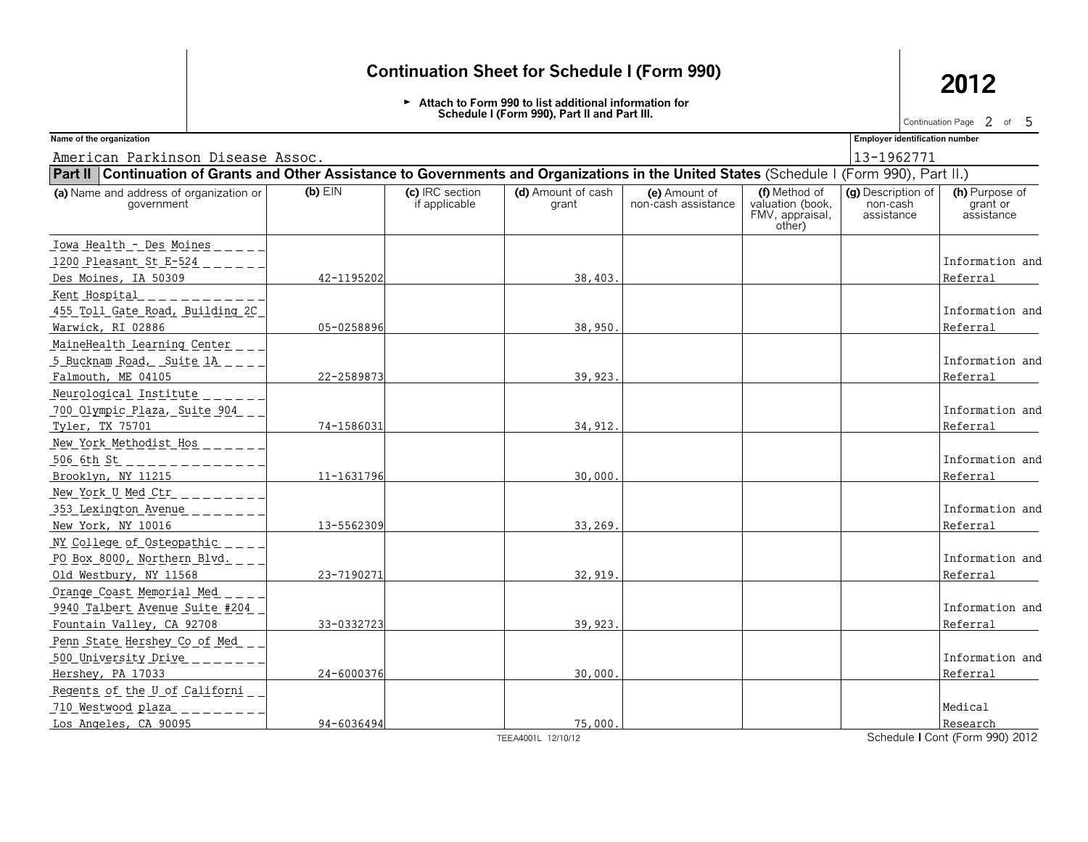G **Attach to Form 990 to list additional information for Schedule I (Form 990), Part II and Part III.**

Continuation Page  $2$  of  $5$ 

American Parkinson Disease Assoc. 13-1962771 13-1962771

**Name of the organization Employer identification number**

| Part II   Continuation of Grants and Other Assistance to Governments and Organizations in the United States (Schedule I (Form 990), Part II.) |            |                                  |                             |                                      |                                                                |                                              |                                          |
|-----------------------------------------------------------------------------------------------------------------------------------------------|------------|----------------------------------|-----------------------------|--------------------------------------|----------------------------------------------------------------|----------------------------------------------|------------------------------------------|
| (a) Name and address of organization or<br>aovernment                                                                                         | $(b)$ EIN  | (c) IRC section<br>if applicable | (d) Amount of cash<br>grant | (e) Amount of<br>non-cash assistance | (f) Method of<br>valuation (book,<br>FMV, appraisal,<br>other) | (g) Description of<br>non-cash<br>assistance | (h) Purpose of<br>grant or<br>assistance |
| Iowa Health - Des Moines                                                                                                                      |            |                                  |                             |                                      |                                                                |                                              |                                          |
| 1200 Pleasant St E-524                                                                                                                        |            |                                  |                             |                                      |                                                                |                                              | Information and                          |
| Des Moines, IA 50309                                                                                                                          | 42-1195202 |                                  | 38,403.                     |                                      |                                                                |                                              | Referral                                 |
| Kent Hospital                                                                                                                                 |            |                                  |                             |                                      |                                                                |                                              |                                          |
| 455 Toll Gate Road, Building 2C                                                                                                               |            |                                  |                             |                                      |                                                                |                                              | Information and                          |
| Warwick, RI 02886                                                                                                                             | 05-0258896 |                                  | 38,950                      |                                      |                                                                |                                              | Referral                                 |
| MaineHealth Learning Center                                                                                                                   |            |                                  |                             |                                      |                                                                |                                              |                                          |
| 5 Bucknam Road, Suite 1A                                                                                                                      |            |                                  |                             |                                      |                                                                |                                              | Information and                          |
| Falmouth, ME 04105                                                                                                                            | 22-2589873 |                                  | 39,923                      |                                      |                                                                |                                              | Referral                                 |
| Neurological Institute                                                                                                                        |            |                                  |                             |                                      |                                                                |                                              |                                          |
| 700 Olympic Plaza, Suite 904                                                                                                                  |            |                                  |                             |                                      |                                                                |                                              | Information and                          |
| Tyler, TX 75701                                                                                                                               | 74-1586031 |                                  | 34,912.                     |                                      |                                                                |                                              | Referral                                 |
| New York Methodist Hos                                                                                                                        |            |                                  |                             |                                      |                                                                |                                              |                                          |
| 506 6th St                                                                                                                                    |            |                                  |                             |                                      |                                                                |                                              | Information and                          |
| Brooklyn, NY 11215                                                                                                                            | 11-1631796 |                                  | 30,000                      |                                      |                                                                |                                              | Referral                                 |
| New York U Med Ctr                                                                                                                            |            |                                  |                             |                                      |                                                                |                                              |                                          |
| 353 Lexington Avenue                                                                                                                          |            |                                  |                             |                                      |                                                                |                                              | Information and                          |
| New York, NY 10016                                                                                                                            | 13-5562309 |                                  | 33,269                      |                                      |                                                                |                                              | Referral                                 |
| NY College of Osteopathic                                                                                                                     |            |                                  |                             |                                      |                                                                |                                              |                                          |
| PO Box 8000, Northern Blvd.                                                                                                                   |            |                                  |                             |                                      |                                                                |                                              | Information and                          |
| Old Westbury, NY 11568                                                                                                                        | 23-7190271 |                                  | 32,919                      |                                      |                                                                |                                              | Referral                                 |
| Orange Coast Memorial Med                                                                                                                     |            |                                  |                             |                                      |                                                                |                                              |                                          |
| 9940 Talbert Avenue Suite #204                                                                                                                |            |                                  |                             |                                      |                                                                |                                              | Information and                          |
| Fountain Valley, CA 92708                                                                                                                     | 33-0332723 |                                  | 39,923.                     |                                      |                                                                |                                              | Referral                                 |
| Penn State Hershey Co of Med                                                                                                                  |            |                                  |                             |                                      |                                                                |                                              |                                          |
| 500 University Drive                                                                                                                          |            |                                  |                             |                                      |                                                                |                                              | Information and                          |
| Hershey, PA 17033                                                                                                                             | 24-6000376 |                                  | 30,000                      |                                      |                                                                |                                              | Referral                                 |
| Regents of the U of Californi                                                                                                                 |            |                                  |                             |                                      |                                                                |                                              |                                          |
| 710 Westwood plaza                                                                                                                            |            |                                  |                             |                                      |                                                                |                                              | Medical                                  |
| Los Angeles, CA 90095                                                                                                                         | 94-6036494 |                                  | 75,000.                     |                                      |                                                                |                                              | Research                                 |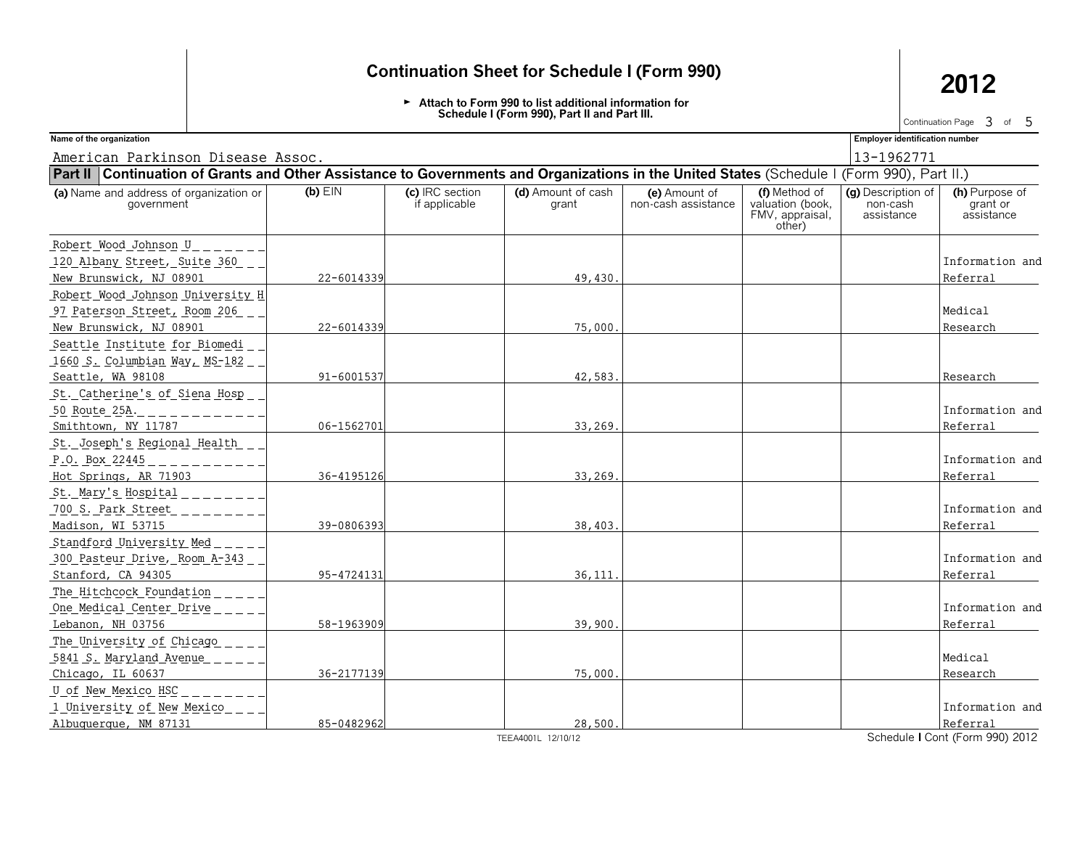G **Attach to Form 990 to list additional information for Schedule I (Form 990), Part II and Part III.**

Continuation Page  $\,3\,$  of  $\,5\,$ 

American Parkinson Disease Assoc. 13-1962771 13-1962771

**Name of the organization Employer identification number**

| Part II   Continuation of Grants and Other Assistance to Governments and Organizations in the United States (Schedule I (Form 990), Part II.) |            |                                  |                             |                                      |                                                                |                                              |                                          |
|-----------------------------------------------------------------------------------------------------------------------------------------------|------------|----------------------------------|-----------------------------|--------------------------------------|----------------------------------------------------------------|----------------------------------------------|------------------------------------------|
| (a) Name and address of organization or<br>government                                                                                         | $(b)$ EIN  | (c) IRC section<br>if applicable | (d) Amount of cash<br>grant | (e) Amount of<br>non-cash assistance | (f) Method of<br>valuation (book,<br>FMV, appraisal,<br>other) | (g) Description of<br>non-cash<br>assistance | (h) Purpose of<br>grant or<br>assistance |
| Robert Wood Johnson U                                                                                                                         |            |                                  |                             |                                      |                                                                |                                              |                                          |
| 120 Albany Street, Suite 360                                                                                                                  |            |                                  |                             |                                      |                                                                |                                              | Information and                          |
| New Brunswick, NJ 08901                                                                                                                       | 22-6014339 |                                  | 49,430                      |                                      |                                                                |                                              | Referral                                 |
| Robert Wood Johnson University H                                                                                                              |            |                                  |                             |                                      |                                                                |                                              |                                          |
| 97 Paterson Street, Room 206                                                                                                                  |            |                                  |                             |                                      |                                                                |                                              | Medical                                  |
| New Brunswick, NJ 08901                                                                                                                       | 22-6014339 |                                  | 75,000                      |                                      |                                                                |                                              | Research                                 |
| Seattle Institute for Biomedi                                                                                                                 |            |                                  |                             |                                      |                                                                |                                              |                                          |
| <u> 1660 S. Columbian Way, MS-182.</u>                                                                                                        |            |                                  |                             |                                      |                                                                |                                              |                                          |
| Seattle, WA 98108                                                                                                                             | 91-6001537 |                                  | 42,583                      |                                      |                                                                |                                              | Research                                 |
| St. Catherine's of Siena Hosp                                                                                                                 |            |                                  |                             |                                      |                                                                |                                              |                                          |
| 50 Route 25A.                                                                                                                                 |            |                                  |                             |                                      |                                                                |                                              | Information and                          |
| Smithtown, NY 11787                                                                                                                           | 06-1562701 |                                  | 33,269                      |                                      |                                                                |                                              | Referral                                 |
| St. Joseph's Regional Health                                                                                                                  |            |                                  |                             |                                      |                                                                |                                              |                                          |
| P.O. Box 22445                                                                                                                                |            |                                  |                             |                                      |                                                                |                                              | Information and                          |
| Hot Springs, AR 71903                                                                                                                         | 36-4195126 |                                  | 33,269                      |                                      |                                                                |                                              | Referral                                 |
| St. Mary's Hospital                                                                                                                           |            |                                  |                             |                                      |                                                                |                                              |                                          |
| 700 S. Park Street                                                                                                                            |            |                                  |                             |                                      |                                                                |                                              | Information and                          |
| Madison, WI 53715                                                                                                                             | 39-0806393 |                                  | 38,403.                     |                                      |                                                                |                                              | Referral                                 |
| Standford University Med                                                                                                                      |            |                                  |                             |                                      |                                                                |                                              |                                          |
| 300 Pasteur Drive, Room A-343                                                                                                                 |            |                                  |                             |                                      |                                                                |                                              | Information and                          |
| Stanford, CA 94305                                                                                                                            | 95-4724131 |                                  | 36,111                      |                                      |                                                                |                                              | Referral                                 |
| The Hitchcock Foundation                                                                                                                      |            |                                  |                             |                                      |                                                                |                                              |                                          |
| One Medical Center Drive                                                                                                                      |            |                                  |                             |                                      |                                                                |                                              | Information and                          |
| Lebanon, NH 03756                                                                                                                             | 58-1963909 |                                  | 39,900                      |                                      |                                                                |                                              | Referral                                 |
| The University of Chicago                                                                                                                     |            |                                  |                             |                                      |                                                                |                                              |                                          |
| 5841 S. Maryland Avenue                                                                                                                       |            |                                  |                             |                                      |                                                                |                                              | Medical                                  |
| Chicago, IL 60637                                                                                                                             | 36-2177139 |                                  | 75,000                      |                                      |                                                                |                                              | Research                                 |
| U of New Mexico HSC                                                                                                                           |            |                                  |                             |                                      |                                                                |                                              |                                          |
| 1 University of New Mexico                                                                                                                    |            |                                  |                             |                                      |                                                                |                                              | Information and                          |
| Albuquerque, NM 87131                                                                                                                         | 85-0482962 |                                  | 28,500.                     |                                      |                                                                |                                              | Referral                                 |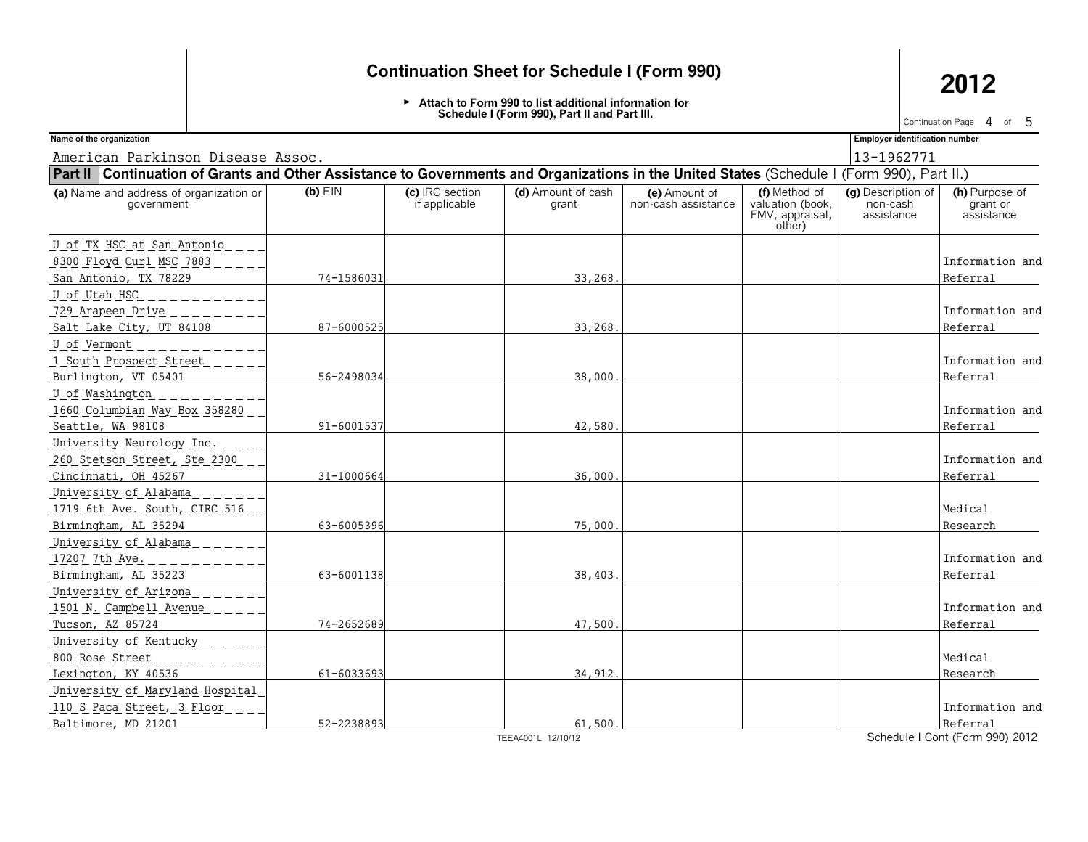G **Attach to Form 990 to list additional information for Schedule I (Form 990), Part II and Part III.**

Continuation Page  $\,4\,$  of  $\,5\,$ 

American Parkinson Disease Assoc. 13-1962771

**Name of the organization Employer identification number**

| Part II   Continuation of Grants and Other Assistance to Governments and Organizations in the United States (Schedule I (Form 990), Part II.) |            |                                  |                             |                                      |                                                                |                                              |                                          |
|-----------------------------------------------------------------------------------------------------------------------------------------------|------------|----------------------------------|-----------------------------|--------------------------------------|----------------------------------------------------------------|----------------------------------------------|------------------------------------------|
| (a) Name and address of organization or<br>government                                                                                         | $(b)$ EIN  | (c) IRC section<br>if applicable | (d) Amount of cash<br>grant | (e) Amount of<br>non-cash assistance | (f) Method of<br>valuation (book,<br>FMV, appraisal,<br>other) | (g) Description of<br>non-cash<br>assistance | (h) Purpose of<br>grant or<br>assistance |
| U of TX HSC at San Antonio                                                                                                                    |            |                                  |                             |                                      |                                                                |                                              |                                          |
| 8300 Floyd Curl MSC 7883                                                                                                                      |            |                                  |                             |                                      |                                                                |                                              | Information and                          |
| San Antonio, TX 78229                                                                                                                         | 74-1586031 |                                  | 33,268                      |                                      |                                                                |                                              | Referral                                 |
| U_of Utah HSC                                                                                                                                 |            |                                  |                             |                                      |                                                                |                                              |                                          |
| 729 Arapeen Drive                                                                                                                             |            |                                  |                             |                                      |                                                                |                                              | Information and                          |
| Salt Lake City, UT 84108                                                                                                                      | 87-6000525 |                                  | 33,268.                     |                                      |                                                                |                                              | Referral                                 |
| U of Vermont                                                                                                                                  |            |                                  |                             |                                      |                                                                |                                              |                                          |
| 1 South Prospect Street                                                                                                                       |            |                                  |                             |                                      |                                                                |                                              | Information and                          |
| Burlington, VT 05401                                                                                                                          | 56-2498034 |                                  | 38,000                      |                                      |                                                                |                                              | Referral                                 |
| U of Washington                                                                                                                               |            |                                  |                             |                                      |                                                                |                                              |                                          |
| 1660 Columbian Way Box 358280                                                                                                                 |            |                                  |                             |                                      |                                                                |                                              | Information and                          |
| Seattle, WA 98108                                                                                                                             | 91-6001537 |                                  | 42,580                      |                                      |                                                                |                                              | Referral                                 |
| University Neurology Inc.                                                                                                                     |            |                                  |                             |                                      |                                                                |                                              |                                          |
| 260 Stetson Street, Ste 2300                                                                                                                  |            |                                  |                             |                                      |                                                                |                                              | Information and                          |
| Cincinnati, OH 45267                                                                                                                          | 31-1000664 |                                  | 36,000                      |                                      |                                                                |                                              | Referral                                 |
| University of Alabama                                                                                                                         |            |                                  |                             |                                      |                                                                |                                              |                                          |
| 1719 6th Ave. South, CIRC 516                                                                                                                 |            |                                  |                             |                                      |                                                                |                                              | Medical                                  |
| Birmingham, AL 35294                                                                                                                          | 63-6005396 |                                  | 75,000                      |                                      |                                                                |                                              | Research                                 |
| University of Alabama                                                                                                                         |            |                                  |                             |                                      |                                                                |                                              |                                          |
| 17207 7th Ave.                                                                                                                                |            |                                  |                             |                                      |                                                                |                                              | Information and                          |
| Birmingham, AL 35223                                                                                                                          | 63-6001138 |                                  | 38,403                      |                                      |                                                                |                                              | Referral                                 |
| University of Arizona                                                                                                                         |            |                                  |                             |                                      |                                                                |                                              |                                          |
| 1501 N. Campbell Avenue                                                                                                                       |            |                                  |                             |                                      |                                                                |                                              | Information and                          |
| Tucson, AZ 85724                                                                                                                              | 74-2652689 |                                  | 47,500.                     |                                      |                                                                |                                              | Referral                                 |
| University of Kentucky                                                                                                                        |            |                                  |                             |                                      |                                                                |                                              |                                          |
| 800 Rose Street                                                                                                                               |            |                                  |                             |                                      |                                                                |                                              | Medical                                  |
| Lexington, KY 40536                                                                                                                           | 61-6033693 |                                  | 34,912                      |                                      |                                                                |                                              | Research                                 |
| University of Maryland Hospital                                                                                                               |            |                                  |                             |                                      |                                                                |                                              |                                          |
| 110 S Paca Street, 3 Floor                                                                                                                    |            |                                  |                             |                                      |                                                                |                                              | Information and                          |
| Baltimore, MD 21201                                                                                                                           | 52-2238893 |                                  | 61,500.                     |                                      |                                                                |                                              | Referral                                 |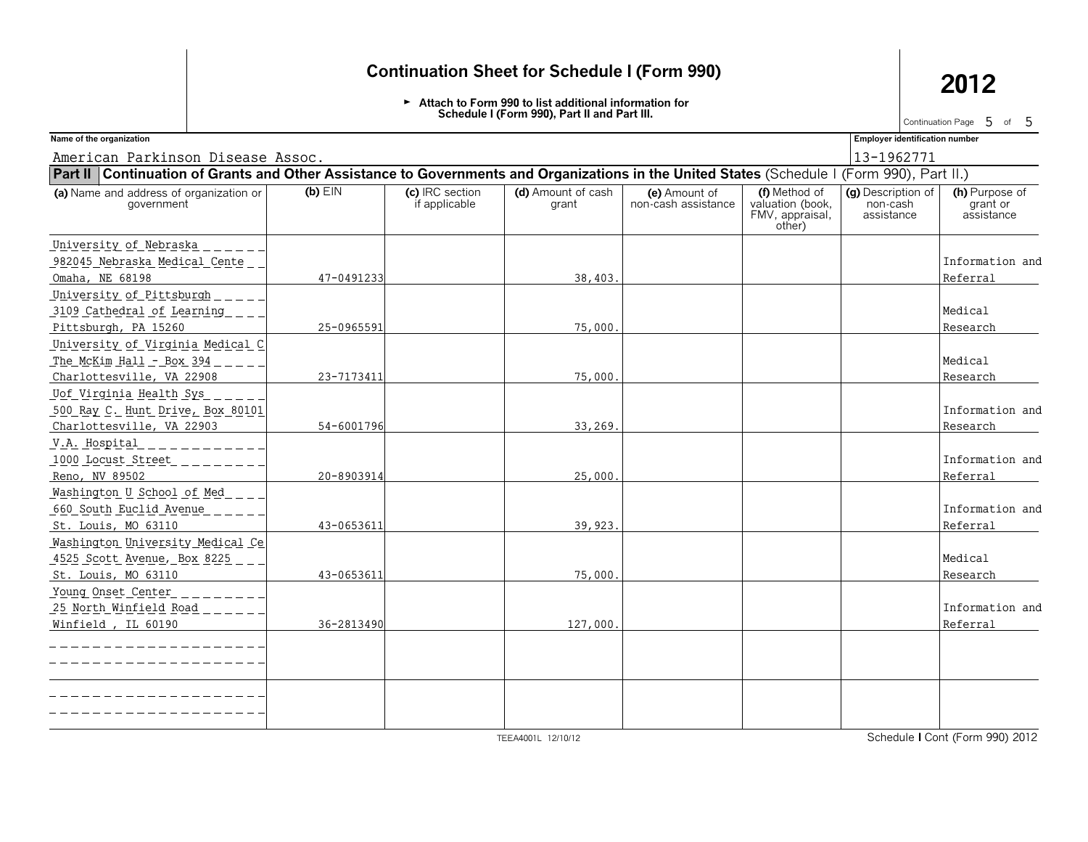G **Attach to Form 990 to list additional information for Schedule I (Form 990), Part II and Part III.**

Continuation Page  $\,$  5 of 5

American Parkinson Disease Assoc. 13-1962771

**Name of the organization Employer identification number**

| Part II   Continuation of Grants and Other Assistance to Governments and Organizations in the United States (Schedule I (Form 990), Part II.) |            |                                  |                             |                                      |                                                                |                                              |                                          |
|-----------------------------------------------------------------------------------------------------------------------------------------------|------------|----------------------------------|-----------------------------|--------------------------------------|----------------------------------------------------------------|----------------------------------------------|------------------------------------------|
| (a) Name and address of organization or<br>government                                                                                         | $(b)$ EIN  | (c) IRC section<br>if applicable | (d) Amount of cash<br>grant | (e) Amount of<br>non-cash assistance | (f) Method of<br>valuation (book,<br>FMV, appraisal,<br>other) | (g) Description of<br>non-cash<br>assistance | (h) Purpose of<br>grant or<br>assistance |
| University of Nebraska                                                                                                                        |            |                                  |                             |                                      |                                                                |                                              |                                          |
| 982045 Nebraska Medical Cente                                                                                                                 |            |                                  |                             |                                      |                                                                |                                              | Information and                          |
| Omaha, NE 68198                                                                                                                               | 47-0491233 |                                  | 38,403.                     |                                      |                                                                |                                              | Referral                                 |
| University of Pittsburgh                                                                                                                      |            |                                  |                             |                                      |                                                                |                                              |                                          |
| 3109 Cathedral of Learning                                                                                                                    |            |                                  |                             |                                      |                                                                |                                              | Medical                                  |
| Pittsburgh, PA 15260                                                                                                                          | 25-0965591 |                                  | 75,000                      |                                      |                                                                |                                              | Research                                 |
| <u>University of Virginia Medical C</u>                                                                                                       |            |                                  |                             |                                      |                                                                |                                              |                                          |
| The McKim Hall - Box 394                                                                                                                      |            |                                  |                             |                                      |                                                                |                                              | Medical                                  |
| Charlottesville, VA 22908                                                                                                                     | 23-7173411 |                                  | 75,000.                     |                                      |                                                                |                                              | Research                                 |
| Uof Virginia Health Sys                                                                                                                       |            |                                  |                             |                                      |                                                                |                                              |                                          |
| 500 Ray C. Hunt Drive, Box 80101                                                                                                              |            |                                  |                             |                                      |                                                                |                                              | Information and                          |
| Charlottesville, VA 22903                                                                                                                     | 54-6001796 |                                  | 33,269.                     |                                      |                                                                |                                              | Research                                 |
| V.A. Hospital                                                                                                                                 |            |                                  |                             |                                      |                                                                |                                              |                                          |
| 1000 Locust Street                                                                                                                            |            |                                  |                             |                                      |                                                                |                                              | Information and                          |
| Reno, NV 89502                                                                                                                                | 20-8903914 |                                  | 25,000.                     |                                      |                                                                |                                              | Referral                                 |
| Washington U School of Med                                                                                                                    |            |                                  |                             |                                      |                                                                |                                              |                                          |
| 660 South Euclid Avenue                                                                                                                       |            |                                  |                             |                                      |                                                                |                                              | Information and                          |
| St. Louis, MO 63110                                                                                                                           | 43-0653611 |                                  | 39,923.                     |                                      |                                                                |                                              | Referral                                 |
| Washington University Medical Ce                                                                                                              |            |                                  |                             |                                      |                                                                |                                              |                                          |
| 4525 Scott Avenue, Box 8225                                                                                                                   |            |                                  |                             |                                      |                                                                |                                              | Medical                                  |
| St. Louis, MO 63110                                                                                                                           | 43-0653611 |                                  | 75,000                      |                                      |                                                                |                                              | Research                                 |
| Young Onset Center                                                                                                                            |            |                                  |                             |                                      |                                                                |                                              |                                          |
| <u> 25 North Winfield Road _ _ _ _</u>                                                                                                        |            |                                  |                             |                                      |                                                                |                                              | Information and                          |
| Winfield, IL 60190                                                                                                                            | 36-2813490 |                                  | 127,000                     |                                      |                                                                |                                              | Referral                                 |
|                                                                                                                                               |            |                                  |                             |                                      |                                                                |                                              |                                          |
|                                                                                                                                               |            |                                  |                             |                                      |                                                                |                                              |                                          |
|                                                                                                                                               |            |                                  |                             |                                      |                                                                |                                              |                                          |
|                                                                                                                                               |            |                                  |                             |                                      |                                                                |                                              |                                          |
|                                                                                                                                               |            |                                  |                             |                                      |                                                                |                                              |                                          |
|                                                                                                                                               |            |                                  |                             |                                      |                                                                |                                              |                                          |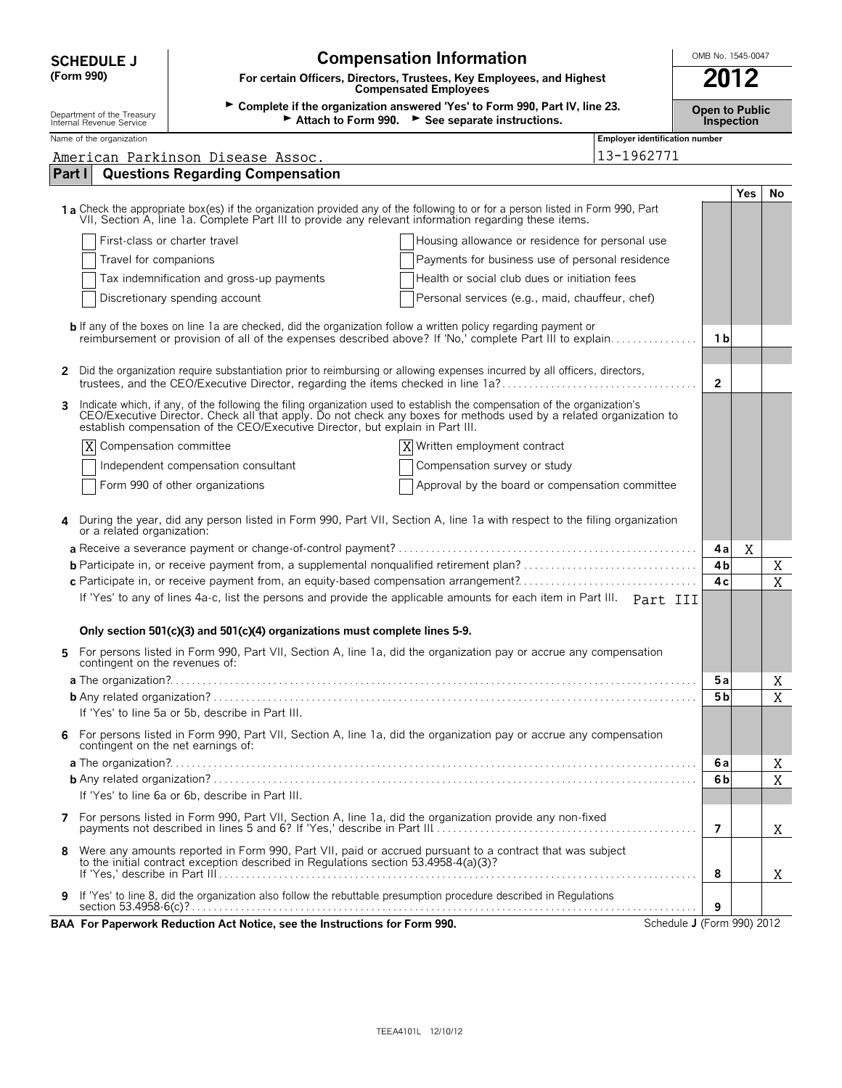| (Form 990)                                             | For certain Officers, Directors, Trustees, Key Employees, and Highest<br><b>Compensated Employees</b><br>> Complete if the organization answered 'Yes' to Form 990, Part IV, line 23.<br><b>Open to Public</b><br>Attach to Form 990. See separate instructions.<br><b>Inspection</b> |                                                                                                                                                                                                                                    |                            |                          |
|--------------------------------------------------------|---------------------------------------------------------------------------------------------------------------------------------------------------------------------------------------------------------------------------------------------------------------------------------------|------------------------------------------------------------------------------------------------------------------------------------------------------------------------------------------------------------------------------------|----------------------------|--------------------------|
| Department of the Treasury<br>Internal Revenue Service |                                                                                                                                                                                                                                                                                       |                                                                                                                                                                                                                                    |                            |                          |
| Name of the organization                               |                                                                                                                                                                                                                                                                                       | <b>Employer identification number</b><br>13-1962771                                                                                                                                                                                |                            |                          |
| Part I                                                 | American Parkinson Disease Assoc.<br><b>Questions Regarding Compensation</b>                                                                                                                                                                                                          |                                                                                                                                                                                                                                    |                            |                          |
|                                                        |                                                                                                                                                                                                                                                                                       |                                                                                                                                                                                                                                    |                            | <b>Yes</b><br>No         |
|                                                        |                                                                                                                                                                                                                                                                                       | 1 a Check the appropriate box(es) if the organization provided any of the following to or for a person listed in Form 990, Part VII, Section A, line 1a. Complete Part III to provide any relevant information regarding these     |                            |                          |
|                                                        | First-class or charter travel                                                                                                                                                                                                                                                         | Housing allowance or residence for personal use                                                                                                                                                                                    |                            |                          |
| Travel for companions                                  |                                                                                                                                                                                                                                                                                       | Payments for business use of personal residence                                                                                                                                                                                    |                            |                          |
|                                                        | Tax indemnification and gross-up payments                                                                                                                                                                                                                                             | Health or social club dues or initiation fees                                                                                                                                                                                      |                            |                          |
|                                                        | Discretionary spending account                                                                                                                                                                                                                                                        | Personal services (e.g., maid, chauffeur, chef)                                                                                                                                                                                    |                            |                          |
|                                                        |                                                                                                                                                                                                                                                                                       | <b>b</b> If any of the boxes on line 1a are checked, did the organization follow a written policy regarding payment or<br>reimbursement or provision of all of the expenses described above? If 'No,' complete Part III to explain | 1 b                        |                          |
| 2                                                      |                                                                                                                                                                                                                                                                                       | Did the organization require substantiation prior to reimbursing or allowing expenses incurred by all officers, directors,                                                                                                         | $\overline{2}$             |                          |
| 3                                                      | establish compensation of the CEO/Executive Director, but explain in Part III.                                                                                                                                                                                                        | Indicate which, if any, of the following the filing organization used to establish the compensation of the organization's<br>CEO/Executive Director. Check all that apply. Do not check any boxes for methods used by a related o  |                            |                          |
| ΙX<br>Compensation committee                           |                                                                                                                                                                                                                                                                                       | X<br>Written employment contract                                                                                                                                                                                                   |                            |                          |
|                                                        | Independent compensation consultant                                                                                                                                                                                                                                                   | Compensation survey or study                                                                                                                                                                                                       |                            |                          |
|                                                        | Form 990 of other organizations                                                                                                                                                                                                                                                       | Approval by the board or compensation committee                                                                                                                                                                                    |                            |                          |
| 4                                                      |                                                                                                                                                                                                                                                                                       | During the year, did any person listed in Form 990, Part VII, Section A, line 1a with respect to the filing organization or a related organization:                                                                                | 4 a<br>4b                  | Χ<br>X<br>$\overline{X}$ |
|                                                        | c Participate in, or receive payment from, an equity-based compensation arrangement?                                                                                                                                                                                                  |                                                                                                                                                                                                                                    |                            |                          |
|                                                        | Only section 501(c)(3) and 501(c)(4) organizations must complete lines 5-9.                                                                                                                                                                                                           | If 'Yes' to any of lines 4a-c, list the persons and provide the applicable amounts for each item in Part III. Part III                                                                                                             |                            |                          |
| 5<br>contingent on the revenues of:                    |                                                                                                                                                                                                                                                                                       | For persons listed in Form 990, Part VII, Section A, line 1a, did the organization pay or accrue any compensation                                                                                                                  |                            |                          |
|                                                        |                                                                                                                                                                                                                                                                                       |                                                                                                                                                                                                                                    | 5 a                        | Χ                        |
|                                                        |                                                                                                                                                                                                                                                                                       |                                                                                                                                                                                                                                    | 5 b                        | X                        |
|                                                        | If 'Yes' to line 5a or 5b, describe in Part III.                                                                                                                                                                                                                                      |                                                                                                                                                                                                                                    |                            |                          |
| 6<br>contingent on the net earnings of:                |                                                                                                                                                                                                                                                                                       | For persons listed in Form 990, Part VII, Section A, line 1a, did the organization pay or accrue any compensation                                                                                                                  |                            |                          |
|                                                        |                                                                                                                                                                                                                                                                                       |                                                                                                                                                                                                                                    | 6а                         | Χ                        |
|                                                        |                                                                                                                                                                                                                                                                                       |                                                                                                                                                                                                                                    | 6b                         | $\overline{X}$           |
|                                                        | If 'Yes' to line 6a or 6b, describe in Part III.                                                                                                                                                                                                                                      |                                                                                                                                                                                                                                    |                            |                          |
| 7                                                      |                                                                                                                                                                                                                                                                                       | For persons listed in Form 990, Part VII, Section A, line 1a, did the organization provide any non-fixed                                                                                                                           | $\overline{7}$             | Χ                        |
| 8                                                      | to the initial contract exception described in Regulations section 53.4958-4(a)(3)?                                                                                                                                                                                                   | Were any amounts reported in Form 990, Part VII, paid or accrued pursuant to a contract that was subject                                                                                                                           | 8                          | X                        |
| 9                                                      |                                                                                                                                                                                                                                                                                       | If 'Yes' to line 8, did the organization also follow the rebuttable presumption procedure described in Regulations                                                                                                                 | 9                          |                          |
|                                                        | BAA For Paperwork Reduction Act Notice, see the Instructions for Form 990.                                                                                                                                                                                                            |                                                                                                                                                                                                                                    | Schedule J (Form 990) 2012 |                          |

**COMPENSATION Information Compensation Information COMB No. 1545-0047**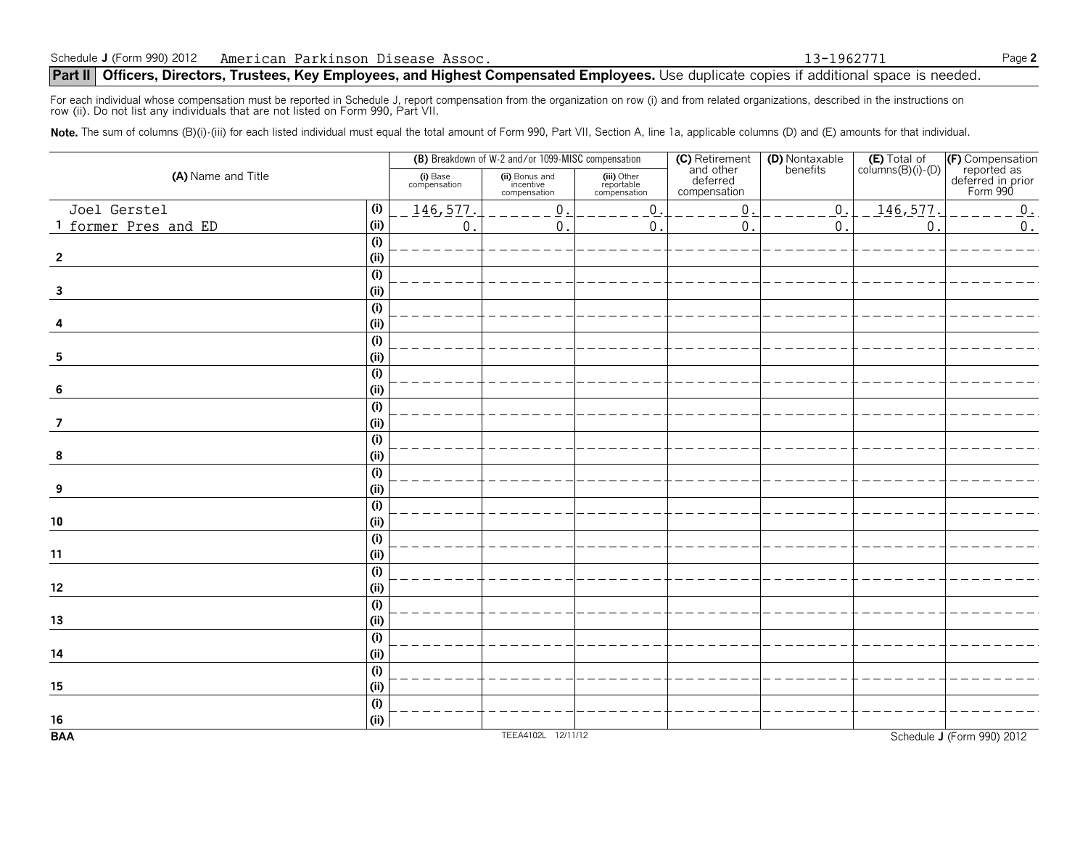### **Part II** | Officers, Directors, Trustees, Key Employees, and Highest Compensated Employees. Use duplicate copies if additional space is needed.

For each individual whose compensation must be reported in Schedule J, report compensation from the organization on row (i) and from related organizations, described in the instructions on<br>row (ii). Do not list any individ

Note. The sum of columns (B)(i)-(iii) for each listed individual must equal the total amount of Form 990, Part VII, Section A, line 1a, applicable columns (D) and (E) amounts for that individual.

| (A) Name and Title      |                           | (B) Breakdown of W-2 and/or 1099-MISC compensation |                                             |                                           |                                                                | (D) Nontaxable<br>benefits | $(E)$ Total of<br>columns $(B)(i)$ - $(D)$ |                                                                  |
|-------------------------|---------------------------|----------------------------------------------------|---------------------------------------------|-------------------------------------------|----------------------------------------------------------------|----------------------------|--------------------------------------------|------------------------------------------------------------------|
|                         |                           | (i) Base<br>compensation                           | (ii) Bonus and<br>incentive<br>compensation | (iii) Other<br>reportable<br>compensation | <b>(C)</b> Retirement<br>and other<br>deferred<br>compensation |                            |                                            | (F) Compensation<br>reported as<br>deferred in prior<br>Form 990 |
| Joel Gerstel            | (i)                       | 146,577                                            | $\mathsf 0$                                 | $0$ .                                     | $\mathsf{O}\xspace$                                            | $0$ .                      | 146,577.                                   | $\mathbf 0$ .                                                    |
| 1 former Pres and ED    | (i)                       | $\mathbf{0}$                                       | 0                                           | $\mathbf{0}$                              | $\mathbf{0}$                                                   | $\mathbf{0}$               | $\mathbf 0$                                | $\boldsymbol{0}$ .                                               |
|                         | (i)                       |                                                    |                                             |                                           |                                                                |                            |                                            |                                                                  |
| $\overline{2}$          | (ii)                      |                                                    |                                             |                                           |                                                                |                            |                                            |                                                                  |
|                         | (i)                       |                                                    |                                             |                                           |                                                                |                            |                                            |                                                                  |
| $\overline{\mathbf{3}}$ | (ii)                      |                                                    |                                             |                                           |                                                                |                            |                                            |                                                                  |
|                         | (i)                       |                                                    |                                             |                                           |                                                                |                            |                                            |                                                                  |
| 4                       | (i)                       |                                                    |                                             |                                           |                                                                |                            |                                            |                                                                  |
|                         | (i)                       |                                                    |                                             |                                           |                                                                |                            |                                            |                                                                  |
| 5                       | (ii)                      |                                                    |                                             |                                           |                                                                |                            |                                            |                                                                  |
|                         | $\overline{(\mathsf{i})}$ |                                                    |                                             |                                           |                                                                |                            |                                            |                                                                  |
| 6                       | (ii)                      |                                                    |                                             |                                           |                                                                |                            |                                            |                                                                  |
|                         | (i)                       |                                                    |                                             |                                           |                                                                |                            |                                            |                                                                  |
| 7                       | (ii)                      |                                                    |                                             |                                           |                                                                |                            |                                            |                                                                  |
|                         | (i)                       |                                                    |                                             |                                           |                                                                |                            |                                            |                                                                  |
| 8                       | (i)                       |                                                    |                                             |                                           |                                                                |                            |                                            |                                                                  |
|                         | (i)                       |                                                    |                                             |                                           |                                                                |                            |                                            |                                                                  |
| 9                       | (ii)                      |                                                    |                                             |                                           |                                                                |                            |                                            |                                                                  |
| ${\bf 10}$              | (i)<br>(i)                |                                                    |                                             |                                           |                                                                |                            |                                            |                                                                  |
|                         | (i)                       |                                                    |                                             |                                           |                                                                |                            |                                            |                                                                  |
| 11                      | (ii)                      |                                                    |                                             |                                           |                                                                |                            |                                            |                                                                  |
|                         | (i)                       |                                                    |                                             |                                           |                                                                |                            |                                            |                                                                  |
| 12                      | (i)                       |                                                    |                                             |                                           |                                                                |                            |                                            |                                                                  |
|                         | (i)                       |                                                    |                                             |                                           |                                                                |                            |                                            |                                                                  |
| 13                      | (ii)                      |                                                    |                                             |                                           |                                                                |                            |                                            |                                                                  |
|                         | (i)                       |                                                    |                                             |                                           |                                                                |                            |                                            |                                                                  |
| 14                      | (ii)                      |                                                    |                                             |                                           |                                                                |                            |                                            |                                                                  |
|                         | (i)                       |                                                    |                                             |                                           |                                                                |                            |                                            |                                                                  |
| 15                      | (ii)                      |                                                    |                                             |                                           |                                                                |                            |                                            |                                                                  |
|                         | $\overline{(\mathsf{i})}$ |                                                    |                                             |                                           |                                                                |                            |                                            |                                                                  |
| 16                      | (i)                       |                                                    |                                             |                                           |                                                                |                            |                                            |                                                                  |
| <b>BAA</b>              |                           |                                                    | TEEA4102L 12/11/12                          |                                           |                                                                |                            |                                            | Schedule J (Form 990) 2012                                       |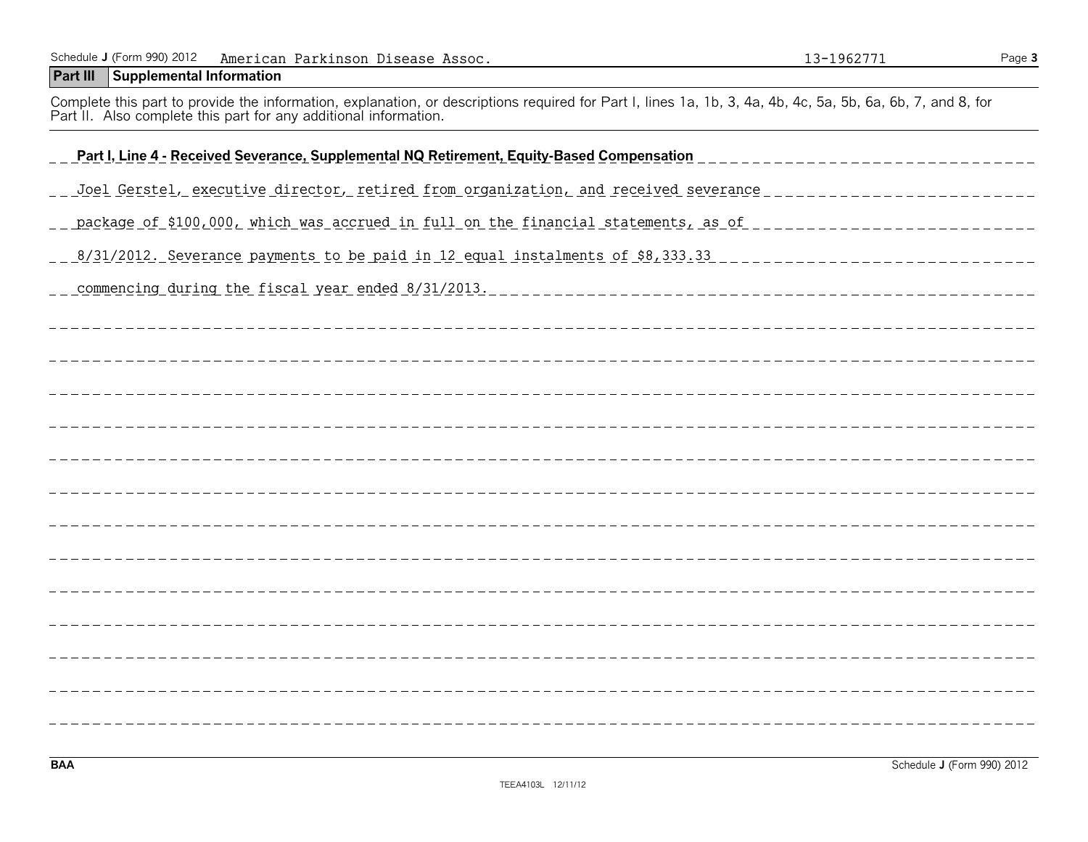### **Part III Supplemental Information**

Complete this part to provide the information, explanation, or descriptions required for Part I, lines 1a, 1b, 3, 4a, 4b, 4c, 5a, 5b, 6a, 6b, 7, and 8, for Part II. Also complete this part for any additional information.

| Part I, Line 4 - Received Severance, Supplemental NQ Retirement, Equity-Based Compensation                            |
|-----------------------------------------------------------------------------------------------------------------------|
| <u>Joel Gerstel, executive director, retired from organization, and received severance _________________________</u>  |
| package of \$100,000, which was accrued in full on the financial statements, as of ____________________________       |
| <u> 8/31/2012. Severance payments to be paid in 12 equal instalments of \$8,333.33 ______________________________</u> |
|                                                                                                                       |
|                                                                                                                       |
|                                                                                                                       |
|                                                                                                                       |
|                                                                                                                       |
|                                                                                                                       |
|                                                                                                                       |
|                                                                                                                       |
|                                                                                                                       |
|                                                                                                                       |
|                                                                                                                       |
|                                                                                                                       |
|                                                                                                                       |
|                                                                                                                       |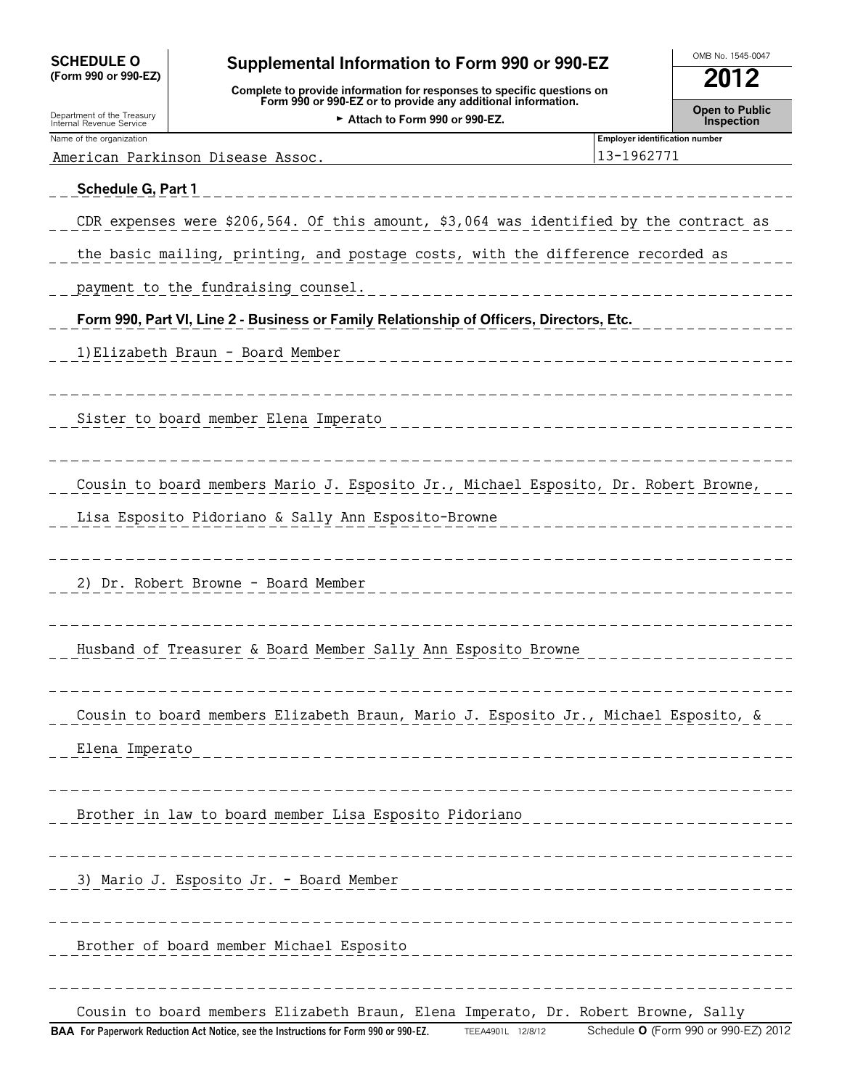| <b>SCHEDULE O</b><br>Supplemental Information to Form 990 or 990-EZ<br>(Form 990 or 990-EZ) |                                                                                                                                        |                                                     | OMB No. 1545-0047                          |
|---------------------------------------------------------------------------------------------|----------------------------------------------------------------------------------------------------------------------------------------|-----------------------------------------------------|--------------------------------------------|
|                                                                                             | Complete to provide information for responses to specific questions on<br>Form 990 or 990-EZ or to provide any additional information. |                                                     | 2012                                       |
| Department of the Treasury<br>Internal Revenue Service                                      | Attach to Form 990 or 990-EZ.                                                                                                          |                                                     | <b>Open to Public</b><br><b>Inspection</b> |
| Name of the organization                                                                    | American Parkinson Disease Assoc.                                                                                                      | <b>Employer identification number</b><br>13-1962771 |                                            |
| Schedule G, Part 1                                                                          |                                                                                                                                        |                                                     |                                            |
|                                                                                             | CDR expenses were \$206,564. Of this amount, \$3,064 was identified by the contract as                                                 |                                                     |                                            |
|                                                                                             | the basic mailing, printing, and postage costs, with the difference recorded as                                                        |                                                     |                                            |
|                                                                                             | payment to the fundraising counsel.                                                                                                    |                                                     |                                            |
|                                                                                             | Form 990, Part VI, Line 2 - Business or Family Relationship of Officers, Directors, Etc.                                               |                                                     |                                            |
|                                                                                             | 1) Elizabeth Braun - Board Member                                                                                                      |                                                     |                                            |
|                                                                                             |                                                                                                                                        |                                                     |                                            |
|                                                                                             | Sister to board member Elena Imperato                                                                                                  |                                                     |                                            |
|                                                                                             |                                                                                                                                        |                                                     |                                            |
|                                                                                             | Cousin to board members Mario J. Esposito Jr., Michael Esposito, Dr. Robert Browne,                                                    |                                                     |                                            |
|                                                                                             | Lisa Esposito Pidoriano & Sally Ann Esposito-Browne                                                                                    |                                                     |                                            |
|                                                                                             |                                                                                                                                        |                                                     |                                            |
|                                                                                             | 2) Dr. Robert Browne - Board Member                                                                                                    |                                                     |                                            |
|                                                                                             |                                                                                                                                        |                                                     |                                            |
|                                                                                             | Husband of Treasurer & Board Member Sally Ann Esposito Browne                                                                          |                                                     |                                            |
|                                                                                             |                                                                                                                                        |                                                     |                                            |
|                                                                                             | Cousin to board members Elizabeth Braun, Mario J. Esposito Jr., Michael Esposito, &                                                    |                                                     |                                            |
| Elena Imperato                                                                              |                                                                                                                                        |                                                     |                                            |
|                                                                                             |                                                                                                                                        |                                                     |                                            |
|                                                                                             | Brother in law to board member Lisa Esposito Pidoriano                                                                                 |                                                     |                                            |
|                                                                                             |                                                                                                                                        |                                                     |                                            |
|                                                                                             | 3) Mario J. Esposito Jr. - Board Member                                                                                                |                                                     |                                            |
|                                                                                             |                                                                                                                                        |                                                     |                                            |
|                                                                                             | Brother of board member Michael Esposito                                                                                               |                                                     |                                            |
|                                                                                             |                                                                                                                                        |                                                     |                                            |
|                                                                                             | Cousin to board members Elizabeth Braun, Elena Imperato, Dr. Robert Browne, Sally                                                      |                                                     |                                            |
|                                                                                             | BAA For Paperwork Reduction Act Notice, see the Instructions for Form 990 or 990-EZ.<br>TEEA4901L 12/8/12                              |                                                     | Schedule O (Form 990 or 990-EZ) 2012       |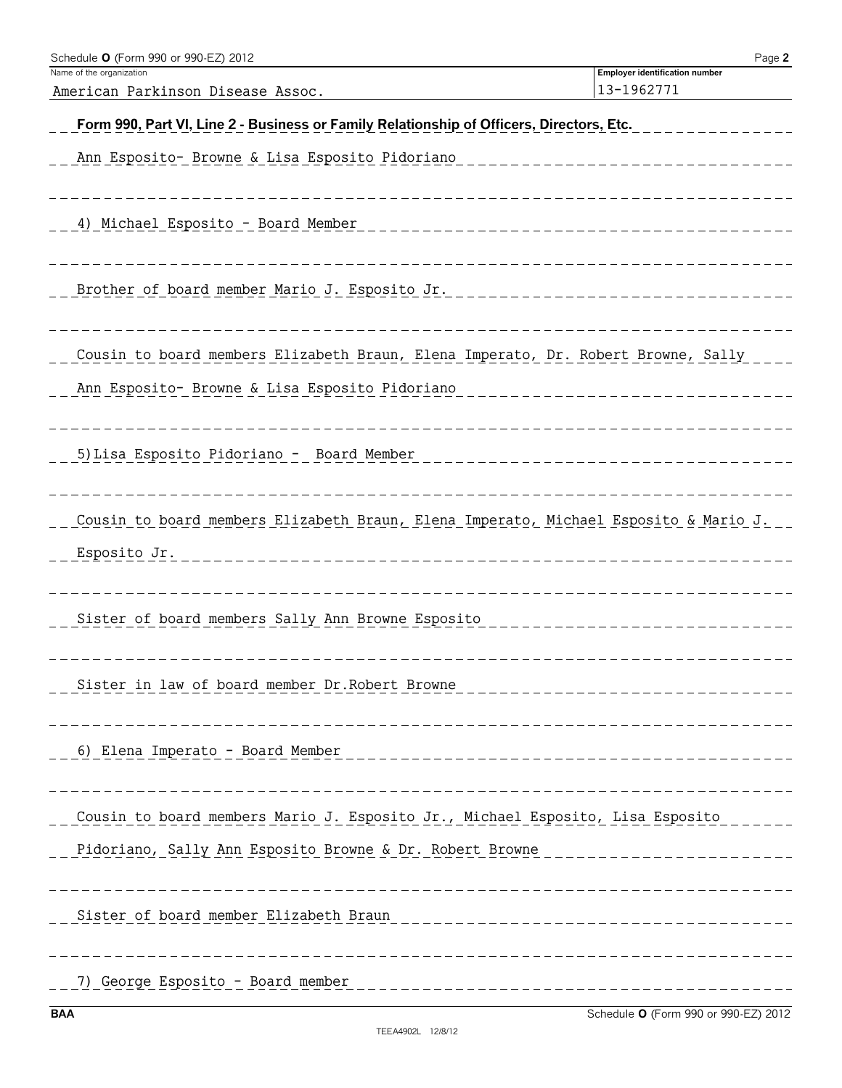| Schedule O (Form 990 or 990-EZ) 2012                                                     | Page 2                                              |
|------------------------------------------------------------------------------------------|-----------------------------------------------------|
| Name of the organization                                                                 | <b>Employer identification number</b><br>13-1962771 |
| American Parkinson Disease Assoc.                                                        |                                                     |
| Form 990, Part VI, Line 2 - Business or Family Relationship of Officers, Directors, Etc. |                                                     |
| Ann Esposito- Browne & Lisa Esposito Pidoriano                                           |                                                     |
|                                                                                          | ___________                                         |
|                                                                                          |                                                     |
| 4) Michael Esposito - Board Member<br>___________________                                |                                                     |
|                                                                                          |                                                     |
|                                                                                          |                                                     |
| Brother of board member Mario J. Esposito Jr.                                            | _________________                                   |
|                                                                                          |                                                     |
| Cousin to board members Elizabeth Braun, Elena Imperato, Dr. Robert Browne, Sally        |                                                     |
|                                                                                          |                                                     |
| Ann Esposito- Browne & Lisa Esposito Pidoriano                                           |                                                     |
|                                                                                          |                                                     |
| 5) Lisa Esposito Pidoriano - Board Member                                                |                                                     |
|                                                                                          |                                                     |
|                                                                                          |                                                     |
| Cousin to board members Elizabeth Braun, Elena Imperato, Michael Esposito & Mario J.     |                                                     |
| Esposito Jr.                                                                             |                                                     |
| ________________________                                                                 |                                                     |
|                                                                                          |                                                     |
| Sister of board members Sally Ann Browne Esposito                                        |                                                     |
|                                                                                          |                                                     |
|                                                                                          |                                                     |
| Sister in law of board member Dr. Robert Browne                                          |                                                     |
|                                                                                          |                                                     |
|                                                                                          |                                                     |
|                                                                                          |                                                     |
|                                                                                          |                                                     |
| Cousin to board members Mario J. Esposito Jr., Michael Esposito, Lisa Esposito           |                                                     |
| Pidoriano, Sally Ann Esposito Browne & Dr. Robert Browne                                 |                                                     |
|                                                                                          |                                                     |
| __________________________________                                                       |                                                     |
|                                                                                          |                                                     |
|                                                                                          |                                                     |
|                                                                                          |                                                     |
| 7) George Esposito - Board member                                                        |                                                     |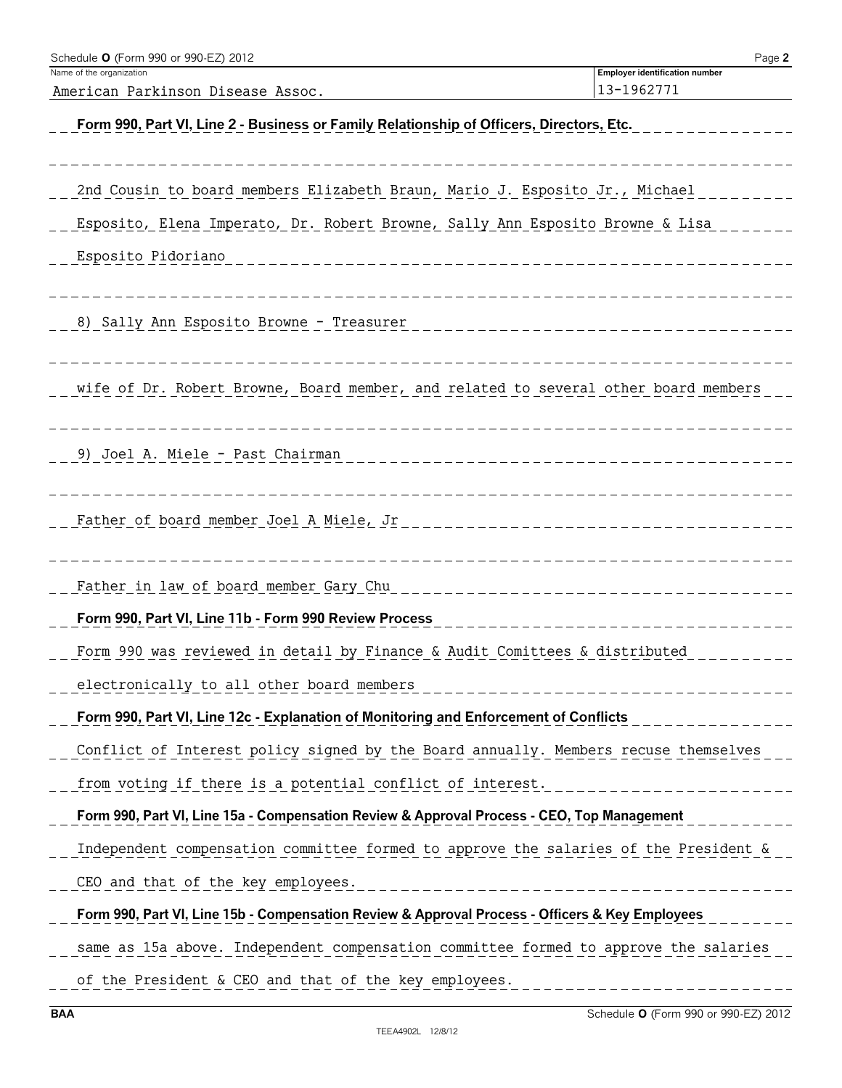| Schedule O (Form 990 or 990-EZ) 2012                                                            | Page 2                                              |
|-------------------------------------------------------------------------------------------------|-----------------------------------------------------|
| Name of the organization<br>American Parkinson Disease Assoc.                                   | <b>Employer identification number</b><br>13-1962771 |
| Form 990, Part VI, Line 2 - Business or Family Relationship of Officers, Directors, Etc.        |                                                     |
|                                                                                                 |                                                     |
|                                                                                                 |                                                     |
| 2nd Cousin to board members Elizabeth Braun, Mario J. Esposito Jr., Michael                     |                                                     |
| Esposito, Elena Imperato, Dr. Robert Browne, Sally Ann Esposito Browne & Lisa                   |                                                     |
| Esposito Pidoriano                                                                              |                                                     |
|                                                                                                 |                                                     |
| 8) Sally Ann Esposito Browne - Treasurer                                                        |                                                     |
|                                                                                                 |                                                     |
| wife of Dr. Robert Browne, Board member, and related to several other board members             |                                                     |
|                                                                                                 |                                                     |
| 9) Joel A. Miele - Past Chairman                                                                |                                                     |
|                                                                                                 |                                                     |
| Father of board member Joel A Miele, Jr                                                         |                                                     |
|                                                                                                 |                                                     |
| Father in law of board member Gary Chu                                                          |                                                     |
| Form 990, Part VI, Line 11b - Form 990 Review Process                                           |                                                     |
| Form 990 was reviewed in detail by Finance & Audit Comittees & distributed                      |                                                     |
|                                                                                                 |                                                     |
| electronically to all other board members                                                       | -----------------                                   |
| Form 990, Part VI, Line 12c - Explanation of Monitoring and Enforcement of Conflicts            |                                                     |
| Conflict of Interest policy signed by the Board annually. Members recuse themselves             |                                                     |
| from voting if there is a potential conflict of interest.                                       | _ _ _ _ _ _ _ _ _ _ _ _ _ _ _ _ _ _ _               |
| Form 990, Part VI, Line 15a - Compensation Review & Approval Process - CEO, Top Management      |                                                     |
| Independent compensation committee formed to approve the salaries of the President &            |                                                     |
| CEO and that of the key employees.                                                              | ___________________________________                 |
| Form 990, Part VI, Line 15b - Compensation Review & Approval Process - Officers & Key Employees |                                                     |
| same as 15a above. Independent compensation committee formed to approve the salaries            |                                                     |
| of the President & CEO and that of the key employees.                                           |                                                     |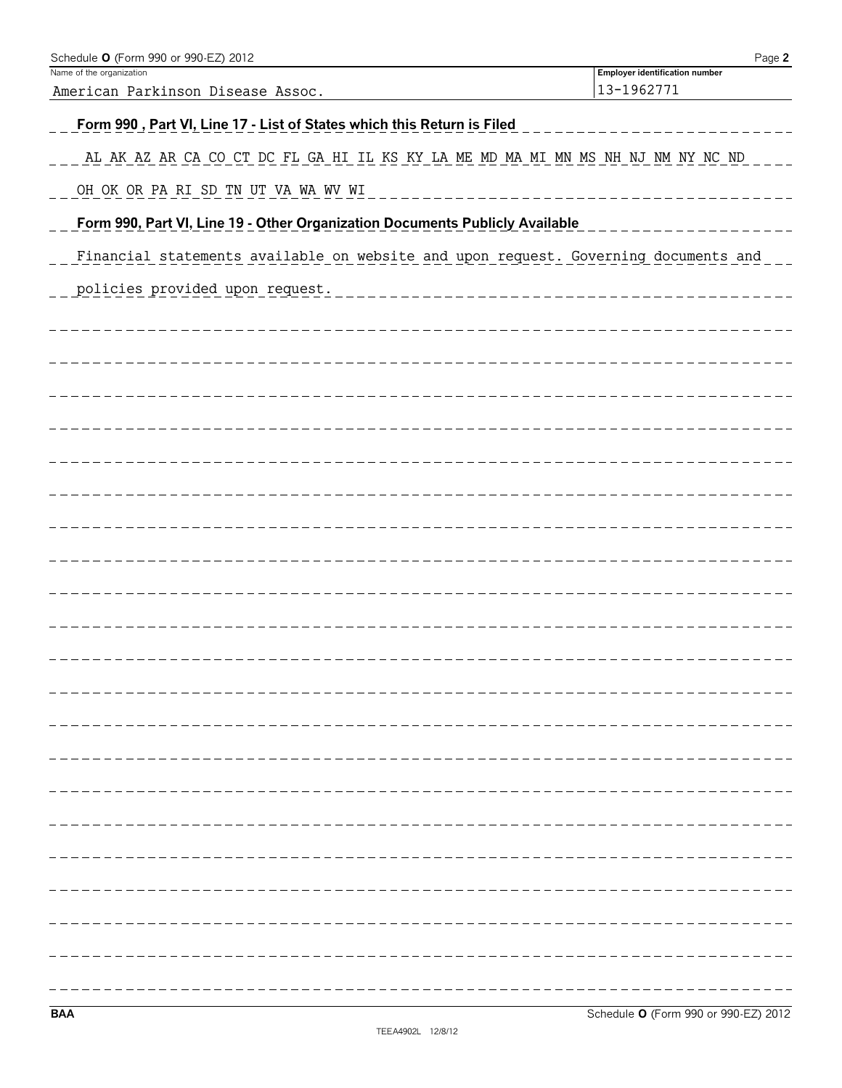| Schedule O (Form 990 or 990-EZ) 2012<br>Name of the organization                    | Page 2<br><b>Employer identification number</b> |
|-------------------------------------------------------------------------------------|-------------------------------------------------|
| American Parkinson Disease Assoc.                                                   | 13-1962771                                      |
| Form 990, Part VI, Line 17 - List of States which this Return is Filed              |                                                 |
| AL AK AZ AR CA CO CT DC FL GA HI IL KS KY LA ME MD MA MI MN MS NH NJ NM NY NC ND    |                                                 |
| OH OK OR PA RI SD TN UT VA WA WV WI                                                 |                                                 |
| Form 990, Part VI, Line 19 - Other Organization Documents Publicly Available        |                                                 |
| Financial statements available on website and upon request. Governing documents and |                                                 |
| policies provided upon request.                                                     |                                                 |
|                                                                                     |                                                 |
|                                                                                     |                                                 |
|                                                                                     |                                                 |
|                                                                                     |                                                 |
|                                                                                     |                                                 |
|                                                                                     |                                                 |
|                                                                                     |                                                 |
|                                                                                     |                                                 |
|                                                                                     |                                                 |
|                                                                                     |                                                 |
|                                                                                     |                                                 |
|                                                                                     |                                                 |
|                                                                                     |                                                 |
|                                                                                     |                                                 |
|                                                                                     |                                                 |
|                                                                                     |                                                 |
|                                                                                     |                                                 |
|                                                                                     |                                                 |
|                                                                                     |                                                 |
|                                                                                     |                                                 |
|                                                                                     |                                                 |
|                                                                                     |                                                 |
|                                                                                     |                                                 |
| <b>BAA</b>                                                                          | Schedule O (Form 990 or 990-EZ) 2012            |